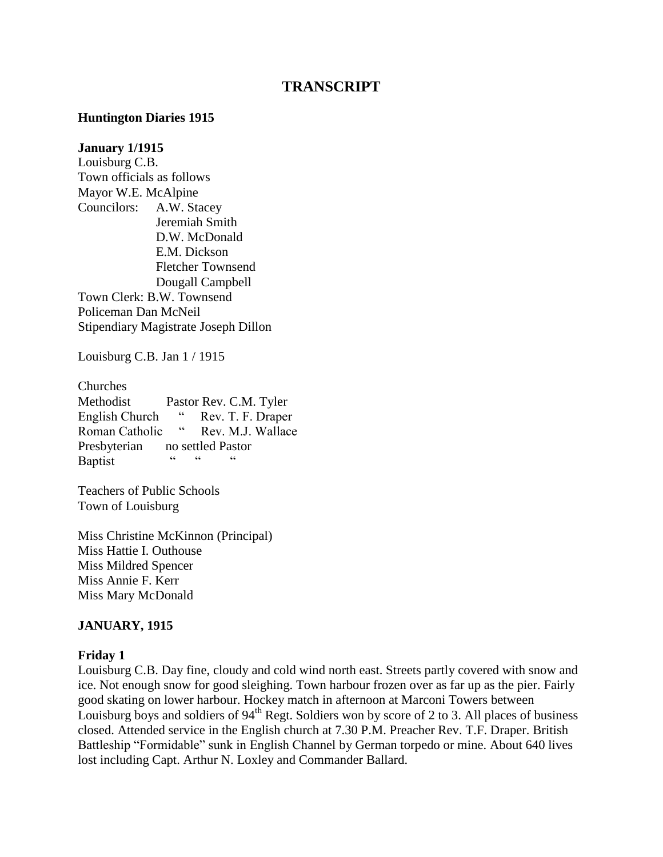# **TRANSCRIPT**

#### **Huntington Diaries 1915**

#### **January 1/1915**

Louisburg C.B. Town officials as follows Mayor W.E. McAlpine Councilors: A.W. Stacey Jeremiah Smith D.W. McDonald E.M. Dickson Fletcher Townsend Dougall Campbell Town Clerk: B.W. Townsend Policeman Dan McNeil Stipendiary Magistrate Joseph Dillon

Louisburg C.B. Jan 1 / 1915

Churches Methodist Pastor Rev. C.M. Tyler English Church " Rev. T. F. Draper<br>Roman Catholic " Rev. M. J. Wallace Roman Catholic " Rev. M.J. Wallace Presbyterian no settled Pastor Baptist " " "

Teachers of Public Schools Town of Louisburg

Miss Christine McKinnon (Principal) Miss Hattie I. Outhouse Miss Mildred Spencer Miss Annie F. Kerr Miss Mary McDonald

#### **JANUARY, 1915**

#### **Friday 1**

Louisburg C.B. Day fine, cloudy and cold wind north east. Streets partly covered with snow and ice. Not enough snow for good sleighing. Town harbour frozen over as far up as the pier. Fairly good skating on lower harbour. Hockey match in afternoon at Marconi Towers between Louisburg boys and soldiers of  $94<sup>th</sup>$  Regt. Soldiers won by score of 2 to 3. All places of business closed. Attended service in the English church at 7.30 P.M. Preacher Rev. T.F. Draper. British Battleship "Formidable" sunk in English Channel by German torpedo or mine. About 640 lives lost including Capt. Arthur N. Loxley and Commander Ballard.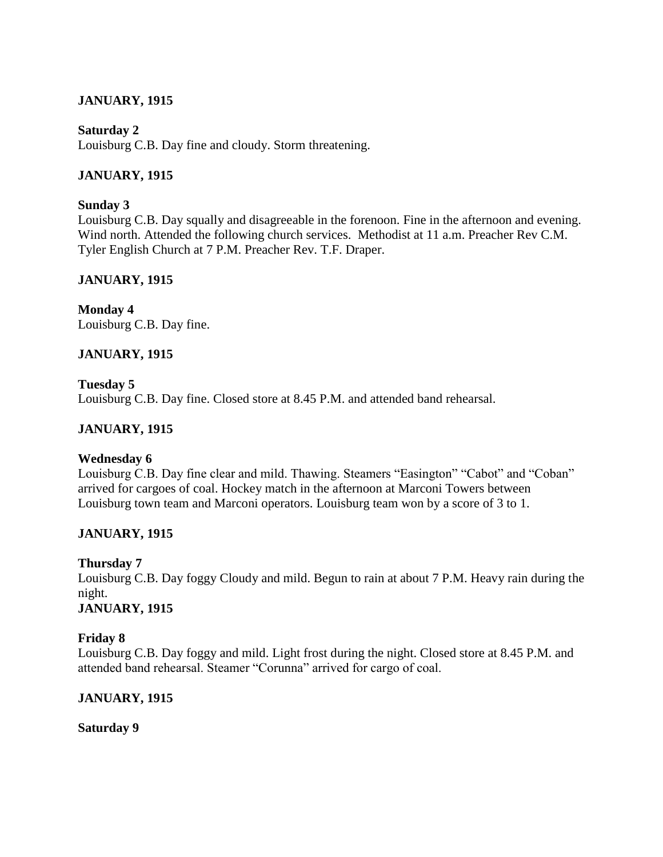# **JANUARY, 1915**

### **Saturday 2**

Louisburg C.B. Day fine and cloudy. Storm threatening.

## **JANUARY, 1915**

### **Sunday 3**

Louisburg C.B. Day squally and disagreeable in the forenoon. Fine in the afternoon and evening. Wind north. Attended the following church services. Methodist at 11 a.m. Preacher Rev C.M. Tyler English Church at 7 P.M. Preacher Rev. T.F. Draper.

# **JANUARY, 1915**

**Monday 4** Louisburg C.B. Day fine.

## **JANUARY, 1915**

**Tuesday 5** Louisburg C.B. Day fine. Closed store at 8.45 P.M. and attended band rehearsal.

## **JANUARY, 1915**

## **Wednesday 6**

Louisburg C.B. Day fine clear and mild. Thawing. Steamers "Easington" "Cabot" and "Coban" arrived for cargoes of coal. Hockey match in the afternoon at Marconi Towers between Louisburg town team and Marconi operators. Louisburg team won by a score of 3 to 1.

## **JANUARY, 1915**

## **Thursday 7**

Louisburg C.B. Day foggy Cloudy and mild. Begun to rain at about 7 P.M. Heavy rain during the night.

## **JANUARY, 1915**

## **Friday 8**

Louisburg C.B. Day foggy and mild. Light frost during the night. Closed store at 8.45 P.M. and attended band rehearsal. Steamer "Corunna" arrived for cargo of coal.

## **JANUARY, 1915**

### **Saturday 9**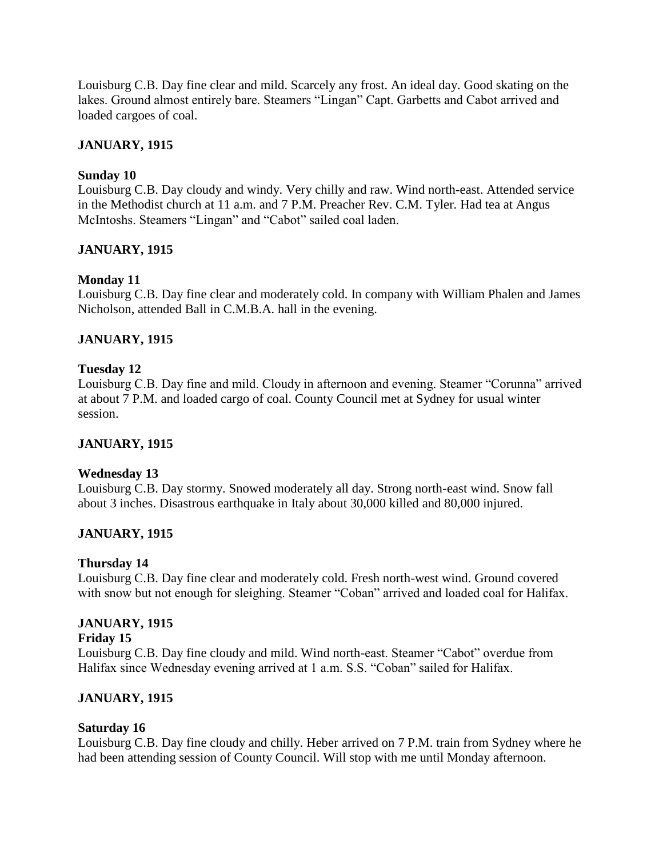Louisburg C.B. Day fine clear and mild. Scarcely any frost. An ideal day. Good skating on the lakes. Ground almost entirely bare. Steamers "Lingan" Capt. Garbetts and Cabot arrived and loaded cargoes of coal.

## **JANUARY, 1915**

### **Sunday 10**

Louisburg C.B. Day cloudy and windy. Very chilly and raw. Wind north-east. Attended service in the Methodist church at 11 a.m. and 7 P.M. Preacher Rev. C.M. Tyler. Had tea at Angus McIntoshs. Steamers "Lingan" and "Cabot" sailed coal laden.

## **JANUARY, 1915**

### **Monday 11**

Louisburg C.B. Day fine clear and moderately cold. In company with William Phalen and James Nicholson, attended Ball in C.M.B.A. hall in the evening.

### **JANUARY, 1915**

### **Tuesday 12**

Louisburg C.B. Day fine and mild. Cloudy in afternoon and evening. Steamer "Corunna" arrived at about 7 P.M. and loaded cargo of coal. County Council met at Sydney for usual winter session.

### **JANUARY, 1915**

### **Wednesday 13**

Louisburg C.B. Day stormy. Snowed moderately all day. Strong north-east wind. Snow fall about 3 inches. Disastrous earthquake in Italy about 30,000 killed and 80,000 injured.

### **JANUARY, 1915**

### **Thursday 14**

Louisburg C.B. Day fine clear and moderately cold. Fresh north-west wind. Ground covered with snow but not enough for sleighing. Steamer "Coban" arrived and loaded coal for Halifax.

### **JANUARY, 1915**

### **Friday 15**

Louisburg C.B. Day fine cloudy and mild. Wind north-east. Steamer "Cabot" overdue from Halifax since Wednesday evening arrived at 1 a.m. S.S. "Coban" sailed for Halifax.

## **JANUARY, 1915**

### **Saturday 16**

Louisburg C.B. Day fine cloudy and chilly. Heber arrived on 7 P.M. train from Sydney where he had been attending session of County Council. Will stop with me until Monday afternoon.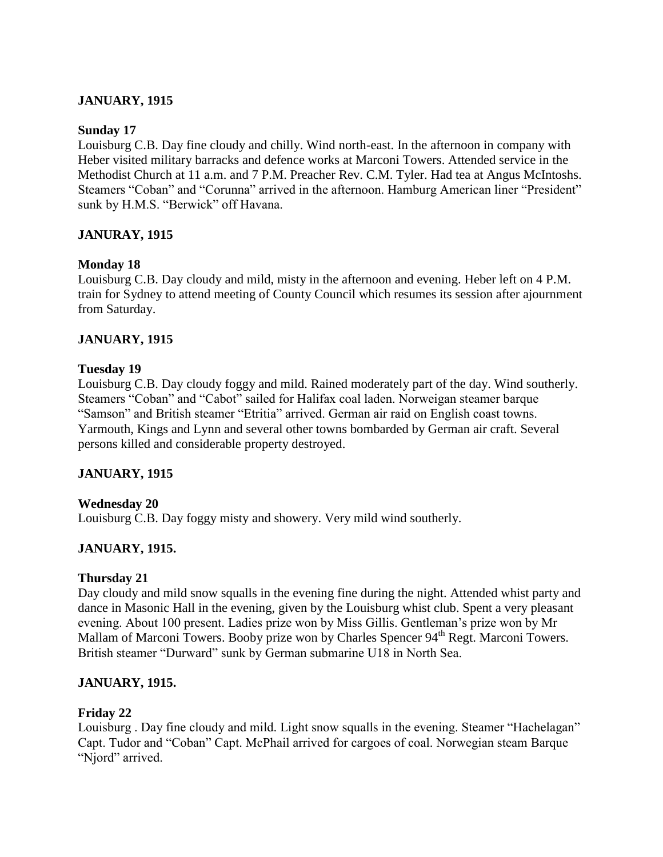## **JANUARY, 1915**

### **Sunday 17**

Louisburg C.B. Day fine cloudy and chilly. Wind north-east. In the afternoon in company with Heber visited military barracks and defence works at Marconi Towers. Attended service in the Methodist Church at 11 a.m. and 7 P.M. Preacher Rev. C.M. Tyler. Had tea at Angus McIntoshs. Steamers "Coban" and "Corunna" arrived in the afternoon. Hamburg American liner "President" sunk by H.M.S. "Berwick" off Havana.

## **JANURAY, 1915**

## **Monday 18**

Louisburg C.B. Day cloudy and mild, misty in the afternoon and evening. Heber left on 4 P.M. train for Sydney to attend meeting of County Council which resumes its session after ajournment from Saturday.

## **JANUARY, 1915**

### **Tuesday 19**

Louisburg C.B. Day cloudy foggy and mild. Rained moderately part of the day. Wind southerly. Steamers "Coban" and "Cabot" sailed for Halifax coal laden. Norweigan steamer barque "Samson" and British steamer "Etritia" arrived. German air raid on English coast towns. Yarmouth, Kings and Lynn and several other towns bombarded by German air craft. Several persons killed and considerable property destroyed.

## **JANUARY, 1915**

### **Wednesday 20**

Louisburg C.B. Day foggy misty and showery. Very mild wind southerly.

## **JANUARY, 1915.**

### **Thursday 21**

Day cloudy and mild snow squalls in the evening fine during the night. Attended whist party and dance in Masonic Hall in the evening, given by the Louisburg whist club. Spent a very pleasant evening. About 100 present. Ladies prize won by Miss Gillis. Gentleman"s prize won by Mr Mallam of Marconi Towers. Booby prize won by Charles Spencer 94<sup>th</sup> Regt. Marconi Towers. British steamer "Durward" sunk by German submarine U18 in North Sea.

## **JANUARY, 1915.**

## **Friday 22**

Louisburg . Day fine cloudy and mild. Light snow squalls in the evening. Steamer "Hachelagan" Capt. Tudor and "Coban" Capt. McPhail arrived for cargoes of coal. Norwegian steam Barque "Njord" arrived.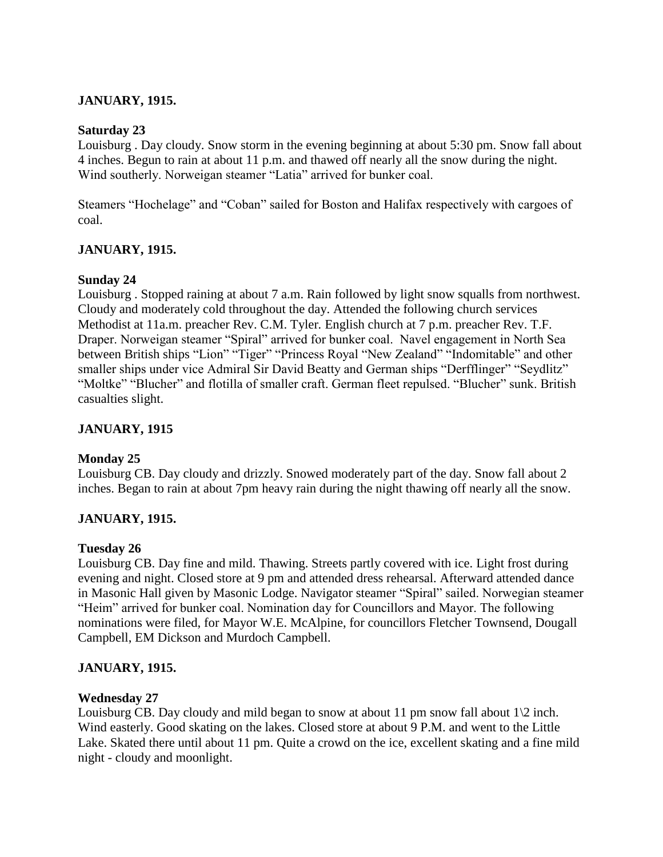## **JANUARY, 1915.**

### **Saturday 23**

Louisburg . Day cloudy. Snow storm in the evening beginning at about 5:30 pm. Snow fall about 4 inches. Begun to rain at about 11 p.m. and thawed off nearly all the snow during the night. Wind southerly. Norweigan steamer "Latia" arrived for bunker coal.

Steamers "Hochelage" and "Coban" sailed for Boston and Halifax respectively with cargoes of coal.

## **JANUARY, 1915.**

### **Sunday 24**

Louisburg . Stopped raining at about 7 a.m. Rain followed by light snow squalls from northwest. Cloudy and moderately cold throughout the day. Attended the following church services Methodist at 11a.m. preacher Rev. C.M. Tyler*.* English church at 7 p.m. preacher Rev. T.F. Draper. Norweigan steamer "Spiral" arrived for bunker coal. Navel engagement in North Sea between British ships "Lion" "Tiger" "Princess Royal "New Zealand" "Indomitable" and other smaller ships under vice Admiral Sir David Beatty and German ships "Derfflinger" "Seydlitz" "Moltke" "Blucher" and flotilla of smaller craft. German fleet repulsed. "Blucher" sunk. British casualties slight.

## **JANUARY, 1915**

### **Monday 25**

Louisburg CB. Day cloudy and drizzly. Snowed moderately part of the day. Snow fall about 2 inches. Began to rain at about 7pm heavy rain during the night thawing off nearly all the snow.

## **JANUARY, 1915.**

### **Tuesday 26**

Louisburg CB. Day fine and mild. Thawing. Streets partly covered with ice. Light frost during evening and night. Closed store at 9 pm and attended dress rehearsal. Afterward attended dance in Masonic Hall given by Masonic Lodge. Navigator steamer "Spiral" sailed. Norwegian steamer "Heim" arrived for bunker coal. Nomination day for Councillors and Mayor. The following nominations were filed, for Mayor W.E. McAlpine, for councillors Fletcher Townsend, Dougall Campbell, EM Dickson and Murdoch Campbell.

### **JANUARY, 1915.**

### **Wednesday 27**

Louisburg CB. Day cloudy and mild began to snow at about 11 pm snow fall about  $1\langle 2 \text{ inch.} \rangle$ Wind easterly. Good skating on the lakes. Closed store at about 9 P.M. and went to the Little Lake. Skated there until about 11 pm. Quite a crowd on the ice, excellent skating and a fine mild night - cloudy and moonlight.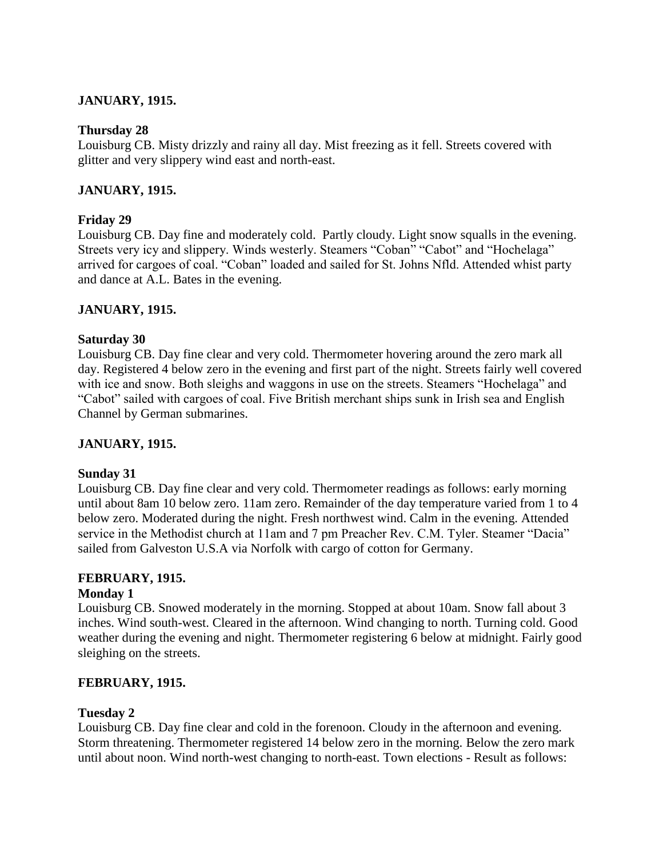# **JANUARY, 1915.**

### **Thursday 28**

Louisburg CB. Misty drizzly and rainy all day. Mist freezing as it fell. Streets covered with glitter and very slippery wind east and north-east.

# **JANUARY, 1915.**

### **Friday 29**

Louisburg CB. Day fine and moderately cold. Partly cloudy. Light snow squalls in the evening. Streets very icy and slippery. Winds westerly. Steamers "Coban" "Cabot" and "Hochelaga" arrived for cargoes of coal. "Coban" loaded and sailed for St. Johns Nfld. Attended whist party and dance at A.L. Bates in the evening.

### **JANUARY, 1915.**

### **Saturday 30**

Louisburg CB. Day fine clear and very cold. Thermometer hovering around the zero mark all day. Registered 4 below zero in the evening and first part of the night. Streets fairly well covered with ice and snow. Both sleighs and waggons in use on the streets. Steamers "Hochelaga" and "Cabot" sailed with cargoes of coal. Five British merchant ships sunk in Irish sea and English Channel by German submarines.

## **JANUARY, 1915.**

### **Sunday 31**

Louisburg CB. Day fine clear and very cold. Thermometer readings as follows: early morning until about 8am 10 below zero. 11am zero. Remainder of the day temperature varied from 1 to 4 below zero. Moderated during the night. Fresh northwest wind. Calm in the evening. Attended service in the Methodist church at 11am and 7 pm Preacher Rev. C.M. Tyler. Steamer "Dacia" sailed from Galveston U.S.A via Norfolk with cargo of cotton for Germany.

## **FEBRUARY, 1915.**

### **Monday 1**

Louisburg CB. Snowed moderately in the morning. Stopped at about 10am. Snow fall about 3 inches. Wind south-west. Cleared in the afternoon. Wind changing to north. Turning cold. Good weather during the evening and night. Thermometer registering 6 below at midnight. Fairly good sleighing on the streets.

## **FEBRUARY, 1915.**

## **Tuesday 2**

Louisburg CB. Day fine clear and cold in the forenoon. Cloudy in the afternoon and evening. Storm threatening. Thermometer registered 14 below zero in the morning. Below the zero mark until about noon. Wind north-west changing to north-east. Town elections - Result as follows: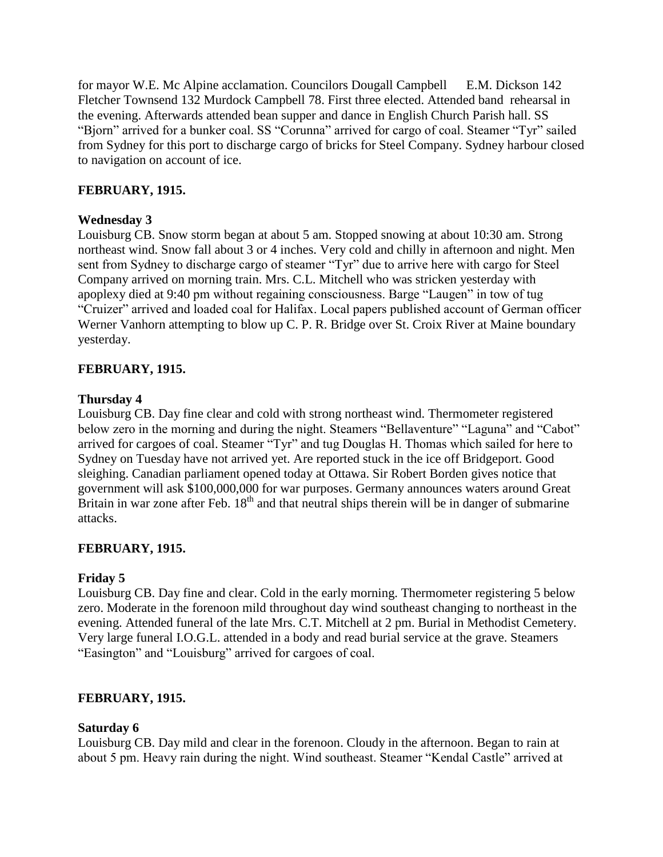for mayor W.E. Mc Alpine acclamation. Councilors Dougall Campbell E.M. Dickson 142 Fletcher Townsend 132 Murdock Campbell 78. First three elected. Attended band rehearsal in the evening. Afterwards attended bean supper and dance in English Church Parish hall. SS "Bjorn" arrived for a bunker coal. SS "Corunna" arrived for cargo of coal. Steamer "Tyr" sailed from Sydney for this port to discharge cargo of bricks for Steel Company. Sydney harbour closed to navigation on account of ice.

### **FEBRUARY, 1915.**

### **Wednesday 3**

Louisburg CB. Snow storm began at about 5 am. Stopped snowing at about 10:30 am. Strong northeast wind. Snow fall about 3 or 4 inches. Very cold and chilly in afternoon and night. Men sent from Sydney to discharge cargo of steamer "Tyr" due to arrive here with cargo for Steel Company arrived on morning train. Mrs. C.L. Mitchell who was stricken yesterday with apoplexy died at 9:40 pm without regaining consciousness. Barge "Laugen" in tow of tug "Cruizer" arrived and loaded coal for Halifax. Local papers published account of German officer Werner Vanhorn attempting to blow up C. P. R. Bridge over St. Croix River at Maine boundary yesterday.

### **FEBRUARY, 1915.**

### **Thursday 4**

Louisburg CB. Day fine clear and cold with strong northeast wind. Thermometer registered below zero in the morning and during the night. Steamers "Bellaventure" "Laguna" and "Cabot" arrived for cargoes of coal. Steamer "Tyr" and tug Douglas H. Thomas which sailed for here to Sydney on Tuesday have not arrived yet. Are reported stuck in the ice off Bridgeport. Good sleighing. Canadian parliament opened today at Ottawa. Sir Robert Borden gives notice that government will ask \$100,000,000 for war purposes. Germany announces waters around Great Britain in war zone after Feb.  $18<sup>th</sup>$  and that neutral ships therein will be in danger of submarine attacks.

### **FEBRUARY, 1915.**

### **Friday 5**

Louisburg CB. Day fine and clear. Cold in the early morning. Thermometer registering 5 below zero. Moderate in the forenoon mild throughout day wind southeast changing to northeast in the evening. Attended funeral of the late Mrs. C.T. Mitchell at 2 pm. Burial in Methodist Cemetery. Very large funeral I.O.G.L. attended in a body and read burial service at the grave. Steamers "Easington" and "Louisburg" arrived for cargoes of coal.

### **FEBRUARY, 1915.**

### **Saturday 6**

Louisburg CB. Day mild and clear in the forenoon. Cloudy in the afternoon. Began to rain at about 5 pm. Heavy rain during the night. Wind southeast. Steamer "Kendal Castle" arrived at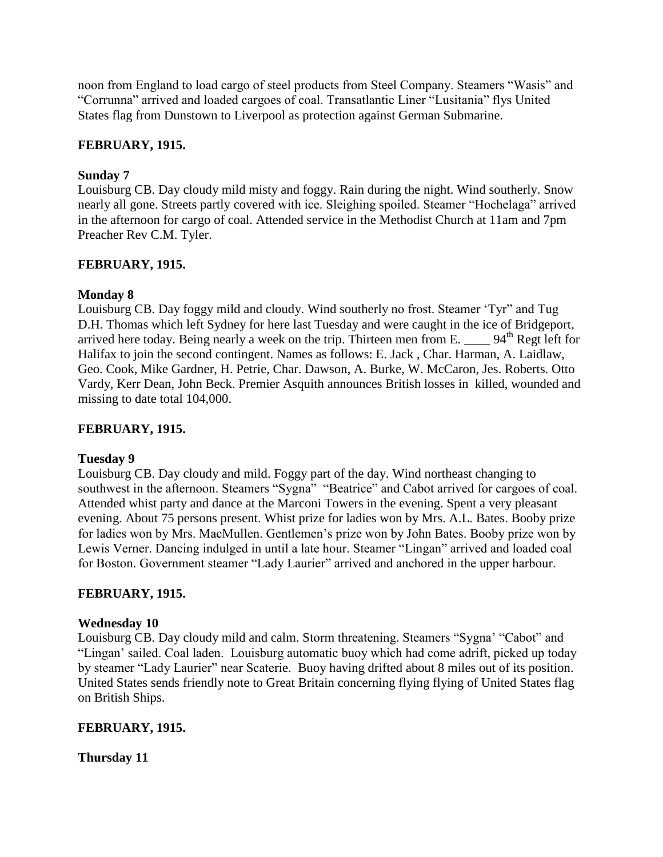noon from England to load cargo of steel products from Steel Company. Steamers "Wasis" and "Corrunna" arrived and loaded cargoes of coal. Transatlantic Liner "Lusitania" flys United States flag from Dunstown to Liverpool as protection against German Submarine.

### **FEBRUARY, 1915.**

### **Sunday 7**

Louisburg CB. Day cloudy mild misty and foggy. Rain during the night. Wind southerly. Snow nearly all gone. Streets partly covered with ice. Sleighing spoiled. Steamer "Hochelaga" arrived in the afternoon for cargo of coal. Attended service in the Methodist Church at 11am and 7pm Preacher Rev C.M. Tyler.

### **FEBRUARY, 1915.**

### **Monday 8**

Louisburg CB. Day foggy mild and cloudy. Wind southerly no frost. Steamer "Tyr" and Tug D.H. Thomas which left Sydney for here last Tuesday and were caught in the ice of Bridgeport, arrived here today. Being nearly a week on the trip. Thirteen men from E. \_\_\_\_\_ 94<sup>th</sup> Regt left for Halifax to join the second contingent. Names as follows: E. Jack , Char. Harman, A. Laidlaw, Geo. Cook, Mike Gardner, H. Petrie, Char. Dawson, A. Burke, W. McCaron, Jes. Roberts. Otto Vardy, Kerr Dean, John Beck. Premier Asquith announces British losses in killed, wounded and missing to date total 104,000.

### **FEBRUARY, 1915.**

### **Tuesday 9**

Louisburg CB. Day cloudy and mild. Foggy part of the day. Wind northeast changing to southwest in the afternoon. Steamers "Sygna" "Beatrice" and Cabot arrived for cargoes of coal. Attended whist party and dance at the Marconi Towers in the evening. Spent a very pleasant evening. About 75 persons present. Whist prize for ladies won by Mrs. A.L. Bates. Booby prize for ladies won by Mrs. MacMullen. Gentlemen"s prize won by John Bates. Booby prize won by Lewis Verner. Dancing indulged in until a late hour. Steamer "Lingan" arrived and loaded coal for Boston. Government steamer "Lady Laurier" arrived and anchored in the upper harbour.

### **FEBRUARY, 1915.**

### **Wednesday 10**

Louisburg CB. Day cloudy mild and calm. Storm threatening. Steamers "Sygna" "Cabot" and "Lingan" sailed. Coal laden. Louisburg automatic buoy which had come adrift, picked up today by steamer "Lady Laurier" near Scaterie. Buoy having drifted about 8 miles out of its position. United States sends friendly note to Great Britain concerning flying flying of United States flag on British Ships.

### **FEBRUARY, 1915.**

**Thursday 11**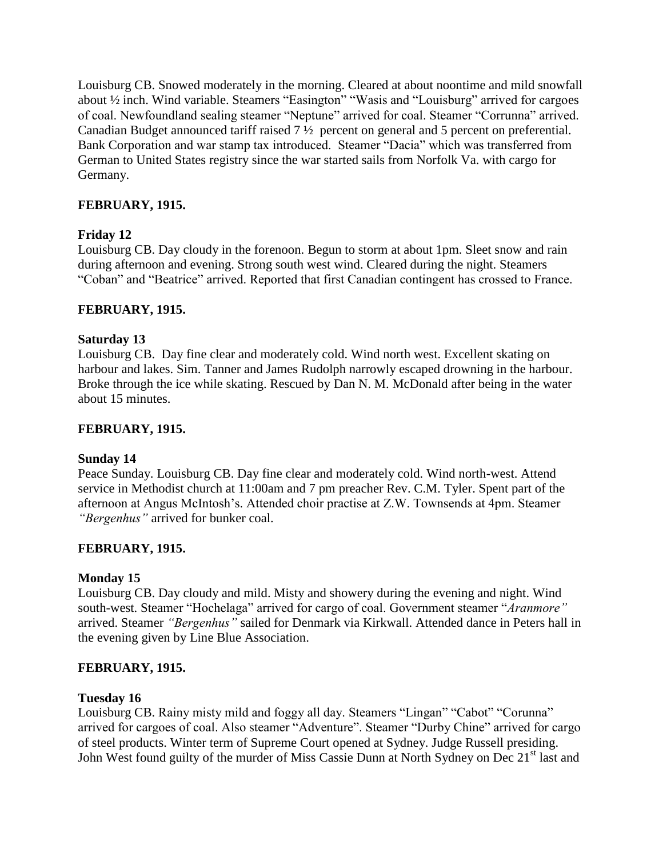Louisburg CB. Snowed moderately in the morning. Cleared at about noontime and mild snowfall about ½ inch. Wind variable. Steamers "Easington" "Wasis and "Louisburg" arrived for cargoes of coal. Newfoundland sealing steamer "Neptune" arrived for coal. Steamer "Corrunna" arrived. Canadian Budget announced tariff raised 7 ½ percent on general and 5 percent on preferential. Bank Corporation and war stamp tax introduced. Steamer "Dacia" which was transferred from German to United States registry since the war started sails from Norfolk Va. with cargo for Germany.

### **FEBRUARY, 1915.**

### **Friday 12**

Louisburg CB. Day cloudy in the forenoon. Begun to storm at about 1pm. Sleet snow and rain during afternoon and evening. Strong south west wind. Cleared during the night. Steamers "Coban" and "Beatrice" arrived. Reported that first Canadian contingent has crossed to France.

### **FEBRUARY, 1915.**

### **Saturday 13**

Louisburg CB. Day fine clear and moderately cold. Wind north west. Excellent skating on harbour and lakes. Sim. Tanner and James Rudolph narrowly escaped drowning in the harbour. Broke through the ice while skating. Rescued by Dan N. M. McDonald after being in the water about 15 minutes.

### **FEBRUARY, 1915.**

### **Sunday 14**

Peace Sunday. Louisburg CB. Day fine clear and moderately cold. Wind north-west. Attend service in Methodist church at 11:00am and 7 pm preacher Rev. C.M. Tyler. Spent part of the afternoon at Angus McIntosh"s. Attended choir practise at Z.W. Townsends at 4pm. Steamer *"Bergenhus"* arrived for bunker coal.

### **FEBRUARY, 1915.**

### **Monday 15**

Louisburg CB. Day cloudy and mild. Misty and showery during the evening and night. Wind south-west. Steamer "Hochelaga" arrived for cargo of coal. Government steamer "*Aranmore"* arrived. Steamer *"Bergenhus"* sailed for Denmark via Kirkwall. Attended dance in Peters hall in the evening given by Line Blue Association.

### **FEBRUARY, 1915.**

#### **Tuesday 16**

Louisburg CB. Rainy misty mild and foggy all day. Steamers "Lingan" "Cabot" "Corunna" arrived for cargoes of coal. Also steamer "Adventure". Steamer "Durby Chine" arrived for cargo of steel products. Winter term of Supreme Court opened at Sydney. Judge Russell presiding. John West found guilty of the murder of Miss Cassie Dunn at North Sydney on Dec 21<sup>st</sup> last and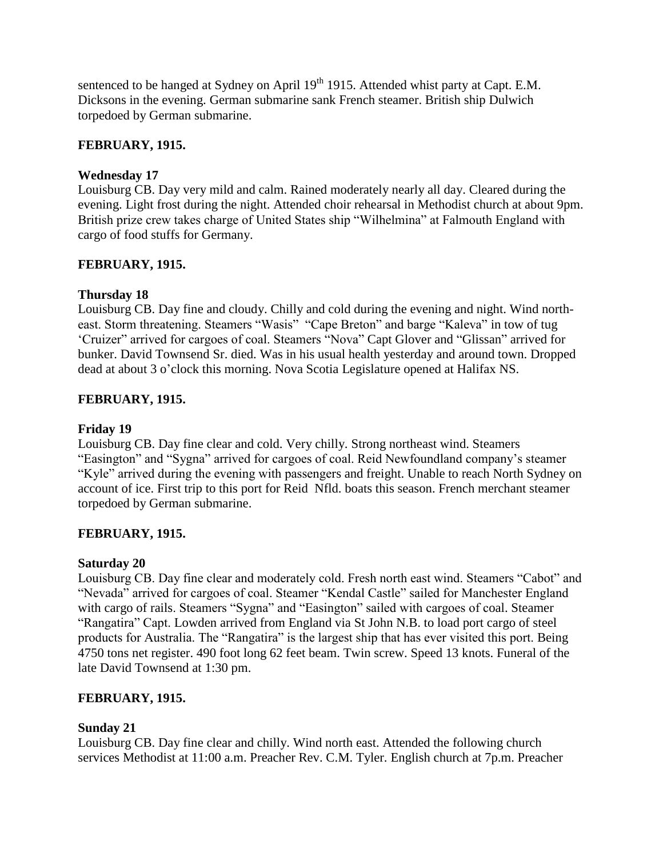sentenced to be hanged at Sydney on April 19<sup>th</sup> 1915. Attended whist party at Capt. E.M. Dicksons in the evening. German submarine sank French steamer. British ship Dulwich torpedoed by German submarine.

## **FEBRUARY, 1915.**

## **Wednesday 17**

Louisburg CB. Day very mild and calm. Rained moderately nearly all day. Cleared during the evening. Light frost during the night. Attended choir rehearsal in Methodist church at about 9pm. British prize crew takes charge of United States ship "Wilhelmina" at Falmouth England with cargo of food stuffs for Germany.

# **FEBRUARY, 1915.**

# **Thursday 18**

Louisburg CB. Day fine and cloudy. Chilly and cold during the evening and night. Wind northeast. Storm threatening. Steamers "Wasis" "Cape Breton" and barge "Kaleva" in tow of tug "Cruizer" arrived for cargoes of coal. Steamers "Nova" Capt Glover and "Glissan" arrived for bunker. David Townsend Sr. died. Was in his usual health yesterday and around town. Dropped dead at about 3 o'clock this morning. Nova Scotia Legislature opened at Halifax NS.

# **FEBRUARY, 1915.**

# **Friday 19**

Louisburg CB. Day fine clear and cold. Very chilly. Strong northeast wind. Steamers "Easington" and "Sygna" arrived for cargoes of coal. Reid Newfoundland company"s steamer "Kyle" arrived during the evening with passengers and freight. Unable to reach North Sydney on account of ice. First trip to this port for Reid Nfld. boats this season. French merchant steamer torpedoed by German submarine.

## **FEBRUARY, 1915.**

## **Saturday 20**

Louisburg CB. Day fine clear and moderately cold. Fresh north east wind. Steamers "Cabot" and "Nevada" arrived for cargoes of coal. Steamer "Kendal Castle" sailed for Manchester England with cargo of rails. Steamers "Sygna" and "Easington" sailed with cargoes of coal. Steamer "Rangatira" Capt. Lowden arrived from England via St John N.B. to load port cargo of steel products for Australia. The "Rangatira" is the largest ship that has ever visited this port. Being 4750 tons net register. 490 foot long 62 feet beam. Twin screw. Speed 13 knots. Funeral of the late David Townsend at 1:30 pm.

## **FEBRUARY, 1915.**

## **Sunday 21**

Louisburg CB. Day fine clear and chilly. Wind north east. Attended the following church services Methodist at 11:00 a.m. Preacher Rev. C.M. Tyler. English church at 7p.m. Preacher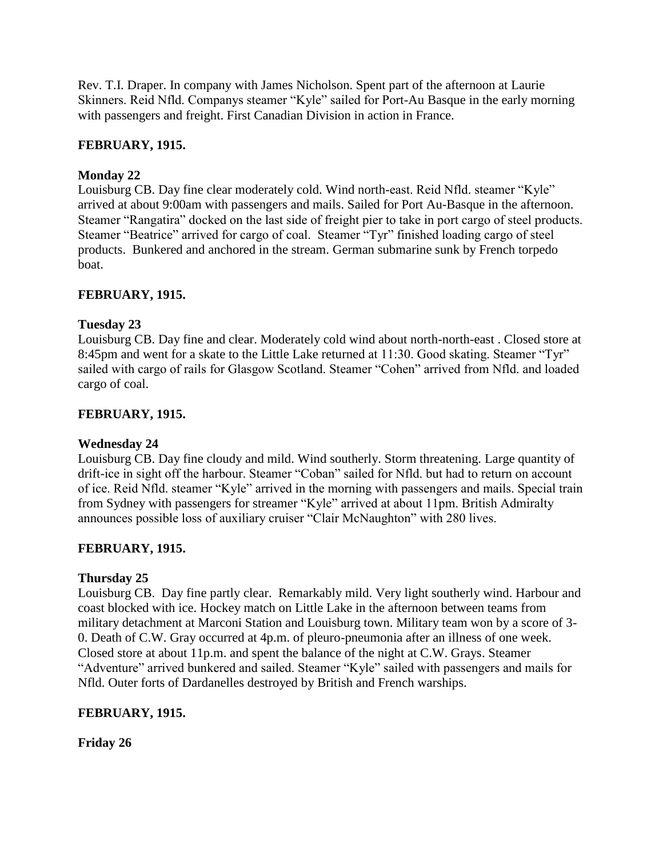Rev. T.I. Draper. In company with James Nicholson. Spent part of the afternoon at Laurie Skinners. Reid Nfld. Companys steamer "Kyle" sailed for Port-Au Basque in the early morning with passengers and freight. First Canadian Division in action in France.

# **FEBRUARY, 1915.**

## **Monday 22**

Louisburg CB. Day fine clear moderately cold. Wind north-east. Reid Nfld. steamer "Kyle" arrived at about 9:00am with passengers and mails. Sailed for Port Au-Basque in the afternoon. Steamer "Rangatira" docked on the last side of freight pier to take in port cargo of steel products. Steamer "Beatrice" arrived for cargo of coal. Steamer "Tyr" finished loading cargo of steel products. Bunkered and anchored in the stream. German submarine sunk by French torpedo boat.

## **FEBRUARY, 1915.**

## **Tuesday 23**

Louisburg CB. Day fine and clear. Moderately cold wind about north-north-east . Closed store at 8:45pm and went for a skate to the Little Lake returned at 11:30. Good skating. Steamer "Tyr" sailed with cargo of rails for Glasgow Scotland. Steamer "Cohen" arrived from Nfld. and loaded cargo of coal.

## **FEBRUARY, 1915.**

## **Wednesday 24**

Louisburg CB. Day fine cloudy and mild. Wind southerly. Storm threatening. Large quantity of drift-ice in sight off the harbour. Steamer "Coban" sailed for Nfld. but had to return on account of ice. Reid Nfld. steamer "Kyle" arrived in the morning with passengers and mails. Special train from Sydney with passengers for streamer "Kyle" arrived at about 11pm. British Admiralty announces possible loss of auxiliary cruiser "Clair McNaughton" with 280 lives.

## **FEBRUARY, 1915.**

## **Thursday 25**

Louisburg CB. Day fine partly clear. Remarkably mild. Very light southerly wind. Harbour and coast blocked with ice. Hockey match on Little Lake in the afternoon between teams from military detachment at Marconi Station and Louisburg town. Military team won by a score of 3- 0. Death of C.W. Gray occurred at 4p.m. of pleuro-pneumonia after an illness of one week. Closed store at about 11p.m. and spent the balance of the night at C.W. Grays. Steamer "Adventure" arrived bunkered and sailed. Steamer "Kyle" sailed with passengers and mails for Nfld. Outer forts of Dardanelles destroyed by British and French warships.

# **FEBRUARY, 1915.**

**Friday 26**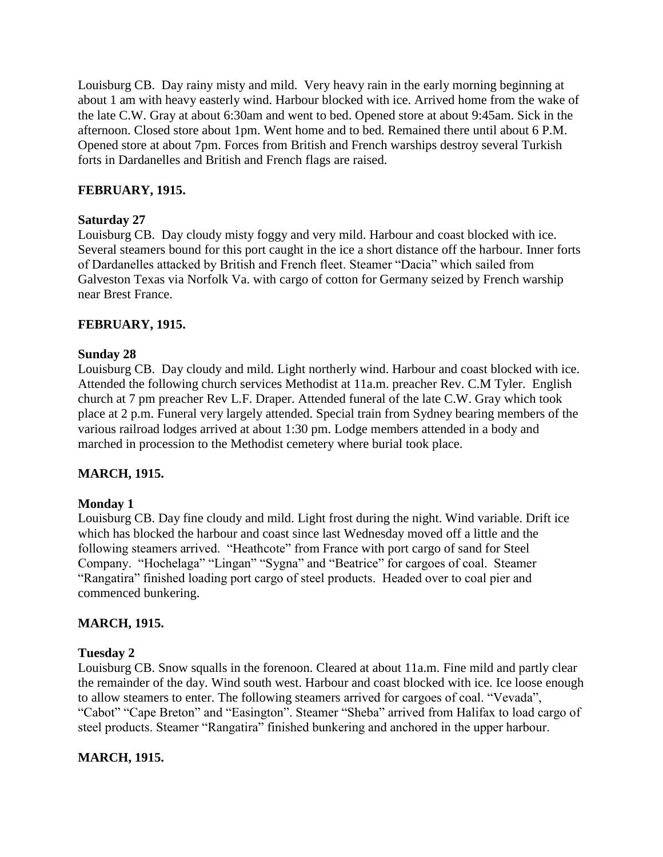Louisburg CB. Day rainy misty and mild. Very heavy rain in the early morning beginning at about 1 am with heavy easterly wind. Harbour blocked with ice. Arrived home from the wake of the late C.W. Gray at about 6:30am and went to bed. Opened store at about 9:45am. Sick in the afternoon. Closed store about 1pm. Went home and to bed. Remained there until about 6 P.M. Opened store at about 7pm. Forces from British and French warships destroy several Turkish forts in Dardanelles and British and French flags are raised.

### **FEBRUARY, 1915.**

### **Saturday 27**

Louisburg CB. Day cloudy misty foggy and very mild. Harbour and coast blocked with ice. Several steamers bound for this port caught in the ice a short distance off the harbour. Inner forts of Dardanelles attacked by British and French fleet. Steamer "Dacia" which sailed from Galveston Texas via Norfolk Va. with cargo of cotton for Germany seized by French warship near Brest France.

### **FEBRUARY, 1915.**

### **Sunday 28**

Louisburg CB. Day cloudy and mild. Light northerly wind. Harbour and coast blocked with ice. Attended the following church services Methodist at 11a.m. preacher Rev. C.M Tyler. English church at 7 pm preacher Rev L.F. Draper. Attended funeral of the late C.W. Gray which took place at 2 p.m. Funeral very largely attended. Special train from Sydney bearing members of the various railroad lodges arrived at about 1:30 pm. Lodge members attended in a body and marched in procession to the Methodist cemetery where burial took place.

## **MARCH, 1915.**

### **Monday 1**

Louisburg CB. Day fine cloudy and mild. Light frost during the night. Wind variable. Drift ice which has blocked the harbour and coast since last Wednesday moved off a little and the following steamers arrived. "Heathcote" from France with port cargo of sand for Steel Company. "Hochelaga" "Lingan" "Sygna" and "Beatrice" for cargoes of coal. Steamer "Rangatira" finished loading port cargo of steel products. Headed over to coal pier and commenced bunkering.

### **MARCH, 1915.**

### **Tuesday 2**

Louisburg CB. Snow squalls in the forenoon. Cleared at about 11a.m. Fine mild and partly clear the remainder of the day. Wind south west. Harbour and coast blocked with ice. Ice loose enough to allow steamers to enter. The following steamers arrived for cargoes of coal. "Vevada", "Cabot" "Cape Breton" and "Easington". Steamer "Sheba" arrived from Halifax to load cargo of steel products. Steamer "Rangatira" finished bunkering and anchored in the upper harbour.

### **MARCH, 1915.**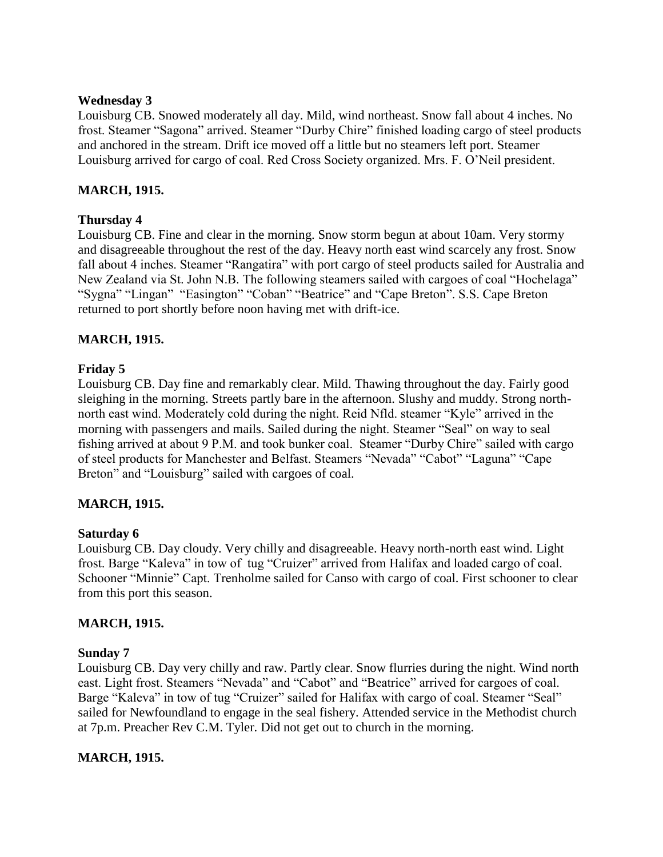### **Wednesday 3**

Louisburg CB. Snowed moderately all day. Mild, wind northeast. Snow fall about 4 inches. No frost. Steamer "Sagona" arrived. Steamer "Durby Chire" finished loading cargo of steel products and anchored in the stream. Drift ice moved off a little but no steamers left port. Steamer Louisburg arrived for cargo of coal. Red Cross Society organized. Mrs. F. O"Neil president.

### **MARCH, 1915.**

### **Thursday 4**

Louisburg CB. Fine and clear in the morning. Snow storm begun at about 10am. Very stormy and disagreeable throughout the rest of the day. Heavy north east wind scarcely any frost. Snow fall about 4 inches. Steamer "Rangatira" with port cargo of steel products sailed for Australia and New Zealand via St. John N.B. The following steamers sailed with cargoes of coal "Hochelaga" "Sygna" "Lingan" "Easington" "Coban" "Beatrice" and "Cape Breton". S.S. Cape Breton returned to port shortly before noon having met with drift-ice.

### **MARCH, 1915.**

### **Friday 5**

Louisburg CB. Day fine and remarkably clear. Mild. Thawing throughout the day. Fairly good sleighing in the morning. Streets partly bare in the afternoon. Slushy and muddy. Strong northnorth east wind. Moderately cold during the night. Reid Nfld. steamer "Kyle" arrived in the morning with passengers and mails. Sailed during the night. Steamer "Seal" on way to seal fishing arrived at about 9 P.M. and took bunker coal. Steamer "Durby Chire" sailed with cargo of steel products for Manchester and Belfast. Steamers "Nevada" "Cabot" "Laguna" "Cape Breton" and "Louisburg" sailed with cargoes of coal.

### **MARCH, 1915.**

### **Saturday 6**

Louisburg CB. Day cloudy. Very chilly and disagreeable. Heavy north-north east wind. Light frost. Barge "Kaleva" in tow of tug "Cruizer" arrived from Halifax and loaded cargo of coal. Schooner "Minnie" Capt. Trenholme sailed for Canso with cargo of coal. First schooner to clear from this port this season.

### **MARCH, 1915.**

### **Sunday 7**

Louisburg CB. Day very chilly and raw. Partly clear. Snow flurries during the night. Wind north east. Light frost. Steamers "Nevada" and "Cabot" and "Beatrice" arrived for cargoes of coal. Barge "Kaleva" in tow of tug "Cruizer" sailed for Halifax with cargo of coal. Steamer "Seal" sailed for Newfoundland to engage in the seal fishery. Attended service in the Methodist church at 7p.m. Preacher Rev C.M. Tyler. Did not get out to church in the morning.

### **MARCH, 1915.**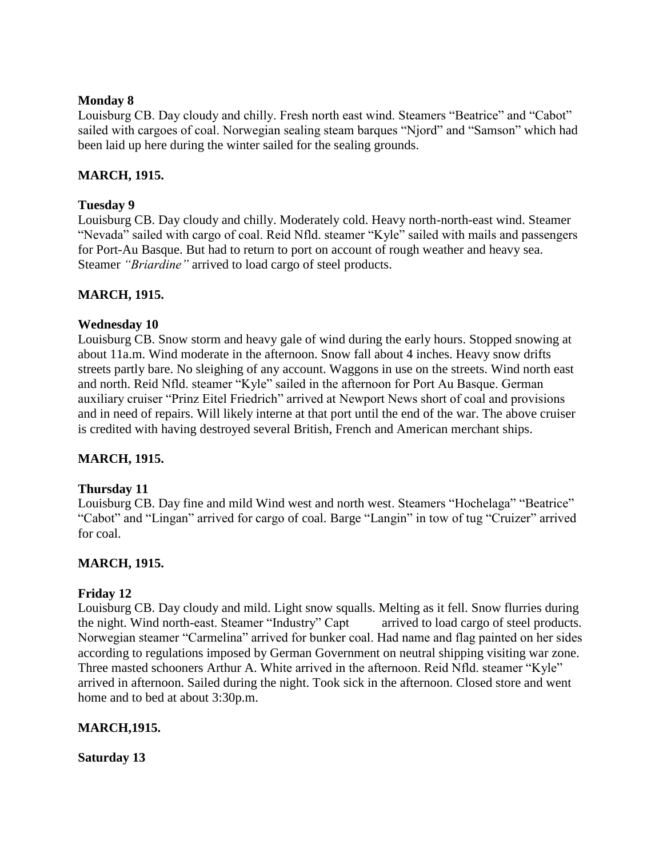### **Monday 8**

Louisburg CB. Day cloudy and chilly. Fresh north east wind. Steamers "Beatrice" and "Cabot" sailed with cargoes of coal. Norwegian sealing steam barques "Njord" and "Samson" which had been laid up here during the winter sailed for the sealing grounds.

### **MARCH, 1915.**

### **Tuesday 9**

Louisburg CB. Day cloudy and chilly. Moderately cold. Heavy north-north-east wind. Steamer "Nevada" sailed with cargo of coal. Reid Nfld. steamer "Kyle" sailed with mails and passengers for Port-Au Basque. But had to return to port on account of rough weather and heavy sea. Steamer *"Briardine"* arrived to load cargo of steel products.

### **MARCH, 1915.**

### **Wednesday 10**

Louisburg CB. Snow storm and heavy gale of wind during the early hours. Stopped snowing at about 11a.m. Wind moderate in the afternoon. Snow fall about 4 inches. Heavy snow drifts streets partly bare. No sleighing of any account. Waggons in use on the streets. Wind north east and north. Reid Nfld. steamer "Kyle" sailed in the afternoon for Port Au Basque. German auxiliary cruiser "Prinz Eitel Friedrich" arrived at Newport News short of coal and provisions and in need of repairs. Will likely interne at that port until the end of the war. The above cruiser is credited with having destroyed several British, French and American merchant ships.

## **MARCH, 1915.**

### **Thursday 11**

Louisburg CB. Day fine and mild Wind west and north west. Steamers "Hochelaga" "Beatrice" "Cabot" and "Lingan" arrived for cargo of coal. Barge "Langin" in tow of tug "Cruizer" arrived for coal.

## **MARCH, 1915.**

### **Friday 12**

Louisburg CB. Day cloudy and mild. Light snow squalls. Melting as it fell. Snow flurries during the night. Wind north-east. Steamer "Industry" Capt arrived to load cargo of steel products. Norwegian steamer "Carmelina" arrived for bunker coal. Had name and flag painted on her sides according to regulations imposed by German Government on neutral shipping visiting war zone. Three masted schooners Arthur A. White arrived in the afternoon. Reid Nfld. steamer "Kyle" arrived in afternoon. Sailed during the night. Took sick in the afternoon. Closed store and went home and to bed at about 3:30p.m.

### **MARCH,1915.**

### **Saturday 13**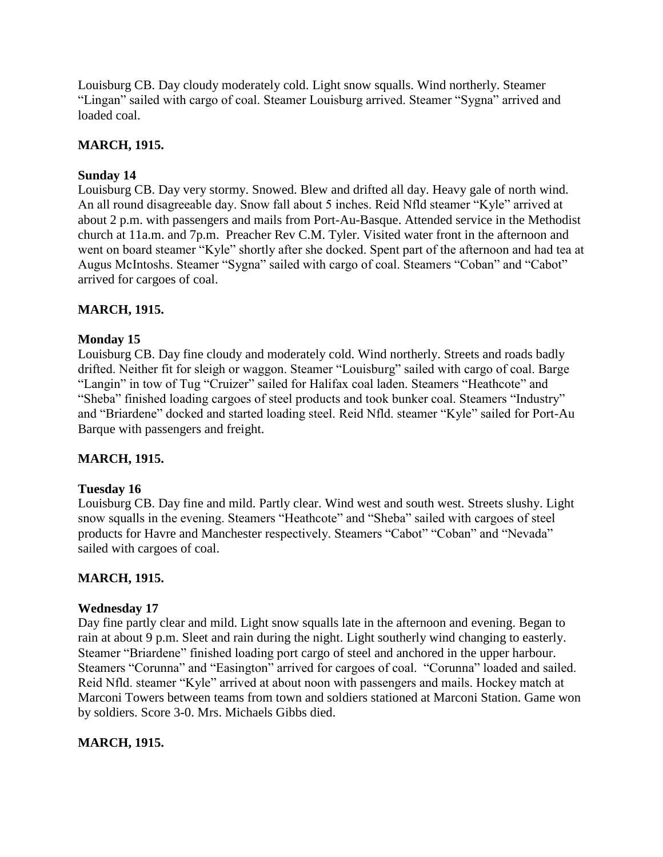Louisburg CB. Day cloudy moderately cold. Light snow squalls. Wind northerly. Steamer "Lingan" sailed with cargo of coal. Steamer Louisburg arrived. Steamer "Sygna" arrived and loaded coal.

### **MARCH, 1915.**

### **Sunday 14**

Louisburg CB. Day very stormy. Snowed. Blew and drifted all day. Heavy gale of north wind. An all round disagreeable day. Snow fall about 5 inches. Reid Nfld steamer "Kyle" arrived at about 2 p.m. with passengers and mails from Port-Au-Basque. Attended service in the Methodist church at 11a.m. and 7p.m. Preacher Rev C.M. Tyler. Visited water front in the afternoon and went on board steamer "Kyle" shortly after she docked. Spent part of the afternoon and had tea at Augus McIntoshs. Steamer "Sygna" sailed with cargo of coal. Steamers "Coban" and "Cabot" arrived for cargoes of coal.

### **MARCH, 1915.**

### **Monday 15**

Louisburg CB. Day fine cloudy and moderately cold. Wind northerly. Streets and roads badly drifted. Neither fit for sleigh or waggon. Steamer "Louisburg" sailed with cargo of coal. Barge "Langin" in tow of Tug "Cruizer" sailed for Halifax coal laden. Steamers "Heathcote" and "Sheba" finished loading cargoes of steel products and took bunker coal. Steamers "Industry" and "Briardene" docked and started loading steel. Reid Nfld. steamer "Kyle" sailed for Port-Au Barque with passengers and freight.

## **MARCH, 1915.**

### **Tuesday 16**

Louisburg CB. Day fine and mild. Partly clear. Wind west and south west. Streets slushy. Light snow squalls in the evening. Steamers "Heathcote" and "Sheba" sailed with cargoes of steel products for Havre and Manchester respectively. Steamers "Cabot" "Coban" and "Nevada" sailed with cargoes of coal.

### **MARCH, 1915.**

### **Wednesday 17**

Day fine partly clear and mild. Light snow squalls late in the afternoon and evening. Began to rain at about 9 p.m. Sleet and rain during the night. Light southerly wind changing to easterly. Steamer "Briardene" finished loading port cargo of steel and anchored in the upper harbour. Steamers "Corunna" and "Easington" arrived for cargoes of coal. "Corunna" loaded and sailed. Reid Nfld. steamer "Kyle" arrived at about noon with passengers and mails. Hockey match at Marconi Towers between teams from town and soldiers stationed at Marconi Station. Game won by soldiers. Score 3-0. Mrs. Michaels Gibbs died.

### **MARCH, 1915.**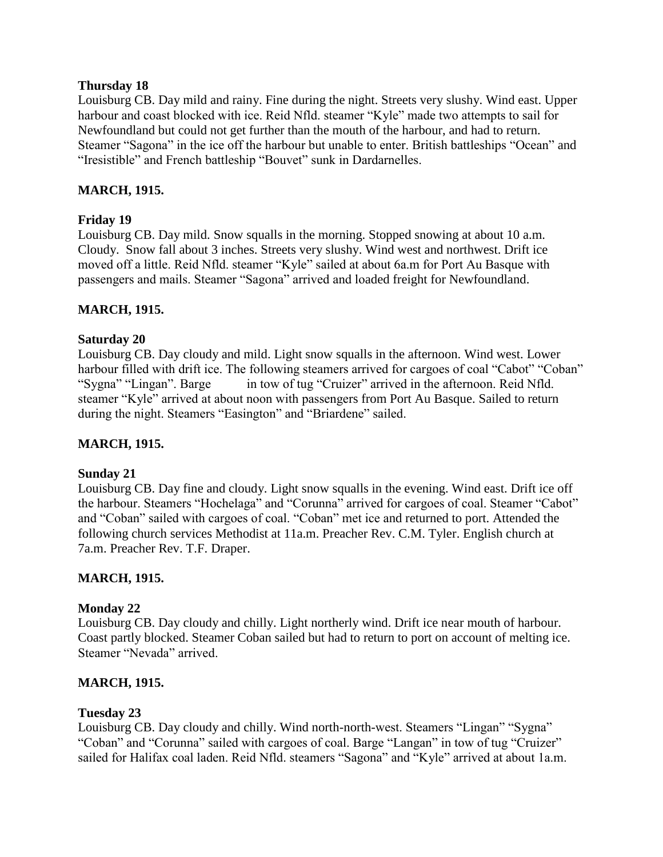### **Thursday 18**

Louisburg CB. Day mild and rainy. Fine during the night. Streets very slushy. Wind east. Upper harbour and coast blocked with ice. Reid Nfld. steamer "Kyle" made two attempts to sail for Newfoundland but could not get further than the mouth of the harbour, and had to return. Steamer "Sagona" in the ice off the harbour but unable to enter. British battleships "Ocean" and "Iresistible" and French battleship "Bouvet" sunk in Dardarnelles.

### **MARCH, 1915.**

### **Friday 19**

Louisburg CB. Day mild. Snow squalls in the morning. Stopped snowing at about 10 a.m. Cloudy. Snow fall about 3 inches. Streets very slushy. Wind west and northwest. Drift ice moved off a little. Reid Nfld. steamer "Kyle" sailed at about 6a.m for Port Au Basque with passengers and mails. Steamer "Sagona" arrived and loaded freight for Newfoundland.

### **MARCH, 1915.**

### **Saturday 20**

Louisburg CB. Day cloudy and mild. Light snow squalls in the afternoon. Wind west. Lower harbour filled with drift ice. The following steamers arrived for cargoes of coal "Cabot" "Coban" "Sygna" "Lingan". Barge in tow of tug "Cruizer" arrived in the afternoon. Reid Nfld. steamer "Kyle" arrived at about noon with passengers from Port Au Basque. Sailed to return during the night. Steamers "Easington" and "Briardene" sailed.

### **MARCH, 1915.**

### **Sunday 21**

Louisburg CB. Day fine and cloudy. Light snow squalls in the evening. Wind east. Drift ice off the harbour. Steamers "Hochelaga" and "Corunna" arrived for cargoes of coal. Steamer "Cabot" and "Coban" sailed with cargoes of coal. "Coban" met ice and returned to port. Attended the following church services Methodist at 11a.m. Preacher Rev. C.M. Tyler. English church at 7a.m. Preacher Rev. T.F. Draper.

### **MARCH, 1915.**

### **Monday 22**

Louisburg CB. Day cloudy and chilly. Light northerly wind. Drift ice near mouth of harbour. Coast partly blocked. Steamer Coban sailed but had to return to port on account of melting ice. Steamer "Nevada" arrived.

### **MARCH, 1915.**

### **Tuesday 23**

Louisburg CB. Day cloudy and chilly. Wind north-north-west. Steamers "Lingan" "Sygna" "Coban" and "Corunna" sailed with cargoes of coal. Barge "Langan" in tow of tug "Cruizer" sailed for Halifax coal laden. Reid Nfld. steamers "Sagona" and "Kyle" arrived at about 1a.m.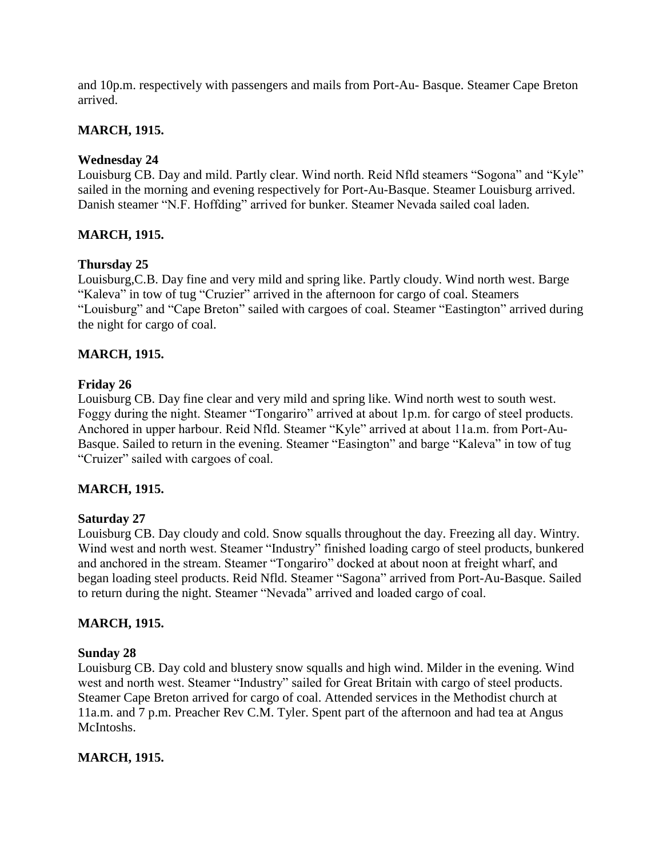and 10p.m. respectively with passengers and mails from Port-Au- Basque. Steamer Cape Breton arrived.

### **MARCH, 1915.**

### **Wednesday 24**

Louisburg CB. Day and mild. Partly clear. Wind north. Reid Nfld steamers "Sogona" and "Kyle" sailed in the morning and evening respectively for Port-Au-Basque. Steamer Louisburg arrived. Danish steamer "N.F. Hoffding" arrived for bunker. Steamer Nevada sailed coal laden*.*

### **MARCH, 1915.**

### **Thursday 25**

Louisburg,C.B. Day fine and very mild and spring like. Partly cloudy. Wind north west. Barge "Kaleva" in tow of tug "Cruzier" arrived in the afternoon for cargo of coal. Steamers "Louisburg" and "Cape Breton" sailed with cargoes of coal. Steamer "Eastington" arrived during the night for cargo of coal.

### **MARCH, 1915.**

### **Friday 26**

Louisburg CB. Day fine clear and very mild and spring like. Wind north west to south west. Foggy during the night. Steamer "Tongariro" arrived at about 1p.m. for cargo of steel products. Anchored in upper harbour. Reid Nfld. Steamer "Kyle" arrived at about 11a.m. from Port-Au-Basque. Sailed to return in the evening. Steamer "Easington" and barge "Kaleva" in tow of tug "Cruizer" sailed with cargoes of coal.

### **MARCH, 1915.**

### **Saturday 27**

Louisburg CB. Day cloudy and cold. Snow squalls throughout the day. Freezing all day. Wintry. Wind west and north west. Steamer "Industry" finished loading cargo of steel products, bunkered and anchored in the stream. Steamer "Tongariro" docked at about noon at freight wharf, and began loading steel products. Reid Nfld. Steamer "Sagona" arrived from Port-Au-Basque. Sailed to return during the night. Steamer "Nevada" arrived and loaded cargo of coal.

### **MARCH, 1915.**

### **Sunday 28**

Louisburg CB. Day cold and blustery snow squalls and high wind. Milder in the evening. Wind west and north west. Steamer "Industry" sailed for Great Britain with cargo of steel products. Steamer Cape Breton arrived for cargo of coal. Attended services in the Methodist church at 11a.m. and 7 p.m. Preacher Rev C.M. Tyler. Spent part of the afternoon and had tea at Angus McIntoshs.

### **MARCH, 1915.**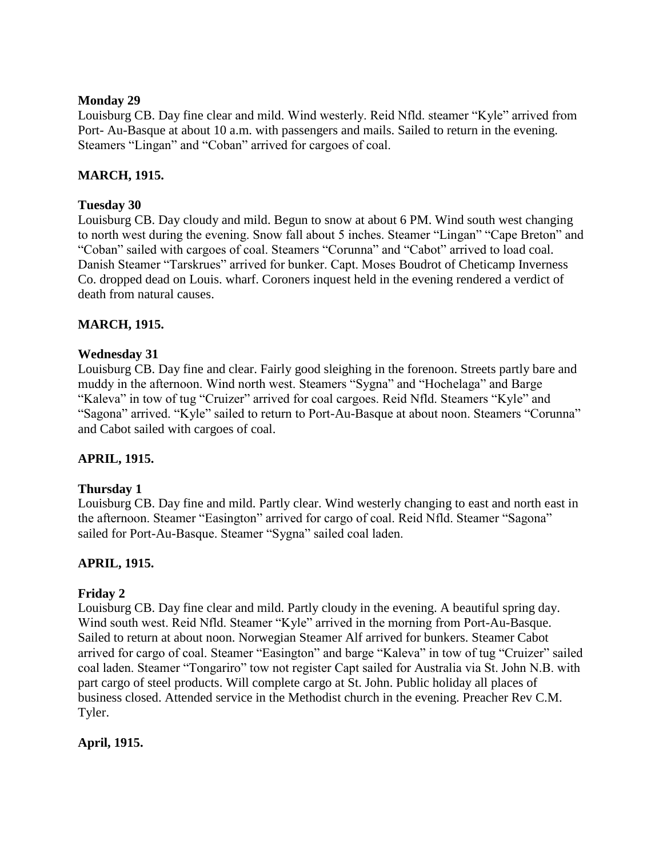### **Monday 29**

Louisburg CB. Day fine clear and mild. Wind westerly. Reid Nfld. steamer "Kyle" arrived from Port- Au-Basque at about 10 a.m. with passengers and mails. Sailed to return in the evening. Steamers "Lingan" and "Coban" arrived for cargoes of coal.

### **MARCH, 1915.**

### **Tuesday 30**

Louisburg CB. Day cloudy and mild. Begun to snow at about 6 PM. Wind south west changing to north west during the evening. Snow fall about 5 inches. Steamer "Lingan" "Cape Breton" and "Coban" sailed with cargoes of coal. Steamers "Corunna" and "Cabot" arrived to load coal. Danish Steamer "Tarskrues" arrived for bunker. Capt. Moses Boudrot of Cheticamp Inverness Co. dropped dead on Louis. wharf. Coroners inquest held in the evening rendered a verdict of death from natural causes.

### **MARCH, 1915.**

### **Wednesday 31**

Louisburg CB. Day fine and clear. Fairly good sleighing in the forenoon. Streets partly bare and muddy in the afternoon. Wind north west. Steamers "Sygna" and "Hochelaga" and Barge "Kaleva" in tow of tug "Cruizer" arrived for coal cargoes. Reid Nfld. Steamers "Kyle" and "Sagona" arrived. "Kyle" sailed to return to Port-Au-Basque at about noon. Steamers "Corunna" and Cabot sailed with cargoes of coal.

## **APRIL, 1915.**

### **Thursday 1**

Louisburg CB. Day fine and mild. Partly clear. Wind westerly changing to east and north east in the afternoon. Steamer "Easington" arrived for cargo of coal. Reid Nfld. Steamer "Sagona" sailed for Port-Au-Basque. Steamer "Sygna" sailed coal laden.

### **APRIL, 1915.**

### **Friday 2**

Louisburg CB. Day fine clear and mild. Partly cloudy in the evening. A beautiful spring day. Wind south west. Reid Nfld. Steamer "Kyle" arrived in the morning from Port-Au-Basque. Sailed to return at about noon. Norwegian Steamer Alf arrived for bunkers. Steamer Cabot arrived for cargo of coal. Steamer "Easington" and barge "Kaleva" in tow of tug "Cruizer" sailed coal laden. Steamer "Tongariro" tow not register Capt sailed for Australia via St. John N.B. with part cargo of steel products. Will complete cargo at St. John. Public holiday all places of business closed. Attended service in the Methodist church in the evening. Preacher Rev C.M. Tyler.

## **April, 1915.**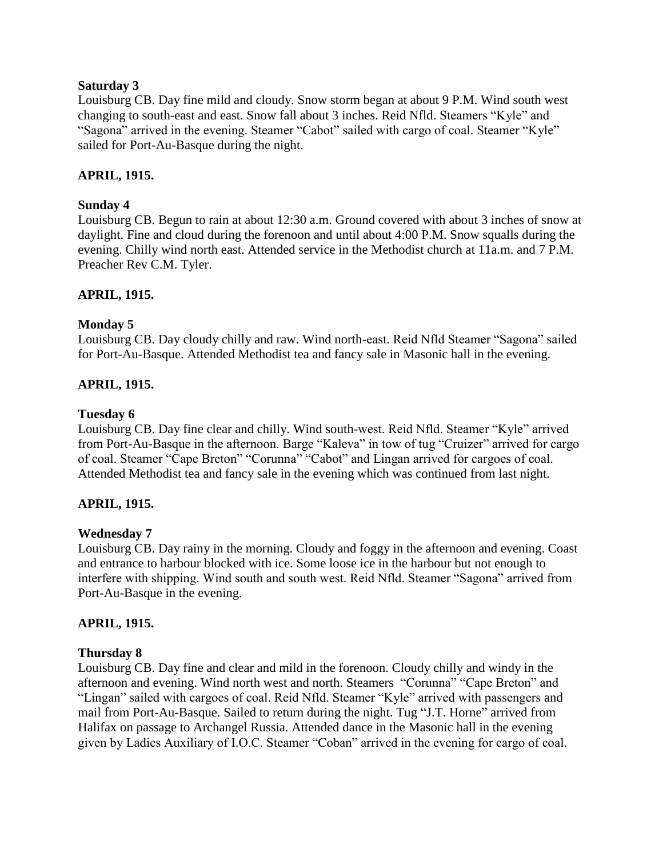### **Saturday 3**

Louisburg CB. Day fine mild and cloudy. Snow storm began at about 9 P.M. Wind south west changing to south-east and east. Snow fall about 3 inches. Reid Nfld. Steamers "Kyle" and "Sagona" arrived in the evening. Steamer "Cabot" sailed with cargo of coal. Steamer "Kyle" sailed for Port-Au-Basque during the night.

### **APRIL, 1915.**

### **Sunday 4**

Louisburg CB. Begun to rain at about 12:30 a.m. Ground covered with about 3 inches of snow at daylight. Fine and cloud during the forenoon and until about 4:00 P.M. Snow squalls during the evening. Chilly wind north east. Attended service in the Methodist church at 11a.m. and 7 P.M. Preacher Rev C.M. Tyler.

### **APRIL, 1915.**

### **Monday 5**

Louisburg CB. Day cloudy chilly and raw. Wind north-east. Reid Nfld Steamer "Sagona" sailed for Port-Au-Basque. Attended Methodist tea and fancy sale in Masonic hall in the evening.

### **APRIL, 1915.**

### **Tuesday 6**

Louisburg CB. Day fine clear and chilly. Wind south-west. Reid Nfld. Steamer "Kyle" arrived from Port-Au-Basque in the afternoon. Barge "Kaleva" in tow of tug "Cruizer" arrived for cargo of coal. Steamer "Cape Breton" "Corunna" "Cabot" and Lingan arrived for cargoes of coal. Attended Methodist tea and fancy sale in the evening which was continued from last night.

### **APRIL, 1915.**

### **Wednesday 7**

Louisburg CB. Day rainy in the morning. Cloudy and foggy in the afternoon and evening. Coast and entrance to harbour blocked with ice. Some loose ice in the harbour but not enough to interfere with shipping. Wind south and south west. Reid Nfld. Steamer "Sagona" arrived from Port-Au-Basque in the evening.

### **APRIL, 1915.**

### **Thursday 8**

Louisburg CB. Day fine and clear and mild in the forenoon. Cloudy chilly and windy in the afternoon and evening. Wind north west and north. Steamers "Corunna" "Cape Breton" and "Lingan" sailed with cargoes of coal. Reid Nfld. Steamer "Kyle" arrived with passengers and mail from Port-Au-Basque. Sailed to return during the night. Tug "J.T. Horne" arrived from Halifax on passage to Archangel Russia. Attended dance in the Masonic hall in the evening given by Ladies Auxiliary of I.O.C. Steamer "Coban" arrived in the evening for cargo of coal.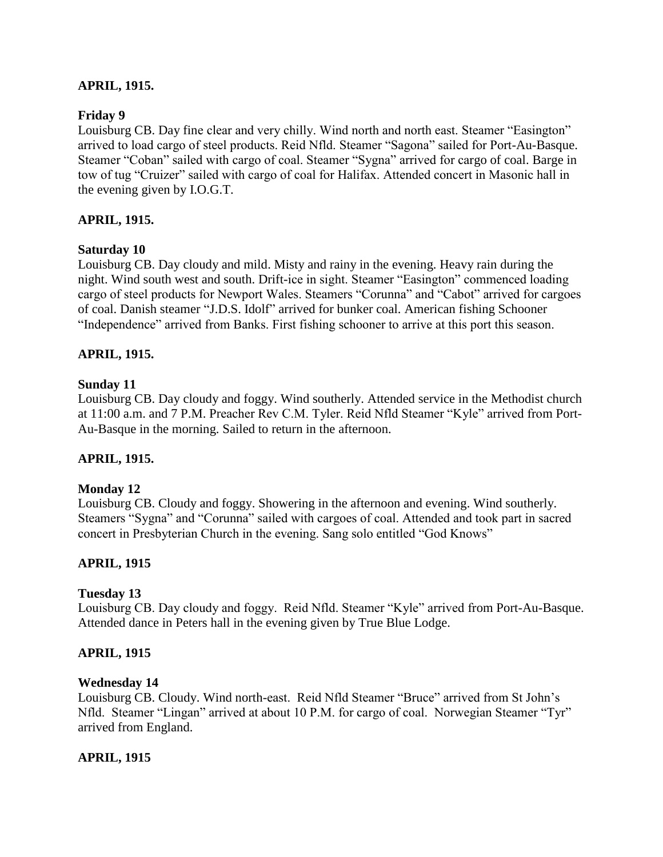### **APRIL, 1915.**

### **Friday 9**

Louisburg CB. Day fine clear and very chilly. Wind north and north east. Steamer "Easington" arrived to load cargo of steel products. Reid Nfld. Steamer "Sagona" sailed for Port-Au-Basque. Steamer "Coban" sailed with cargo of coal. Steamer "Sygna" arrived for cargo of coal. Barge in tow of tug "Cruizer" sailed with cargo of coal for Halifax. Attended concert in Masonic hall in the evening given by I.O.G.T.

### **APRIL, 1915.**

### **Saturday 10**

Louisburg CB. Day cloudy and mild. Misty and rainy in the evening. Heavy rain during the night. Wind south west and south. Drift-ice in sight. Steamer "Easington" commenced loading cargo of steel products for Newport Wales. Steamers "Corunna" and "Cabot" arrived for cargoes of coal. Danish steamer "J.D.S. Idolf" arrived for bunker coal. American fishing Schooner "Independence" arrived from Banks. First fishing schooner to arrive at this port this season.

### **APRIL, 1915.**

### **Sunday 11**

Louisburg CB. Day cloudy and foggy. Wind southerly. Attended service in the Methodist church at 11:00 a.m. and 7 P.M. Preacher Rev C.M. Tyler. Reid Nfld Steamer "Kyle" arrived from Port-Au-Basque in the morning. Sailed to return in the afternoon.

### **APRIL, 1915.**

### **Monday 12**

Louisburg CB. Cloudy and foggy. Showering in the afternoon and evening. Wind southerly. Steamers "Sygna" and "Corunna" sailed with cargoes of coal. Attended and took part in sacred concert in Presbyterian Church in the evening. Sang solo entitled "God Knows"

### **APRIL, 1915**

### **Tuesday 13**

Louisburg CB. Day cloudy and foggy. Reid Nfld. Steamer "Kyle" arrived from Port-Au-Basque. Attended dance in Peters hall in the evening given by True Blue Lodge.

### **APRIL, 1915**

#### **Wednesday 14**

Louisburg CB. Cloudy. Wind north-east. Reid Nfld Steamer "Bruce" arrived from St John"s Nfld. Steamer "Lingan" arrived at about 10 P.M. for cargo of coal. Norwegian Steamer "Tyr" arrived from England.

### **APRIL, 1915**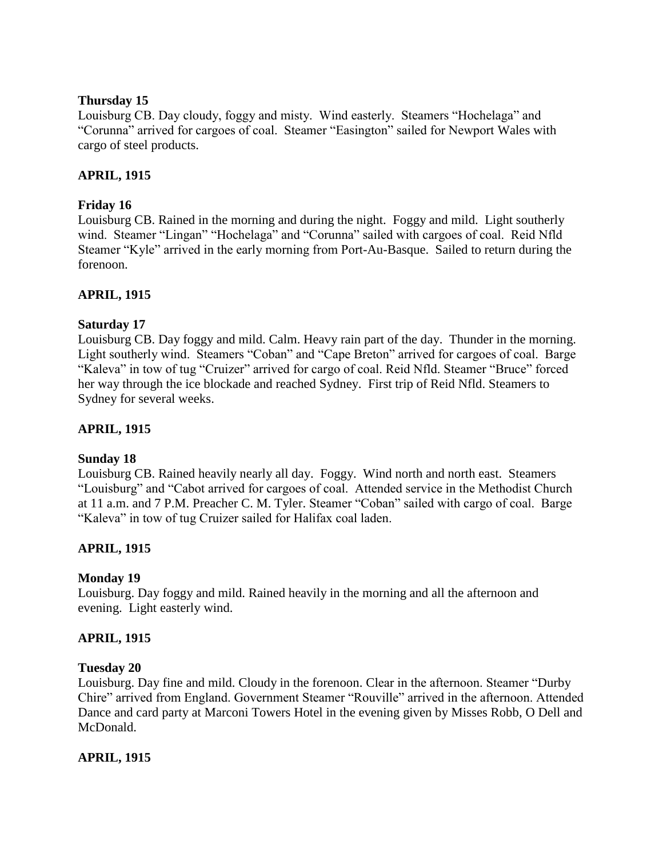### **Thursday 15**

Louisburg CB. Day cloudy, foggy and misty. Wind easterly. Steamers "Hochelaga" and "Corunna" arrived for cargoes of coal. Steamer "Easington" sailed for Newport Wales with cargo of steel products.

## **APRIL, 1915**

# **Friday 16**

Louisburg CB. Rained in the morning and during the night. Foggy and mild. Light southerly wind. Steamer "Lingan" "Hochelaga" and "Corunna" sailed with cargoes of coal. Reid Nfld Steamer "Kyle" arrived in the early morning from Port-Au-Basque. Sailed to return during the forenoon.

## **APRIL, 1915**

## **Saturday 17**

Louisburg CB. Day foggy and mild. Calm. Heavy rain part of the day. Thunder in the morning. Light southerly wind. Steamers "Coban" and "Cape Breton" arrived for cargoes of coal. Barge "Kaleva" in tow of tug "Cruizer" arrived for cargo of coal. Reid Nfld. Steamer "Bruce" forced her way through the ice blockade and reached Sydney. First trip of Reid Nfld. Steamers to Sydney for several weeks.

# **APRIL, 1915**

## **Sunday 18**

Louisburg CB. Rained heavily nearly all day. Foggy. Wind north and north east. Steamers "Louisburg" and "Cabot arrived for cargoes of coal. Attended service in the Methodist Church at 11 a.m. and 7 P.M. Preacher C. M. Tyler. Steamer "Coban" sailed with cargo of coal. Barge "Kaleva" in tow of tug Cruizer sailed for Halifax coal laden.

# **APRIL, 1915**

## **Monday 19**

Louisburg. Day foggy and mild. Rained heavily in the morning and all the afternoon and evening. Light easterly wind.

## **APRIL, 1915**

## **Tuesday 20**

Louisburg. Day fine and mild. Cloudy in the forenoon. Clear in the afternoon. Steamer "Durby Chire" arrived from England. Government Steamer "Rouville" arrived in the afternoon. Attended Dance and card party at Marconi Towers Hotel in the evening given by Misses Robb, O Dell and McDonald.

## **APRIL, 1915**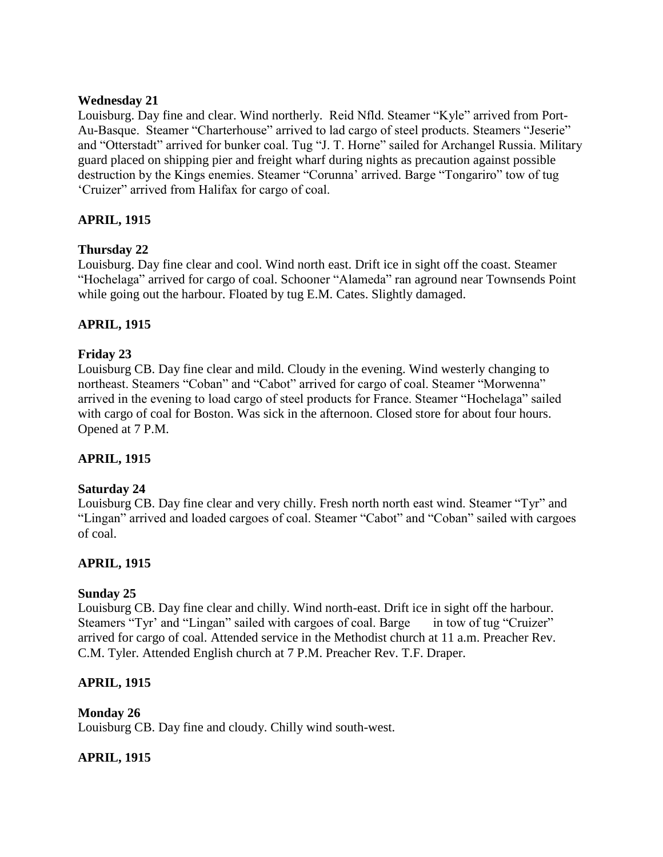### **Wednesday 21**

Louisburg. Day fine and clear. Wind northerly. Reid Nfld. Steamer "Kyle" arrived from Port-Au-Basque. Steamer "Charterhouse" arrived to lad cargo of steel products. Steamers "Jeserie" and "Otterstadt" arrived for bunker coal. Tug "J. T. Horne" sailed for Archangel Russia. Military guard placed on shipping pier and freight wharf during nights as precaution against possible destruction by the Kings enemies. Steamer "Corunna" arrived. Barge "Tongariro" tow of tug "Cruizer" arrived from Halifax for cargo of coal.

# **APRIL, 1915**

## **Thursday 22**

Louisburg. Day fine clear and cool. Wind north east. Drift ice in sight off the coast. Steamer "Hochelaga" arrived for cargo of coal. Schooner "Alameda" ran aground near Townsends Point while going out the harbour. Floated by tug E.M. Cates. Slightly damaged.

# **APRIL, 1915**

## **Friday 23**

Louisburg CB. Day fine clear and mild. Cloudy in the evening. Wind westerly changing to northeast. Steamers "Coban" and "Cabot" arrived for cargo of coal. Steamer "Morwenna" arrived in the evening to load cargo of steel products for France. Steamer "Hochelaga" sailed with cargo of coal for Boston. Was sick in the afternoon. Closed store for about four hours. Opened at 7 P.M.

## **APRIL, 1915**

## **Saturday 24**

Louisburg CB. Day fine clear and very chilly. Fresh north north east wind. Steamer "Tyr" and "Lingan" arrived and loaded cargoes of coal. Steamer "Cabot" and "Coban" sailed with cargoes of coal.

## **APRIL, 1915**

## **Sunday 25**

Louisburg CB. Day fine clear and chilly. Wind north-east. Drift ice in sight off the harbour. Steamers "Tyr' and "Lingan" sailed with cargoes of coal. Barge in tow of tug "Cruizer" arrived for cargo of coal. Attended service in the Methodist church at 11 a.m. Preacher Rev. C.M. Tyler. Attended English church at 7 P.M. Preacher Rev. T.F. Draper.

## **APRIL, 1915**

## **Monday 26**

Louisburg CB. Day fine and cloudy. Chilly wind south-west.

## **APRIL, 1915**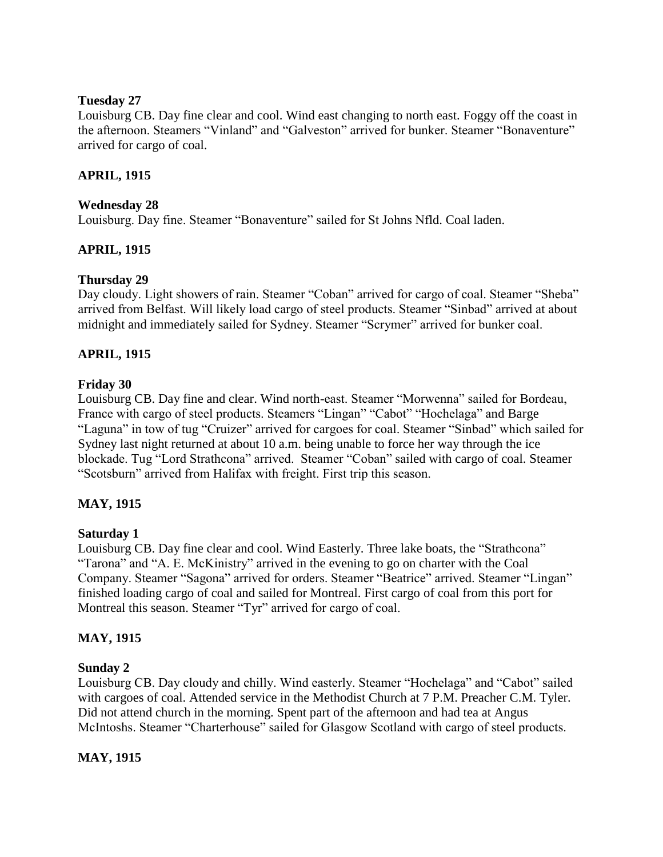### **Tuesday 27**

Louisburg CB. Day fine clear and cool. Wind east changing to north east. Foggy off the coast in the afternoon. Steamers "Vinland" and "Galveston" arrived for bunker. Steamer "Bonaventure" arrived for cargo of coal.

### **APRIL, 1915**

### **Wednesday 28**

Louisburg. Day fine. Steamer "Bonaventure" sailed for St Johns Nfld. Coal laden.

## **APRIL, 1915**

## **Thursday 29**

Day cloudy. Light showers of rain. Steamer "Coban" arrived for cargo of coal. Steamer "Sheba" arrived from Belfast. Will likely load cargo of steel products. Steamer "Sinbad" arrived at about midnight and immediately sailed for Sydney. Steamer "Scrymer" arrived for bunker coal.

### **APRIL, 1915**

### **Friday 30**

Louisburg CB. Day fine and clear. Wind north-east. Steamer "Morwenna" sailed for Bordeau, France with cargo of steel products. Steamers "Lingan" "Cabot" "Hochelaga" and Barge "Laguna" in tow of tug "Cruizer" arrived for cargoes for coal. Steamer "Sinbad" which sailed for Sydney last night returned at about 10 a.m. being unable to force her way through the ice blockade. Tug "Lord Strathcona" arrived. Steamer "Coban" sailed with cargo of coal. Steamer "Scotsburn" arrived from Halifax with freight. First trip this season.

## **MAY, 1915**

### **Saturday 1**

Louisburg CB. Day fine clear and cool. Wind Easterly. Three lake boats, the "Strathcona" "Tarona" and "A. E. McKinistry" arrived in the evening to go on charter with the Coal Company. Steamer "Sagona" arrived for orders. Steamer "Beatrice" arrived. Steamer "Lingan" finished loading cargo of coal and sailed for Montreal. First cargo of coal from this port for Montreal this season. Steamer "Tyr" arrived for cargo of coal.

## **MAY, 1915**

### **Sunday 2**

Louisburg CB. Day cloudy and chilly. Wind easterly. Steamer "Hochelaga" and "Cabot" sailed with cargoes of coal. Attended service in the Methodist Church at 7 P.M. Preacher C.M. Tyler. Did not attend church in the morning. Spent part of the afternoon and had tea at Angus McIntoshs. Steamer "Charterhouse" sailed for Glasgow Scotland with cargo of steel products.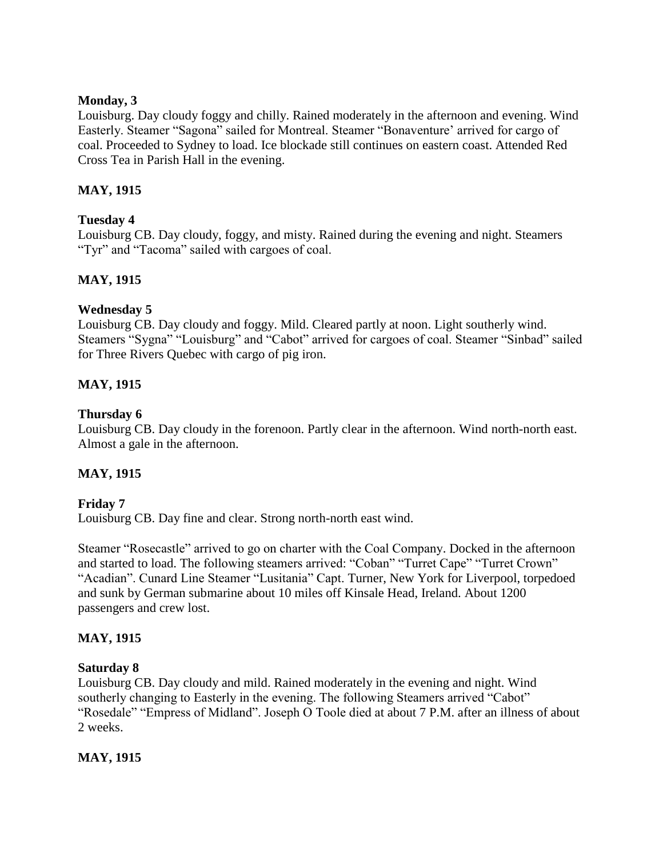### **Monday, 3**

Louisburg. Day cloudy foggy and chilly. Rained moderately in the afternoon and evening. Wind Easterly. Steamer "Sagona" sailed for Montreal. Steamer "Bonaventure" arrived for cargo of coal. Proceeded to Sydney to load. Ice blockade still continues on eastern coast. Attended Red Cross Tea in Parish Hall in the evening.

# **MAY, 1915**

### **Tuesday 4**

Louisburg CB. Day cloudy, foggy, and misty. Rained during the evening and night. Steamers "Tyr" and "Tacoma" sailed with cargoes of coal.

# **MAY, 1915**

### **Wednesday 5**

Louisburg CB. Day cloudy and foggy. Mild. Cleared partly at noon. Light southerly wind. Steamers "Sygna" "Louisburg" and "Cabot" arrived for cargoes of coal. Steamer "Sinbad" sailed for Three Rivers Quebec with cargo of pig iron.

## **MAY, 1915**

### **Thursday 6**

Louisburg CB. Day cloudy in the forenoon. Partly clear in the afternoon. Wind north-north east. Almost a gale in the afternoon.

## **MAY, 1915**

## **Friday 7**

Louisburg CB. Day fine and clear. Strong north-north east wind.

Steamer "Rosecastle" arrived to go on charter with the Coal Company. Docked in the afternoon and started to load. The following steamers arrived: "Coban" "Turret Cape" "Turret Crown" "Acadian". Cunard Line Steamer "Lusitania" Capt. Turner, New York for Liverpool, torpedoed and sunk by German submarine about 10 miles off Kinsale Head, Ireland. About 1200 passengers and crew lost.

## **MAY, 1915**

## **Saturday 8**

Louisburg CB. Day cloudy and mild. Rained moderately in the evening and night. Wind southerly changing to Easterly in the evening. The following Steamers arrived "Cabot" "Rosedale" "Empress of Midland". Joseph O Toole died at about 7 P.M. after an illness of about 2 weeks.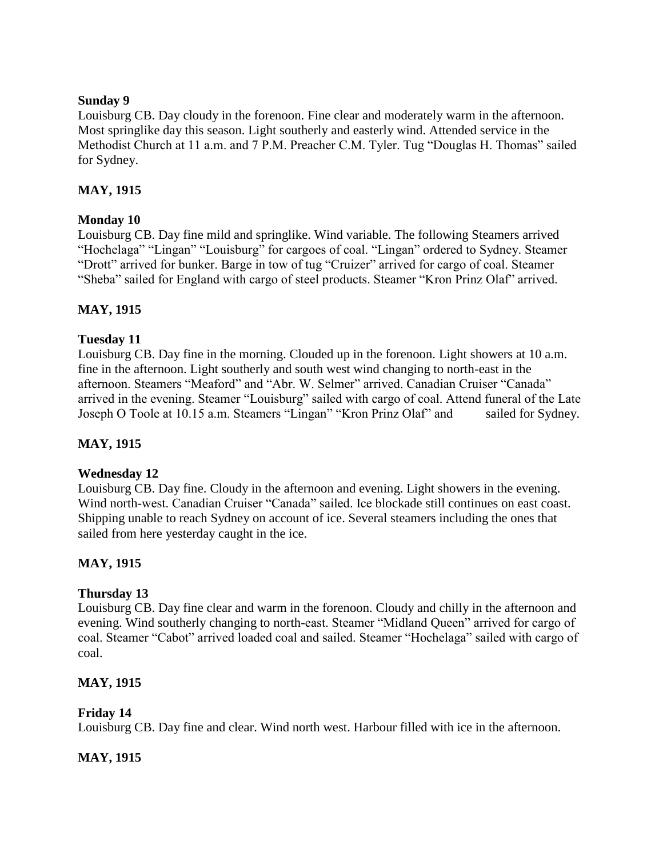### **Sunday 9**

Louisburg CB. Day cloudy in the forenoon. Fine clear and moderately warm in the afternoon. Most springlike day this season. Light southerly and easterly wind. Attended service in the Methodist Church at 11 a.m. and 7 P.M. Preacher C.M. Tyler. Tug "Douglas H. Thomas" sailed for Sydney.

# **MAY, 1915**

### **Monday 10**

Louisburg CB. Day fine mild and springlike. Wind variable. The following Steamers arrived "Hochelaga" "Lingan" "Louisburg" for cargoes of coal. "Lingan" ordered to Sydney. Steamer "Drott" arrived for bunker. Barge in tow of tug "Cruizer" arrived for cargo of coal. Steamer "Sheba" sailed for England with cargo of steel products. Steamer "Kron Prinz Olaf" arrived.

## **MAY, 1915**

## **Tuesday 11**

Louisburg CB. Day fine in the morning. Clouded up in the forenoon. Light showers at 10 a.m. fine in the afternoon. Light southerly and south west wind changing to north-east in the afternoon. Steamers "Meaford" and "Abr. W. Selmer" arrived. Canadian Cruiser "Canada" arrived in the evening. Steamer "Louisburg" sailed with cargo of coal. Attend funeral of the Late Joseph O Toole at 10.15 a.m. Steamers "Lingan" "Kron Prinz Olaf" and sailed for Sydney.

## **MAY, 1915**

### **Wednesday 12**

Louisburg CB. Day fine. Cloudy in the afternoon and evening. Light showers in the evening. Wind north-west. Canadian Cruiser "Canada" sailed. Ice blockade still continues on east coast. Shipping unable to reach Sydney on account of ice. Several steamers including the ones that sailed from here yesterday caught in the ice.

## **MAY, 1915**

### **Thursday 13**

Louisburg CB. Day fine clear and warm in the forenoon. Cloudy and chilly in the afternoon and evening. Wind southerly changing to north-east. Steamer "Midland Queen" arrived for cargo of coal. Steamer "Cabot" arrived loaded coal and sailed. Steamer "Hochelaga" sailed with cargo of coal.

### **MAY, 1915**

## **Friday 14**

Louisburg CB. Day fine and clear. Wind north west. Harbour filled with ice in the afternoon.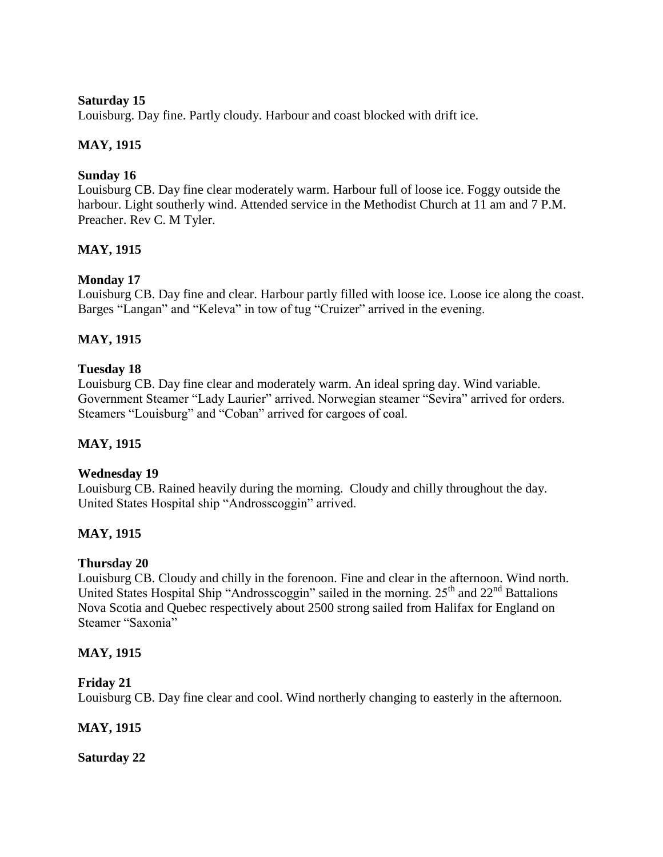### **Saturday 15**

Louisburg. Day fine. Partly cloudy. Harbour and coast blocked with drift ice.

## **MAY, 1915**

# **Sunday 16**

Louisburg CB. Day fine clear moderately warm. Harbour full of loose ice. Foggy outside the harbour. Light southerly wind. Attended service in the Methodist Church at 11 am and 7 P.M. Preacher. Rev C. M Tyler.

# **MAY, 1915**

# **Monday 17**

Louisburg CB. Day fine and clear. Harbour partly filled with loose ice. Loose ice along the coast. Barges "Langan" and "Keleva" in tow of tug "Cruizer" arrived in the evening.

# **MAY, 1915**

## **Tuesday 18**

Louisburg CB. Day fine clear and moderately warm. An ideal spring day. Wind variable. Government Steamer "Lady Laurier" arrived. Norwegian steamer "Sevira" arrived for orders. Steamers "Louisburg" and "Coban" arrived for cargoes of coal.

## **MAY, 1915**

## **Wednesday 19**

Louisburg CB. Rained heavily during the morning. Cloudy and chilly throughout the day. United States Hospital ship "Androsscoggin" arrived.

## **MAY, 1915**

## **Thursday 20**

Louisburg CB. Cloudy and chilly in the forenoon. Fine and clear in the afternoon. Wind north. United States Hospital Ship "Androsscoggin" sailed in the morning.  $25<sup>th</sup>$  and  $22<sup>nd</sup>$  Battalions Nova Scotia and Quebec respectively about 2500 strong sailed from Halifax for England on Steamer "Saxonia"

## **MAY, 1915**

### **Friday 21**

Louisburg CB. Day fine clear and cool. Wind northerly changing to easterly in the afternoon.

## **MAY, 1915**

**Saturday 22**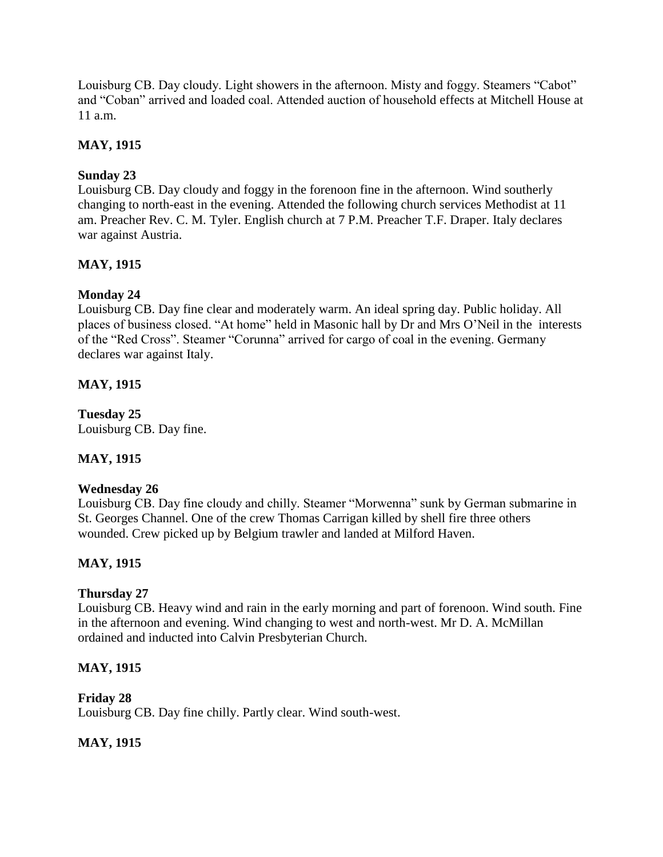Louisburg CB. Day cloudy. Light showers in the afternoon. Misty and foggy. Steamers "Cabot" and "Coban" arrived and loaded coal. Attended auction of household effects at Mitchell House at 11 a.m.

## **MAY, 1915**

# **Sunday 23**

Louisburg CB. Day cloudy and foggy in the forenoon fine in the afternoon. Wind southerly changing to north-east in the evening. Attended the following church services Methodist at 11 am. Preacher Rev. C. M. Tyler. English church at 7 P.M. Preacher T.F. Draper. Italy declares war against Austria.

# **MAY, 1915**

# **Monday 24**

Louisburg CB. Day fine clear and moderately warm. An ideal spring day. Public holiday. All places of business closed. "At home" held in Masonic hall by Dr and Mrs O"Neil in the interests of the "Red Cross". Steamer "Corunna" arrived for cargo of coal in the evening. Germany declares war against Italy.

# **MAY, 1915**

**Tuesday 25** Louisburg CB. Day fine.

## **MAY, 1915**

## **Wednesday 26**

Louisburg CB. Day fine cloudy and chilly. Steamer "Morwenna" sunk by German submarine in St. Georges Channel. One of the crew Thomas Carrigan killed by shell fire three others wounded. Crew picked up by Belgium trawler and landed at Milford Haven.

## **MAY, 1915**

## **Thursday 27**

Louisburg CB. Heavy wind and rain in the early morning and part of forenoon. Wind south. Fine in the afternoon and evening. Wind changing to west and north-west. Mr D. A. McMillan ordained and inducted into Calvin Presbyterian Church.

## **MAY, 1915**

## **Friday 28**

Louisburg CB. Day fine chilly. Partly clear. Wind south-west.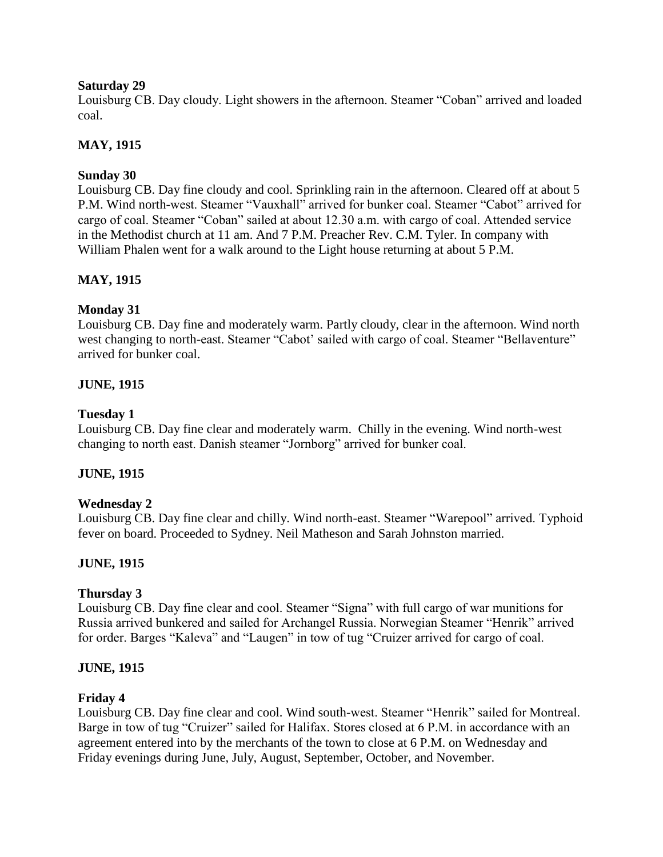### **Saturday 29**

Louisburg CB. Day cloudy. Light showers in the afternoon. Steamer "Coban" arrived and loaded coal.

# **MAY, 1915**

# **Sunday 30**

Louisburg CB. Day fine cloudy and cool. Sprinkling rain in the afternoon. Cleared off at about 5 P.M. Wind north-west. Steamer "Vauxhall" arrived for bunker coal. Steamer "Cabot" arrived for cargo of coal. Steamer "Coban" sailed at about 12.30 a.m. with cargo of coal. Attended service in the Methodist church at 11 am. And 7 P.M. Preacher Rev. C.M. Tyler. In company with William Phalen went for a walk around to the Light house returning at about 5 P.M.

# **MAY, 1915**

## **Monday 31**

Louisburg CB. Day fine and moderately warm. Partly cloudy, clear in the afternoon. Wind north west changing to north-east. Steamer "Cabot' sailed with cargo of coal. Steamer "Bellaventure" arrived for bunker coal.

# **JUNE, 1915**

### **Tuesday 1**

Louisburg CB. Day fine clear and moderately warm. Chilly in the evening. Wind north-west changing to north east. Danish steamer "Jornborg" arrived for bunker coal.

## **JUNE, 1915**

## **Wednesday 2**

Louisburg CB. Day fine clear and chilly. Wind north-east. Steamer "Warepool" arrived. Typhoid fever on board. Proceeded to Sydney. Neil Matheson and Sarah Johnston married.

## **JUNE, 1915**

## **Thursday 3**

Louisburg CB. Day fine clear and cool. Steamer "Signa" with full cargo of war munitions for Russia arrived bunkered and sailed for Archangel Russia. Norwegian Steamer "Henrik" arrived for order. Barges "Kaleva" and "Laugen" in tow of tug "Cruizer arrived for cargo of coal.

## **JUNE, 1915**

## **Friday 4**

Louisburg CB. Day fine clear and cool. Wind south-west. Steamer "Henrik" sailed for Montreal. Barge in tow of tug "Cruizer" sailed for Halifax. Stores closed at 6 P.M. in accordance with an agreement entered into by the merchants of the town to close at 6 P.M. on Wednesday and Friday evenings during June, July, August, September, October, and November.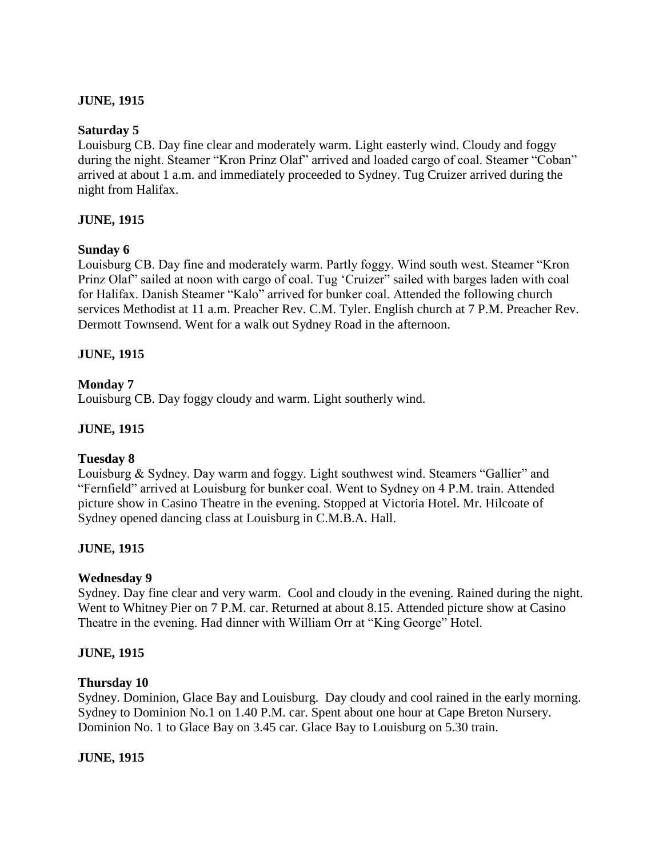### **JUNE, 1915**

### **Saturday 5**

Louisburg CB. Day fine clear and moderately warm. Light easterly wind. Cloudy and foggy during the night. Steamer "Kron Prinz Olaf" arrived and loaded cargo of coal. Steamer "Coban" arrived at about 1 a.m. and immediately proceeded to Sydney. Tug Cruizer arrived during the night from Halifax.

### **JUNE, 1915**

### **Sunday 6**

Louisburg CB. Day fine and moderately warm. Partly foggy. Wind south west. Steamer "Kron Prinz Olaf" sailed at noon with cargo of coal. Tug "Cruizer" sailed with barges laden with coal for Halifax. Danish Steamer "Kalo" arrived for bunker coal. Attended the following church services Methodist at 11 a.m. Preacher Rev. C.M. Tyler. English church at 7 P.M. Preacher Rev. Dermott Townsend. Went for a walk out Sydney Road in the afternoon.

### **JUNE, 1915**

### **Monday 7**

Louisburg CB. Day foggy cloudy and warm. Light southerly wind.

### **JUNE, 1915**

### **Tuesday 8**

Louisburg & Sydney. Day warm and foggy. Light southwest wind. Steamers "Gallier" and "Fernfield" arrived at Louisburg for bunker coal. Went to Sydney on 4 P.M. train. Attended picture show in Casino Theatre in the evening. Stopped at Victoria Hotel. Mr. Hilcoate of Sydney opened dancing class at Louisburg in C.M.B.A. Hall.

### **JUNE, 1915**

### **Wednesday 9**

Sydney. Day fine clear and very warm. Cool and cloudy in the evening. Rained during the night. Went to Whitney Pier on 7 P.M. car. Returned at about 8.15. Attended picture show at Casino Theatre in the evening. Had dinner with William Orr at "King George" Hotel.

### **JUNE, 1915**

#### **Thursday 10**

Sydney. Dominion, Glace Bay and Louisburg. Day cloudy and cool rained in the early morning. Sydney to Dominion No.1 on 1.40 P.M. car. Spent about one hour at Cape Breton Nursery. Dominion No. 1 to Glace Bay on 3.45 car. Glace Bay to Louisburg on 5.30 train.

### **JUNE, 1915**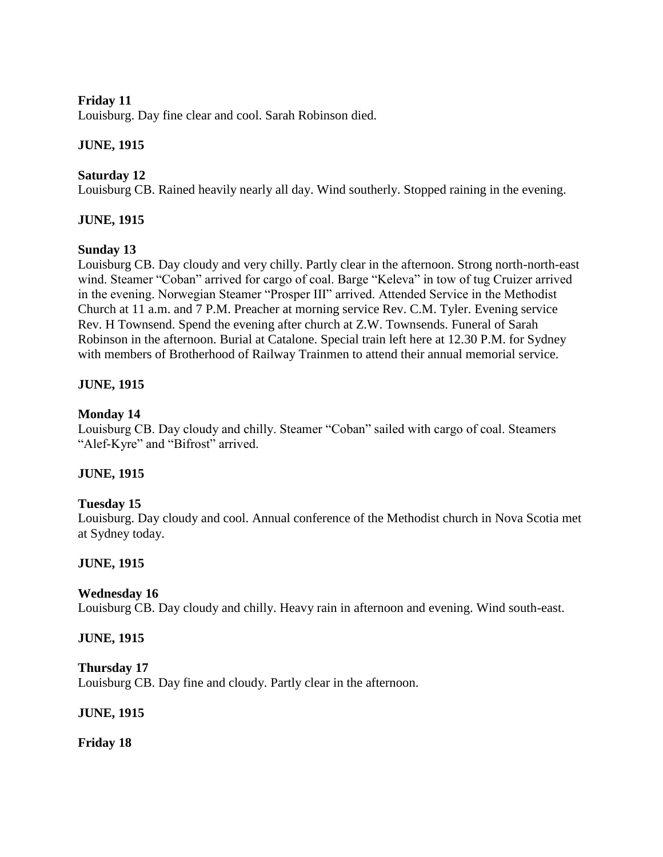### **Friday 11**

Louisburg. Day fine clear and cool. Sarah Robinson died.

### **JUNE, 1915**

### **Saturday 12**

Louisburg CB. Rained heavily nearly all day. Wind southerly. Stopped raining in the evening.

### **JUNE, 1915**

### **Sunday 13**

Louisburg CB. Day cloudy and very chilly. Partly clear in the afternoon. Strong north-north-east wind. Steamer "Coban" arrived for cargo of coal. Barge "Keleva" in tow of tug Cruizer arrived in the evening. Norwegian Steamer "Prosper III" arrived. Attended Service in the Methodist Church at 11 a.m. and 7 P.M. Preacher at morning service Rev. C.M. Tyler. Evening service Rev. H Townsend. Spend the evening after church at Z.W. Townsends. Funeral of Sarah Robinson in the afternoon. Burial at Catalone. Special train left here at 12.30 P.M. for Sydney with members of Brotherhood of Railway Trainmen to attend their annual memorial service.

### **JUNE, 1915**

### **Monday 14**

Louisburg CB. Day cloudy and chilly. Steamer "Coban" sailed with cargo of coal. Steamers "Alef-Kyre" and "Bifrost" arrived.

### **JUNE, 1915**

### **Tuesday 15**

Louisburg. Day cloudy and cool. Annual conference of the Methodist church in Nova Scotia met at Sydney today.

## **JUNE, 1915**

### **Wednesday 16**

Louisburg CB. Day cloudy and chilly. Heavy rain in afternoon and evening. Wind south-east.

### **JUNE, 1915**

**Thursday 17** Louisburg CB. Day fine and cloudy. Partly clear in the afternoon.

### **JUNE, 1915**

**Friday 18**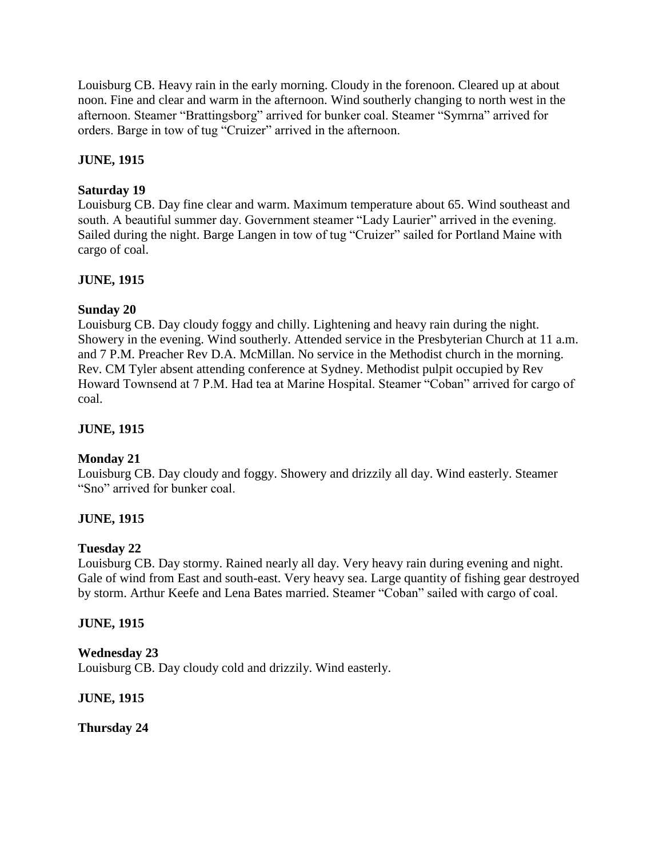Louisburg CB. Heavy rain in the early morning. Cloudy in the forenoon. Cleared up at about noon. Fine and clear and warm in the afternoon. Wind southerly changing to north west in the afternoon. Steamer "Brattingsborg" arrived for bunker coal. Steamer "Symrna" arrived for orders. Barge in tow of tug "Cruizer" arrived in the afternoon.

# **JUNE, 1915**

### **Saturday 19**

Louisburg CB. Day fine clear and warm. Maximum temperature about 65. Wind southeast and south. A beautiful summer day. Government steamer "Lady Laurier" arrived in the evening. Sailed during the night. Barge Langen in tow of tug "Cruizer" sailed for Portland Maine with cargo of coal.

## **JUNE, 1915**

## **Sunday 20**

Louisburg CB. Day cloudy foggy and chilly. Lightening and heavy rain during the night. Showery in the evening. Wind southerly. Attended service in the Presbyterian Church at 11 a.m. and 7 P.M. Preacher Rev D.A. McMillan. No service in the Methodist church in the morning. Rev. CM Tyler absent attending conference at Sydney. Methodist pulpit occupied by Rev Howard Townsend at 7 P.M. Had tea at Marine Hospital. Steamer "Coban" arrived for cargo of coal.

### **JUNE, 1915**

## **Monday 21**

Louisburg CB. Day cloudy and foggy. Showery and drizzily all day. Wind easterly. Steamer "Sno" arrived for bunker coal.

## **JUNE, 1915**

### **Tuesday 22**

Louisburg CB. Day stormy. Rained nearly all day. Very heavy rain during evening and night. Gale of wind from East and south-east. Very heavy sea. Large quantity of fishing gear destroyed by storm. Arthur Keefe and Lena Bates married. Steamer "Coban" sailed with cargo of coal.

### **JUNE, 1915**

## **Wednesday 23**

Louisburg CB. Day cloudy cold and drizzily. Wind easterly.

### **JUNE, 1915**

**Thursday 24**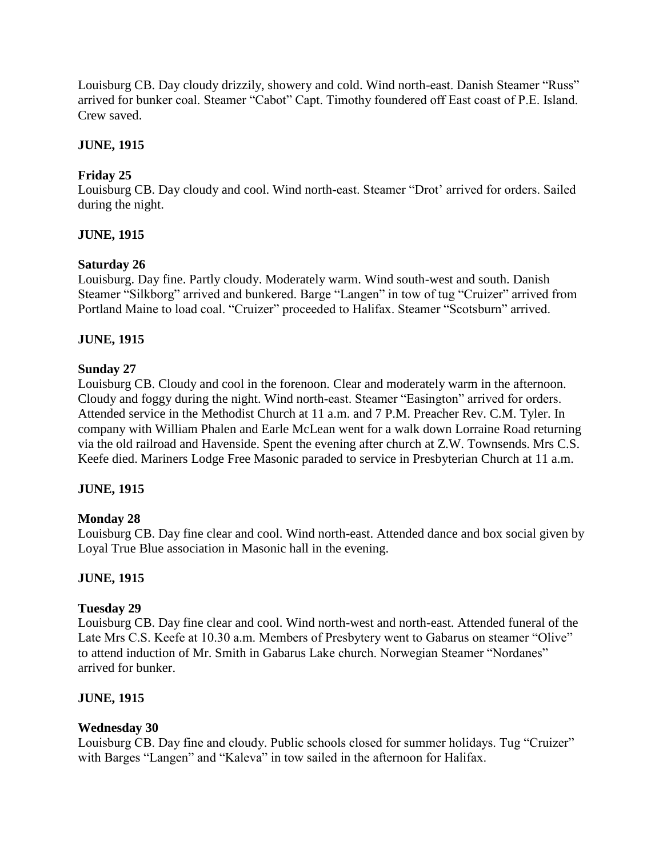Louisburg CB. Day cloudy drizzily, showery and cold. Wind north-east. Danish Steamer "Russ" arrived for bunker coal. Steamer "Cabot" Capt. Timothy foundered off East coast of P.E. Island. Crew saved.

### **JUNE, 1915**

## **Friday 25**

Louisburg CB. Day cloudy and cool. Wind north-east. Steamer "Drot' arrived for orders. Sailed during the night.

## **JUNE, 1915**

## **Saturday 26**

Louisburg. Day fine. Partly cloudy. Moderately warm. Wind south-west and south. Danish Steamer "Silkborg" arrived and bunkered. Barge "Langen" in tow of tug "Cruizer" arrived from Portland Maine to load coal. "Cruizer" proceeded to Halifax. Steamer "Scotsburn" arrived.

# **JUNE, 1915**

## **Sunday 27**

Louisburg CB. Cloudy and cool in the forenoon. Clear and moderately warm in the afternoon. Cloudy and foggy during the night. Wind north-east. Steamer "Easington" arrived for orders. Attended service in the Methodist Church at 11 a.m. and 7 P.M. Preacher Rev. C.M. Tyler. In company with William Phalen and Earle McLean went for a walk down Lorraine Road returning via the old railroad and Havenside. Spent the evening after church at Z.W. Townsends. Mrs C.S. Keefe died. Mariners Lodge Free Masonic paraded to service in Presbyterian Church at 11 a.m.

## **JUNE, 1915**

## **Monday 28**

Louisburg CB. Day fine clear and cool. Wind north-east. Attended dance and box social given by Loyal True Blue association in Masonic hall in the evening.

## **JUNE, 1915**

## **Tuesday 29**

Louisburg CB. Day fine clear and cool. Wind north-west and north-east. Attended funeral of the Late Mrs C.S. Keefe at 10.30 a.m. Members of Presbytery went to Gabarus on steamer "Olive" to attend induction of Mr. Smith in Gabarus Lake church. Norwegian Steamer "Nordanes" arrived for bunker.

## **JUNE, 1915**

## **Wednesday 30**

Louisburg CB. Day fine and cloudy. Public schools closed for summer holidays. Tug "Cruizer" with Barges "Langen" and "Kaleva" in tow sailed in the afternoon for Halifax.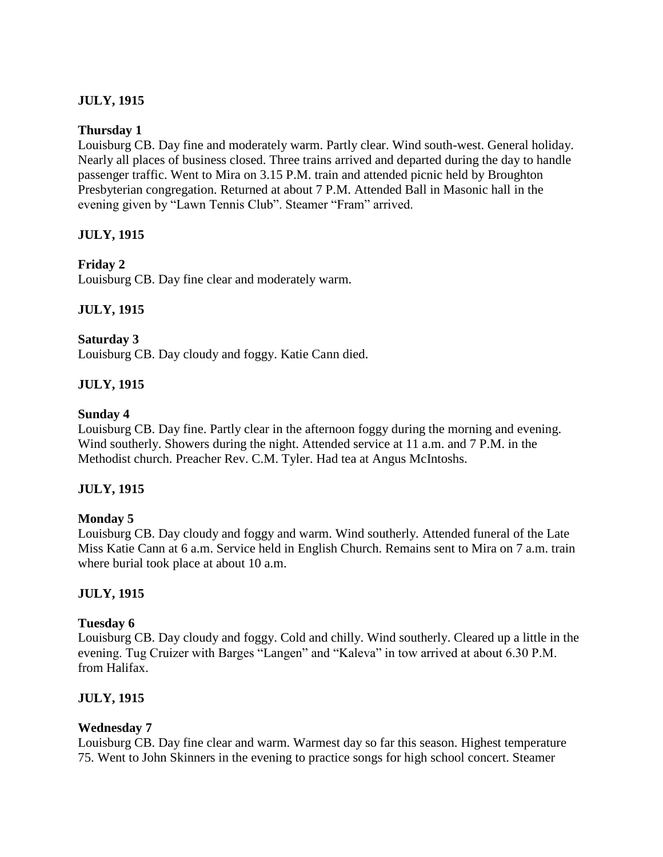# **JULY, 1915**

### **Thursday 1**

Louisburg CB. Day fine and moderately warm. Partly clear. Wind south-west. General holiday. Nearly all places of business closed. Three trains arrived and departed during the day to handle passenger traffic. Went to Mira on 3.15 P.M. train and attended picnic held by Broughton Presbyterian congregation. Returned at about 7 P.M. Attended Ball in Masonic hall in the evening given by "Lawn Tennis Club". Steamer "Fram" arrived.

## **JULY, 1915**

### **Friday 2**

Louisburg CB. Day fine clear and moderately warm.

## **JULY, 1915**

### **Saturday 3**

Louisburg CB. Day cloudy and foggy. Katie Cann died.

## **JULY, 1915**

### **Sunday 4**

Louisburg CB. Day fine. Partly clear in the afternoon foggy during the morning and evening. Wind southerly. Showers during the night. Attended service at 11 a.m. and 7 P.M. in the Methodist church. Preacher Rev. C.M. Tyler. Had tea at Angus McIntoshs.

## **JULY, 1915**

### **Monday 5**

Louisburg CB. Day cloudy and foggy and warm. Wind southerly. Attended funeral of the Late Miss Katie Cann at 6 a.m. Service held in English Church. Remains sent to Mira on 7 a.m. train where burial took place at about 10 a.m.

## **JULY, 1915**

### **Tuesday 6**

Louisburg CB. Day cloudy and foggy. Cold and chilly. Wind southerly. Cleared up a little in the evening. Tug Cruizer with Barges "Langen" and "Kaleva" in tow arrived at about 6.30 P.M. from Halifax.

## **JULY, 1915**

### **Wednesday 7**

Louisburg CB. Day fine clear and warm. Warmest day so far this season. Highest temperature 75. Went to John Skinners in the evening to practice songs for high school concert. Steamer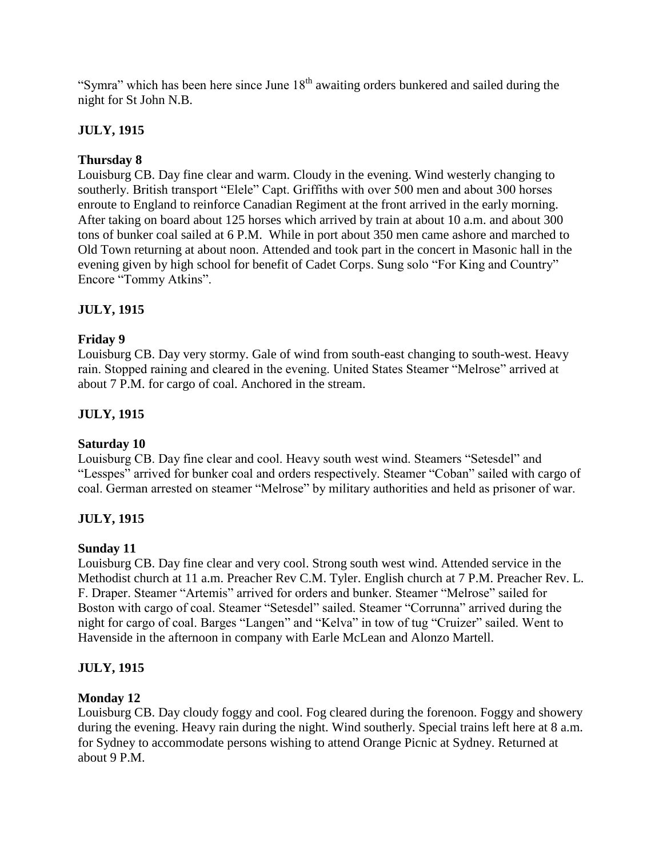"Symra" which has been here since June  $18<sup>th</sup>$  awaiting orders bunkered and sailed during the night for St John N.B.

# **JULY, 1915**

### **Thursday 8**

Louisburg CB. Day fine clear and warm. Cloudy in the evening. Wind westerly changing to southerly. British transport "Elele" Capt. Griffiths with over 500 men and about 300 horses enroute to England to reinforce Canadian Regiment at the front arrived in the early morning. After taking on board about 125 horses which arrived by train at about 10 a.m. and about 300 tons of bunker coal sailed at 6 P.M. While in port about 350 men came ashore and marched to Old Town returning at about noon. Attended and took part in the concert in Masonic hall in the evening given by high school for benefit of Cadet Corps. Sung solo "For King and Country" Encore "Tommy Atkins".

## **JULY, 1915**

### **Friday 9**

Louisburg CB. Day very stormy. Gale of wind from south-east changing to south-west. Heavy rain. Stopped raining and cleared in the evening. United States Steamer "Melrose" arrived at about 7 P.M. for cargo of coal. Anchored in the stream.

## **JULY, 1915**

## **Saturday 10**

Louisburg CB. Day fine clear and cool. Heavy south west wind. Steamers "Setesdel" and "Lesspes" arrived for bunker coal and orders respectively. Steamer "Coban" sailed with cargo of coal. German arrested on steamer "Melrose" by military authorities and held as prisoner of war.

## **JULY, 1915**

### **Sunday 11**

Louisburg CB. Day fine clear and very cool. Strong south west wind. Attended service in the Methodist church at 11 a.m. Preacher Rev C.M. Tyler. English church at 7 P.M. Preacher Rev. L. F. Draper. Steamer "Artemis" arrived for orders and bunker. Steamer "Melrose" sailed for Boston with cargo of coal. Steamer "Setesdel" sailed. Steamer "Corrunna" arrived during the night for cargo of coal. Barges "Langen" and "Kelva" in tow of tug "Cruizer" sailed. Went to Havenside in the afternoon in company with Earle McLean and Alonzo Martell.

## **JULY, 1915**

### **Monday 12**

Louisburg CB. Day cloudy foggy and cool. Fog cleared during the forenoon. Foggy and showery during the evening. Heavy rain during the night. Wind southerly. Special trains left here at 8 a.m. for Sydney to accommodate persons wishing to attend Orange Picnic at Sydney. Returned at about 9 P.M.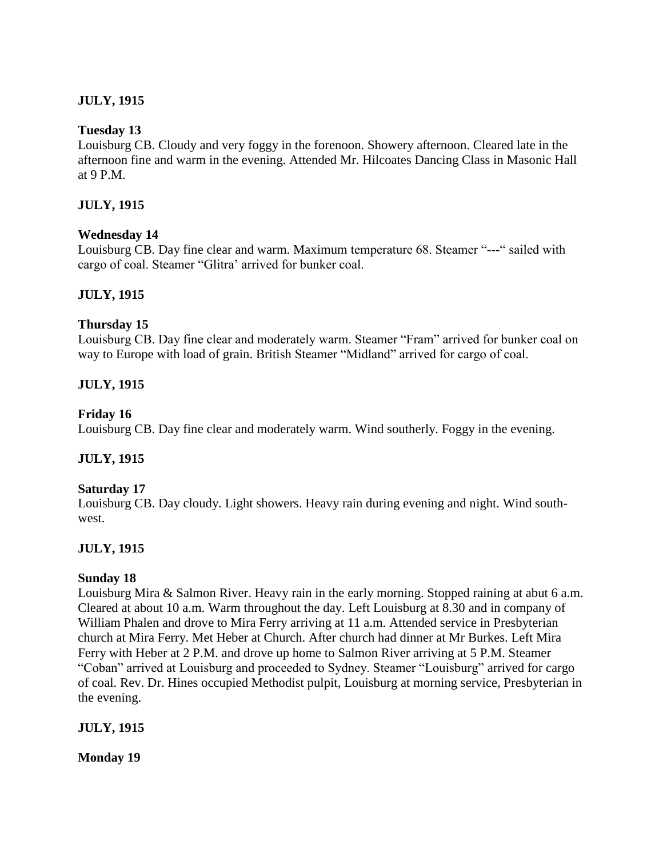# **JULY, 1915**

### **Tuesday 13**

Louisburg CB. Cloudy and very foggy in the forenoon. Showery afternoon. Cleared late in the afternoon fine and warm in the evening. Attended Mr. Hilcoates Dancing Class in Masonic Hall at 9 P.M.

### **JULY, 1915**

### **Wednesday 14**

Louisburg CB. Day fine clear and warm. Maximum temperature 68. Steamer "---" sailed with cargo of coal. Steamer "Glitra" arrived for bunker coal.

### **JULY, 1915**

### **Thursday 15**

Louisburg CB. Day fine clear and moderately warm. Steamer "Fram" arrived for bunker coal on way to Europe with load of grain. British Steamer "Midland" arrived for cargo of coal.

## **JULY, 1915**

### **Friday 16**

Louisburg CB. Day fine clear and moderately warm. Wind southerly. Foggy in the evening.

## **JULY, 1915**

### **Saturday 17**

Louisburg CB. Day cloudy. Light showers. Heavy rain during evening and night. Wind southwest.

## **JULY, 1915**

### **Sunday 18**

Louisburg Mira & Salmon River. Heavy rain in the early morning. Stopped raining at abut 6 a.m. Cleared at about 10 a.m. Warm throughout the day. Left Louisburg at 8.30 and in company of William Phalen and drove to Mira Ferry arriving at 11 a.m. Attended service in Presbyterian church at Mira Ferry. Met Heber at Church. After church had dinner at Mr Burkes. Left Mira Ferry with Heber at 2 P.M. and drove up home to Salmon River arriving at 5 P.M. Steamer "Coban" arrived at Louisburg and proceeded to Sydney. Steamer "Louisburg" arrived for cargo of coal. Rev. Dr. Hines occupied Methodist pulpit, Louisburg at morning service, Presbyterian in the evening.

### **JULY, 1915**

**Monday 19**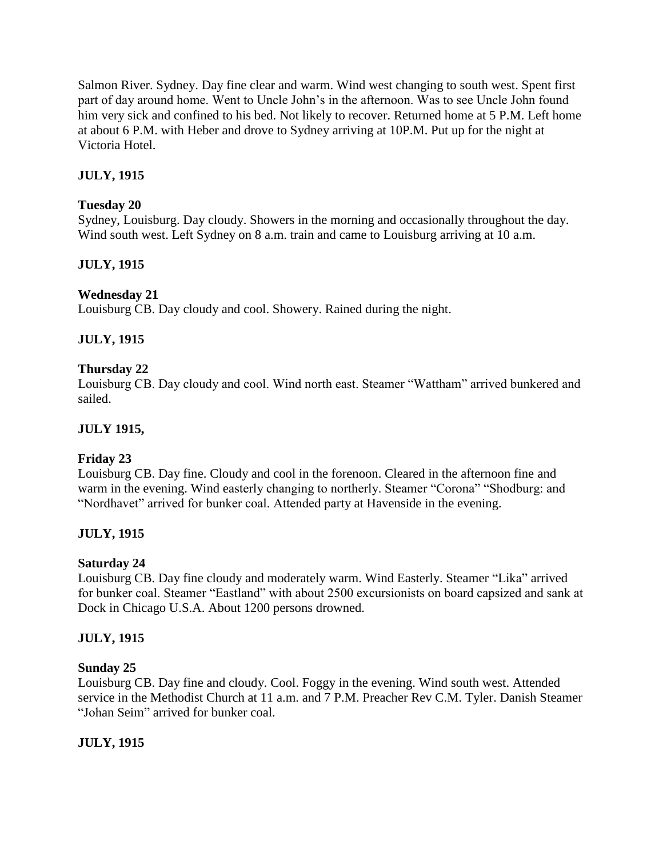Salmon River. Sydney. Day fine clear and warm. Wind west changing to south west. Spent first part of day around home. Went to Uncle John"s in the afternoon. Was to see Uncle John found him very sick and confined to his bed. Not likely to recover. Returned home at 5 P.M. Left home at about 6 P.M. with Heber and drove to Sydney arriving at 10P.M. Put up for the night at Victoria Hotel.

# **JULY, 1915**

# **Tuesday 20**

Sydney, Louisburg. Day cloudy. Showers in the morning and occasionally throughout the day. Wind south west. Left Sydney on 8 a.m. train and came to Louisburg arriving at 10 a.m.

## **JULY, 1915**

## **Wednesday 21**

Louisburg CB. Day cloudy and cool. Showery. Rained during the night.

# **JULY, 1915**

## **Thursday 22**

Louisburg CB. Day cloudy and cool. Wind north east. Steamer "Wattham" arrived bunkered and sailed.

## **JULY 1915,**

## **Friday 23**

Louisburg CB. Day fine. Cloudy and cool in the forenoon. Cleared in the afternoon fine and warm in the evening. Wind easterly changing to northerly. Steamer "Corona" "Shodburg: and "Nordhavet" arrived for bunker coal. Attended party at Havenside in the evening.

## **JULY, 1915**

## **Saturday 24**

Louisburg CB. Day fine cloudy and moderately warm. Wind Easterly. Steamer "Lika" arrived for bunker coal. Steamer "Eastland" with about 2500 excursionists on board capsized and sank at Dock in Chicago U.S.A. About 1200 persons drowned.

## **JULY, 1915**

## **Sunday 25**

Louisburg CB. Day fine and cloudy. Cool. Foggy in the evening. Wind south west. Attended service in the Methodist Church at 11 a.m. and 7 P.M. Preacher Rev C.M. Tyler. Danish Steamer "Johan Seim" arrived for bunker coal.

# **JULY, 1915**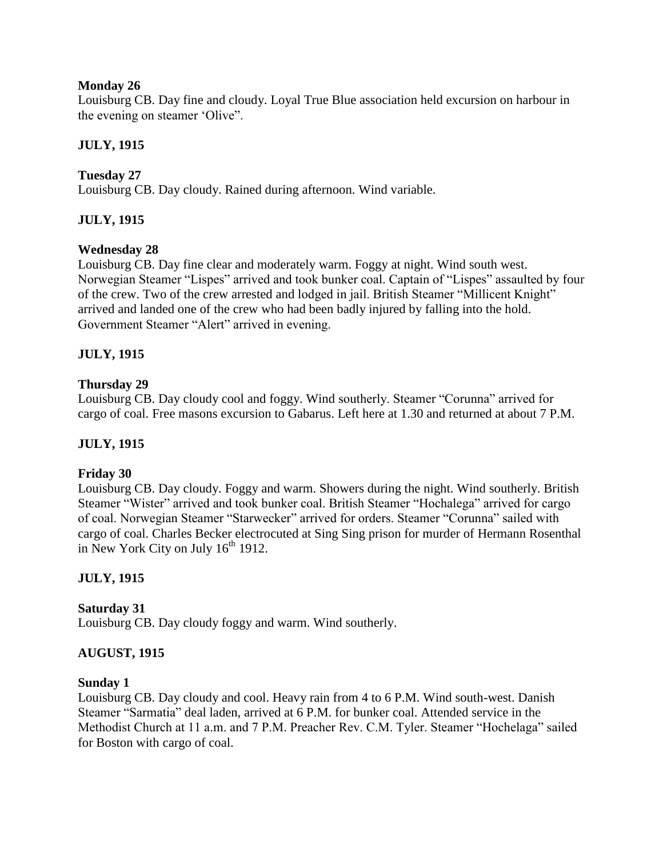### **Monday 26**

Louisburg CB. Day fine and cloudy. Loyal True Blue association held excursion on harbour in the evening on steamer "Olive".

# **JULY, 1915**

# **Tuesday 27**

Louisburg CB. Day cloudy. Rained during afternoon. Wind variable.

## **JULY, 1915**

### **Wednesday 28**

Louisburg CB. Day fine clear and moderately warm. Foggy at night. Wind south west. Norwegian Steamer "Lispes" arrived and took bunker coal. Captain of "Lispes" assaulted by four of the crew. Two of the crew arrested and lodged in jail. British Steamer "Millicent Knight" arrived and landed one of the crew who had been badly injured by falling into the hold. Government Steamer "Alert" arrived in evening.

## **JULY, 1915**

### **Thursday 29**

Louisburg CB. Day cloudy cool and foggy. Wind southerly. Steamer "Corunna" arrived for cargo of coal. Free masons excursion to Gabarus. Left here at 1.30 and returned at about 7 P.M.

## **JULY, 1915**

### **Friday 30**

Louisburg CB. Day cloudy. Foggy and warm. Showers during the night. Wind southerly. British Steamer "Wister" arrived and took bunker coal. British Steamer "Hochalega" arrived for cargo of coal. Norwegian Steamer "Starwecker" arrived for orders. Steamer "Corunna" sailed with cargo of coal. Charles Becker electrocuted at Sing Sing prison for murder of Hermann Rosenthal in New York City on July  $16<sup>th</sup> 1912$ .

## **JULY, 1915**

### **Saturday 31**

Louisburg CB. Day cloudy foggy and warm. Wind southerly.

### **AUGUST, 1915**

### **Sunday 1**

Louisburg CB. Day cloudy and cool. Heavy rain from 4 to 6 P.M. Wind south-west. Danish Steamer "Sarmatia" deal laden, arrived at 6 P.M. for bunker coal. Attended service in the Methodist Church at 11 a.m. and 7 P.M. Preacher Rev. C.M. Tyler. Steamer "Hochelaga" sailed for Boston with cargo of coal.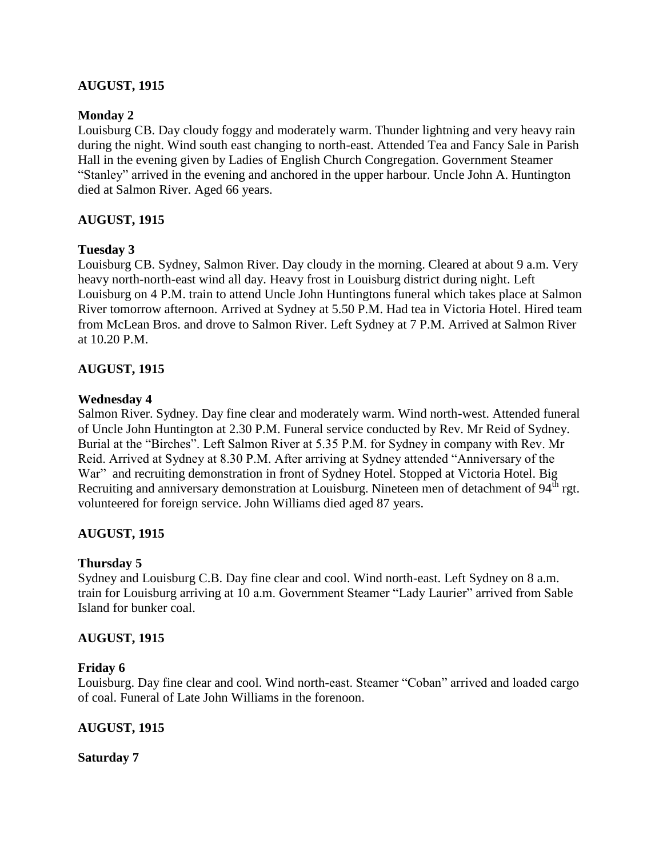### **AUGUST, 1915**

### **Monday 2**

Louisburg CB. Day cloudy foggy and moderately warm. Thunder lightning and very heavy rain during the night. Wind south east changing to north-east. Attended Tea and Fancy Sale in Parish Hall in the evening given by Ladies of English Church Congregation. Government Steamer "Stanley" arrived in the evening and anchored in the upper harbour. Uncle John A. Huntington died at Salmon River. Aged 66 years.

### **AUGUST, 1915**

### **Tuesday 3**

Louisburg CB. Sydney, Salmon River. Day cloudy in the morning. Cleared at about 9 a.m. Very heavy north-north-east wind all day. Heavy frost in Louisburg district during night. Left Louisburg on 4 P.M. train to attend Uncle John Huntingtons funeral which takes place at Salmon River tomorrow afternoon. Arrived at Sydney at 5.50 P.M. Had tea in Victoria Hotel. Hired team from McLean Bros. and drove to Salmon River. Left Sydney at 7 P.M. Arrived at Salmon River at 10.20 P.M.

### **AUGUST, 1915**

#### **Wednesday 4**

Salmon River. Sydney. Day fine clear and moderately warm. Wind north-west. Attended funeral of Uncle John Huntington at 2.30 P.M. Funeral service conducted by Rev. Mr Reid of Sydney. Burial at the "Birches". Left Salmon River at 5.35 P.M. for Sydney in company with Rev. Mr Reid. Arrived at Sydney at 8.30 P.M. After arriving at Sydney attended "Anniversary of the War" and recruiting demonstration in front of Sydney Hotel. Stopped at Victoria Hotel. Big Recruiting and anniversary demonstration at Louisburg. Nineteen men of detachment of 94<sup>th</sup> rgt. volunteered for foreign service. John Williams died aged 87 years.

### **AUGUST, 1915**

### **Thursday 5**

Sydney and Louisburg C.B. Day fine clear and cool. Wind north-east. Left Sydney on 8 a.m. train for Louisburg arriving at 10 a.m. Government Steamer "Lady Laurier" arrived from Sable Island for bunker coal.

### **AUGUST, 1915**

### **Friday 6**

Louisburg. Day fine clear and cool. Wind north-east. Steamer "Coban" arrived and loaded cargo of coal. Funeral of Late John Williams in the forenoon.

### **AUGUST, 1915**

**Saturday 7**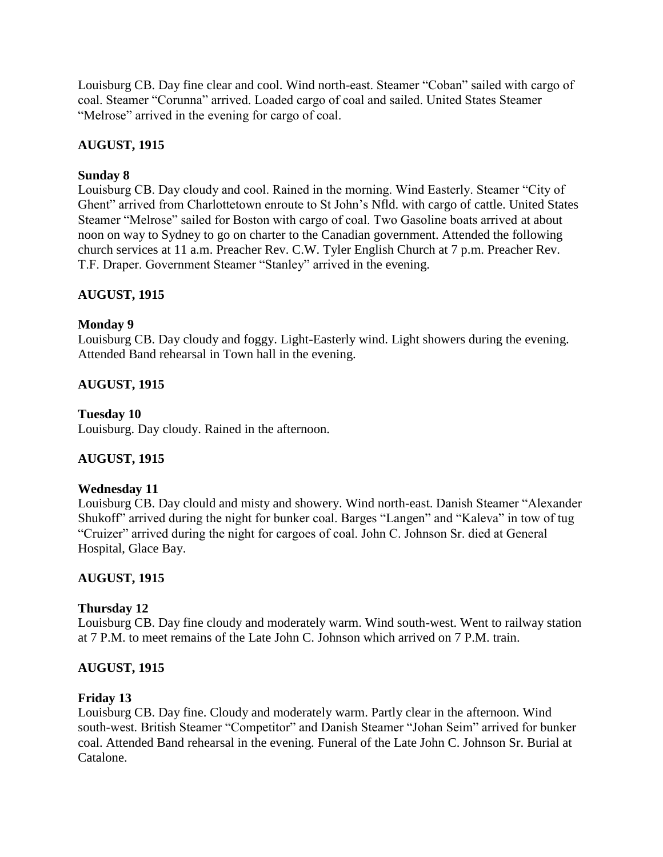Louisburg CB. Day fine clear and cool. Wind north-east. Steamer "Coban" sailed with cargo of coal. Steamer "Corunna" arrived. Loaded cargo of coal and sailed. United States Steamer "Melrose" arrived in the evening for cargo of coal.

# **AUGUST, 1915**

### **Sunday 8**

Louisburg CB. Day cloudy and cool. Rained in the morning. Wind Easterly. Steamer "City of Ghent" arrived from Charlottetown enroute to St John"s Nfld. with cargo of cattle. United States Steamer "Melrose" sailed for Boston with cargo of coal. Two Gasoline boats arrived at about noon on way to Sydney to go on charter to the Canadian government. Attended the following church services at 11 a.m. Preacher Rev. C.W. Tyler English Church at 7 p.m. Preacher Rev. T.F. Draper. Government Steamer "Stanley" arrived in the evening.

### **AUGUST, 1915**

### **Monday 9**

Louisburg CB. Day cloudy and foggy. Light-Easterly wind. Light showers during the evening. Attended Band rehearsal in Town hall in the evening.

## **AUGUST, 1915**

### **Tuesday 10**

Louisburg. Day cloudy. Rained in the afternoon.

## **AUGUST, 1915**

### **Wednesday 11**

Louisburg CB. Day clould and misty and showery. Wind north-east. Danish Steamer "Alexander Shukoff" arrived during the night for bunker coal. Barges "Langen" and "Kaleva" in tow of tug "Cruizer" arrived during the night for cargoes of coal. John C. Johnson Sr. died at General Hospital, Glace Bay.

### **AUGUST, 1915**

### **Thursday 12**

Louisburg CB. Day fine cloudy and moderately warm. Wind south-west. Went to railway station at 7 P.M. to meet remains of the Late John C. Johnson which arrived on 7 P.M. train.

### **AUGUST, 1915**

### **Friday 13**

Louisburg CB. Day fine. Cloudy and moderately warm. Partly clear in the afternoon. Wind south-west. British Steamer "Competitor" and Danish Steamer "Johan Seim" arrived for bunker coal. Attended Band rehearsal in the evening. Funeral of the Late John C. Johnson Sr. Burial at Catalone.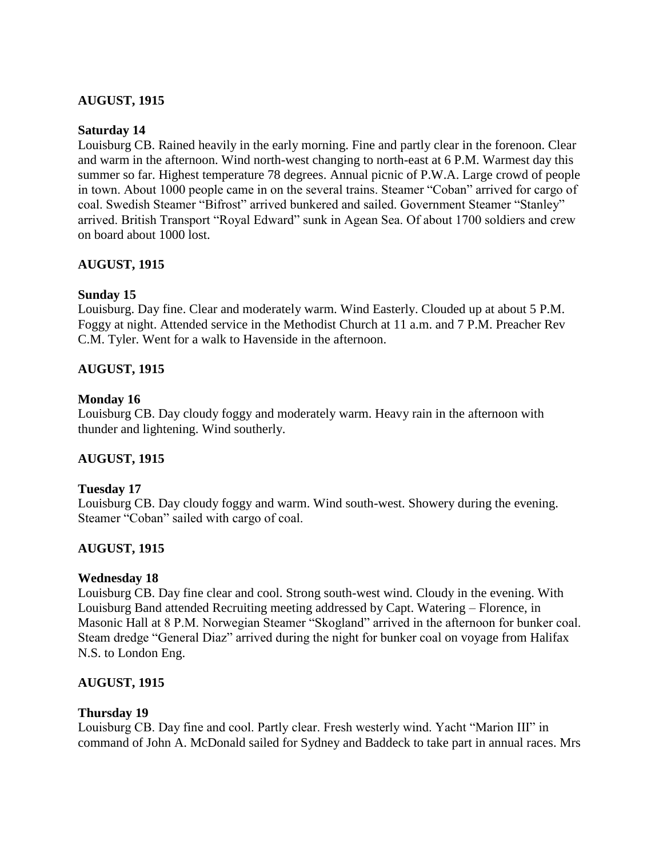### **AUGUST, 1915**

#### **Saturday 14**

Louisburg CB. Rained heavily in the early morning. Fine and partly clear in the forenoon. Clear and warm in the afternoon. Wind north-west changing to north-east at 6 P.M. Warmest day this summer so far. Highest temperature 78 degrees. Annual picnic of P.W.A. Large crowd of people in town. About 1000 people came in on the several trains. Steamer "Coban" arrived for cargo of coal. Swedish Steamer "Bifrost" arrived bunkered and sailed. Government Steamer "Stanley" arrived. British Transport "Royal Edward" sunk in Agean Sea. Of about 1700 soldiers and crew on board about 1000 lost.

### **AUGUST, 1915**

### **Sunday 15**

Louisburg. Day fine. Clear and moderately warm. Wind Easterly. Clouded up at about 5 P.M. Foggy at night. Attended service in the Methodist Church at 11 a.m. and 7 P.M. Preacher Rev C.M. Tyler. Went for a walk to Havenside in the afternoon.

### **AUGUST, 1915**

### **Monday 16**

Louisburg CB. Day cloudy foggy and moderately warm. Heavy rain in the afternoon with thunder and lightening. Wind southerly.

### **AUGUST, 1915**

### **Tuesday 17**

Louisburg CB. Day cloudy foggy and warm. Wind south-west. Showery during the evening. Steamer "Coban" sailed with cargo of coal.

### **AUGUST, 1915**

### **Wednesday 18**

Louisburg CB. Day fine clear and cool. Strong south-west wind. Cloudy in the evening. With Louisburg Band attended Recruiting meeting addressed by Capt. Watering – Florence, in Masonic Hall at 8 P.M. Norwegian Steamer "Skogland" arrived in the afternoon for bunker coal. Steam dredge "General Diaz" arrived during the night for bunker coal on voyage from Halifax N.S. to London Eng.

### **AUGUST, 1915**

### **Thursday 19**

Louisburg CB. Day fine and cool. Partly clear. Fresh westerly wind. Yacht "Marion III" in command of John A. McDonald sailed for Sydney and Baddeck to take part in annual races. Mrs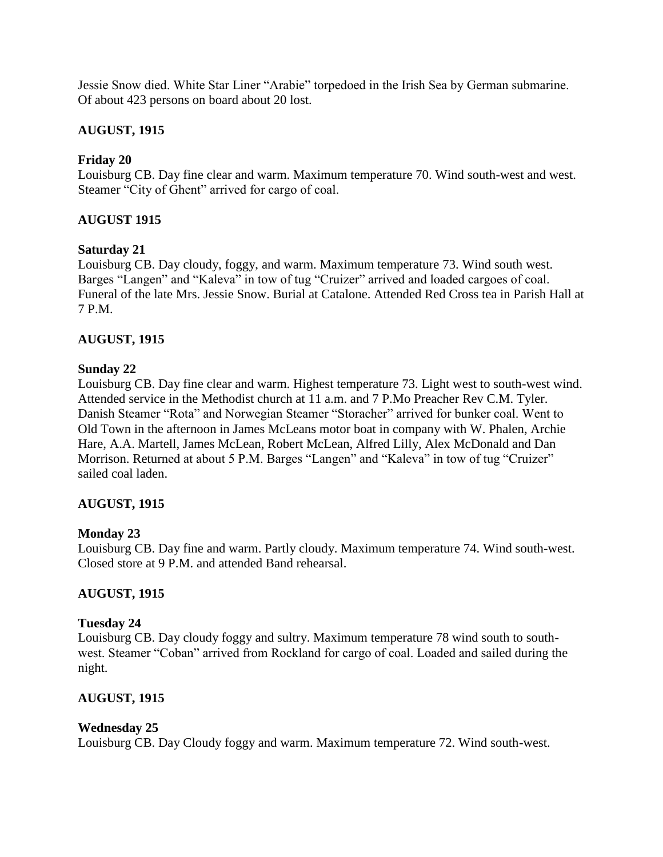Jessie Snow died. White Star Liner "Arabie" torpedoed in the Irish Sea by German submarine. Of about 423 persons on board about 20 lost.

### **AUGUST, 1915**

### **Friday 20**

Louisburg CB. Day fine clear and warm. Maximum temperature 70. Wind south-west and west. Steamer "City of Ghent" arrived for cargo of coal.

### **AUGUST 1915**

### **Saturday 21**

Louisburg CB. Day cloudy, foggy, and warm. Maximum temperature 73. Wind south west. Barges "Langen" and "Kaleva" in tow of tug "Cruizer" arrived and loaded cargoes of coal. Funeral of the late Mrs. Jessie Snow. Burial at Catalone. Attended Red Cross tea in Parish Hall at 7 P.M.

### **AUGUST, 1915**

### **Sunday 22**

Louisburg CB. Day fine clear and warm. Highest temperature 73. Light west to south-west wind. Attended service in the Methodist church at 11 a.m. and 7 P.Mo Preacher Rev C.M. Tyler. Danish Steamer "Rota" and Norwegian Steamer "Storacher" arrived for bunker coal. Went to Old Town in the afternoon in James McLeans motor boat in company with W. Phalen, Archie Hare, A.A. Martell, James McLean, Robert McLean, Alfred Lilly, Alex McDonald and Dan Morrison. Returned at about 5 P.M. Barges "Langen" and "Kaleva" in tow of tug "Cruizer" sailed coal laden.

### **AUGUST, 1915**

### **Monday 23**

Louisburg CB. Day fine and warm. Partly cloudy. Maximum temperature 74. Wind south-west. Closed store at 9 P.M. and attended Band rehearsal.

### **AUGUST, 1915**

### **Tuesday 24**

Louisburg CB. Day cloudy foggy and sultry. Maximum temperature 78 wind south to southwest. Steamer "Coban" arrived from Rockland for cargo of coal. Loaded and sailed during the night.

### **AUGUST, 1915**

### **Wednesday 25**

Louisburg CB. Day Cloudy foggy and warm. Maximum temperature 72. Wind south-west.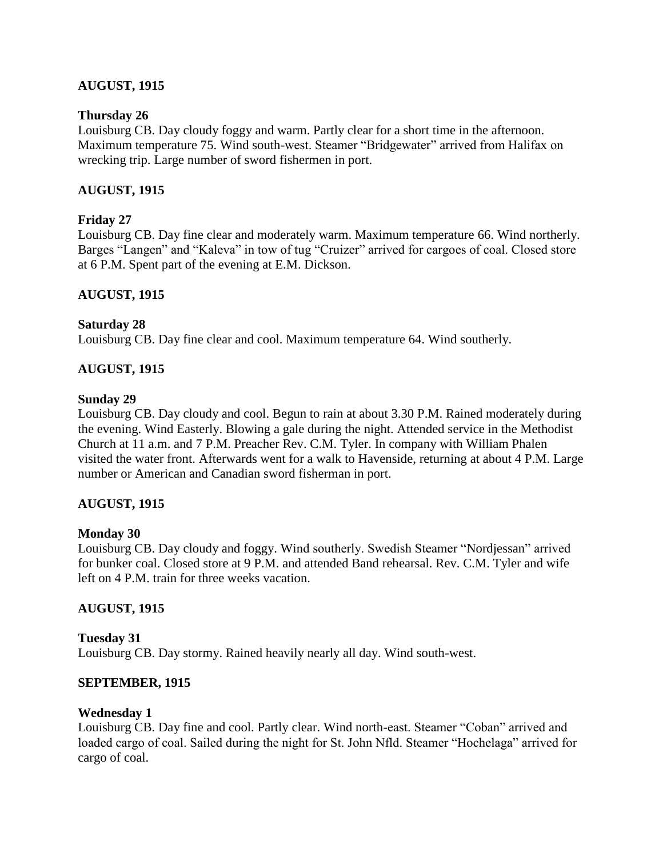### **AUGUST, 1915**

### **Thursday 26**

Louisburg CB. Day cloudy foggy and warm. Partly clear for a short time in the afternoon. Maximum temperature 75. Wind south-west. Steamer "Bridgewater" arrived from Halifax on wrecking trip. Large number of sword fishermen in port.

### **AUGUST, 1915**

### **Friday 27**

Louisburg CB. Day fine clear and moderately warm. Maximum temperature 66. Wind northerly. Barges "Langen" and "Kaleva" in tow of tug "Cruizer" arrived for cargoes of coal. Closed store at 6 P.M. Spent part of the evening at E.M. Dickson.

### **AUGUST, 1915**

#### **Saturday 28**

Louisburg CB. Day fine clear and cool. Maximum temperature 64. Wind southerly.

### **AUGUST, 1915**

#### **Sunday 29**

Louisburg CB. Day cloudy and cool. Begun to rain at about 3.30 P.M. Rained moderately during the evening. Wind Easterly. Blowing a gale during the night. Attended service in the Methodist Church at 11 a.m. and 7 P.M. Preacher Rev. C.M. Tyler. In company with William Phalen visited the water front. Afterwards went for a walk to Havenside, returning at about 4 P.M. Large number or American and Canadian sword fisherman in port.

### **AUGUST, 1915**

### **Monday 30**

Louisburg CB. Day cloudy and foggy. Wind southerly. Swedish Steamer "Nordjessan" arrived for bunker coal. Closed store at 9 P.M. and attended Band rehearsal. Rev. C.M. Tyler and wife left on 4 P.M. train for three weeks vacation.

### **AUGUST, 1915**

**Tuesday 31** Louisburg CB. Day stormy. Rained heavily nearly all day. Wind south-west.

#### **SEPTEMBER, 1915**

### **Wednesday 1**

Louisburg CB. Day fine and cool. Partly clear. Wind north-east. Steamer "Coban" arrived and loaded cargo of coal. Sailed during the night for St. John Nfld. Steamer "Hochelaga" arrived for cargo of coal.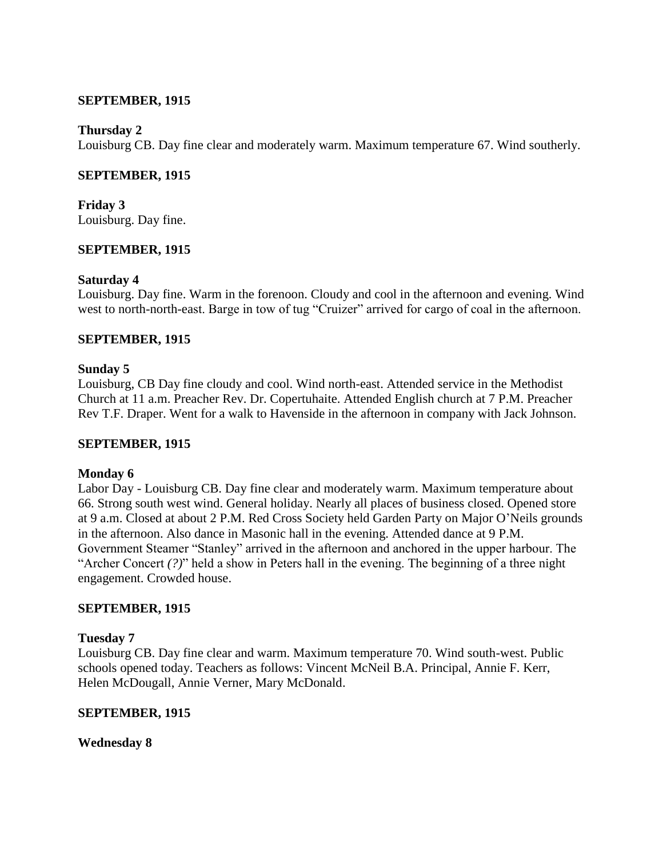#### **SEPTEMBER, 1915**

#### **Thursday 2**

Louisburg CB. Day fine clear and moderately warm. Maximum temperature 67. Wind southerly.

### **SEPTEMBER, 1915**

**Friday 3** Louisburg. Day fine.

### **SEPTEMBER, 1915**

### **Saturday 4**

Louisburg. Day fine. Warm in the forenoon. Cloudy and cool in the afternoon and evening. Wind west to north-north-east. Barge in tow of tug "Cruizer" arrived for cargo of coal in the afternoon.

### **SEPTEMBER, 1915**

### **Sunday 5**

Louisburg, CB Day fine cloudy and cool. Wind north-east. Attended service in the Methodist Church at 11 a.m. Preacher Rev. Dr. Copertuhaite. Attended English church at 7 P.M. Preacher Rev T.F. Draper. Went for a walk to Havenside in the afternoon in company with Jack Johnson.

### **SEPTEMBER, 1915**

### **Monday 6**

Labor Day - Louisburg CB. Day fine clear and moderately warm. Maximum temperature about 66. Strong south west wind. General holiday. Nearly all places of business closed. Opened store at 9 a.m. Closed at about 2 P.M. Red Cross Society held Garden Party on Major O"Neils grounds in the afternoon. Also dance in Masonic hall in the evening. Attended dance at 9 P.M. Government Steamer "Stanley" arrived in the afternoon and anchored in the upper harbour. The "Archer Concert *(?)*" held a show in Peters hall in the evening. The beginning of a three night engagement. Crowded house.

### **SEPTEMBER, 1915**

### **Tuesday 7**

Louisburg CB. Day fine clear and warm. Maximum temperature 70. Wind south-west. Public schools opened today. Teachers as follows: Vincent McNeil B.A. Principal, Annie F. Kerr, Helen McDougall, Annie Verner, Mary McDonald.

### **SEPTEMBER, 1915**

### **Wednesday 8**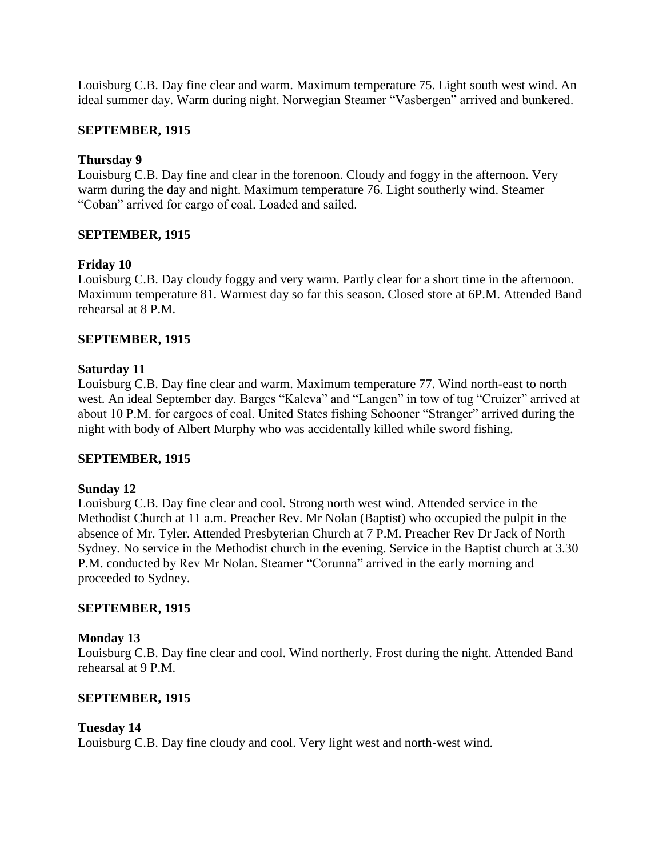Louisburg C.B. Day fine clear and warm. Maximum temperature 75. Light south west wind. An ideal summer day. Warm during night. Norwegian Steamer "Vasbergen" arrived and bunkered.

### **SEPTEMBER, 1915**

### **Thursday 9**

Louisburg C.B. Day fine and clear in the forenoon. Cloudy and foggy in the afternoon. Very warm during the day and night. Maximum temperature 76. Light southerly wind. Steamer "Coban" arrived for cargo of coal. Loaded and sailed.

### **SEPTEMBER, 1915**

### **Friday 10**

Louisburg C.B. Day cloudy foggy and very warm. Partly clear for a short time in the afternoon. Maximum temperature 81. Warmest day so far this season. Closed store at 6P.M. Attended Band rehearsal at 8 P.M.

### **SEPTEMBER, 1915**

### **Saturday 11**

Louisburg C.B. Day fine clear and warm. Maximum temperature 77. Wind north-east to north west. An ideal September day. Barges "Kaleva" and "Langen" in tow of tug "Cruizer" arrived at about 10 P.M. for cargoes of coal. United States fishing Schooner "Stranger" arrived during the night with body of Albert Murphy who was accidentally killed while sword fishing.

### **SEPTEMBER, 1915**

### **Sunday 12**

Louisburg C.B. Day fine clear and cool. Strong north west wind. Attended service in the Methodist Church at 11 a.m. Preacher Rev. Mr Nolan (Baptist) who occupied the pulpit in the absence of Mr. Tyler. Attended Presbyterian Church at 7 P.M. Preacher Rev Dr Jack of North Sydney. No service in the Methodist church in the evening. Service in the Baptist church at 3.30 P.M. conducted by Rev Mr Nolan. Steamer "Corunna" arrived in the early morning and proceeded to Sydney.

### **SEPTEMBER, 1915**

### **Monday 13**

Louisburg C.B. Day fine clear and cool. Wind northerly. Frost during the night. Attended Band rehearsal at 9 P.M.

### **SEPTEMBER, 1915**

### **Tuesday 14**

Louisburg C.B. Day fine cloudy and cool. Very light west and north-west wind.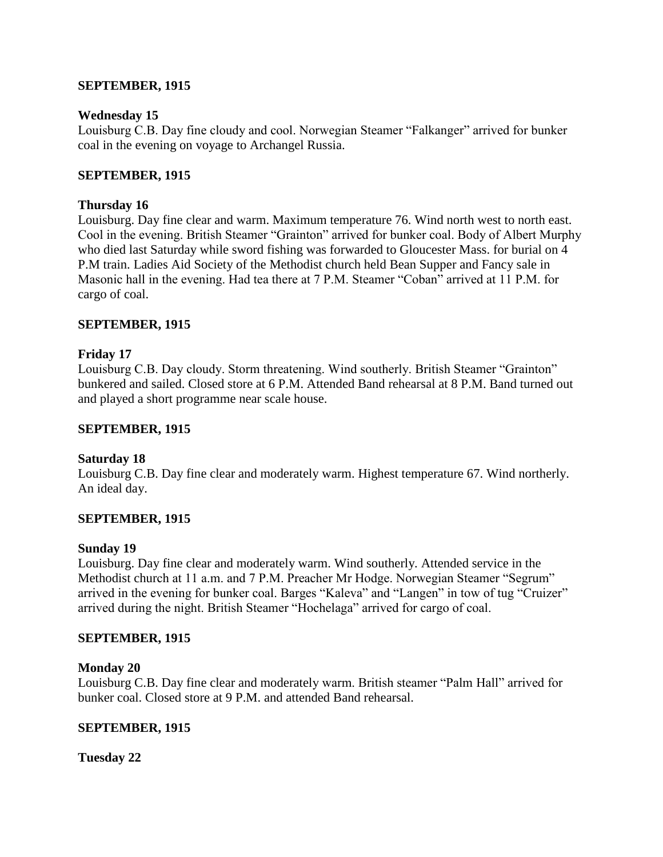### **SEPTEMBER, 1915**

### **Wednesday 15**

Louisburg C.B. Day fine cloudy and cool. Norwegian Steamer "Falkanger" arrived for bunker coal in the evening on voyage to Archangel Russia.

### **SEPTEMBER, 1915**

### **Thursday 16**

Louisburg. Day fine clear and warm. Maximum temperature 76. Wind north west to north east. Cool in the evening. British Steamer "Grainton" arrived for bunker coal. Body of Albert Murphy who died last Saturday while sword fishing was forwarded to Gloucester Mass. for burial on 4 P.M train. Ladies Aid Society of the Methodist church held Bean Supper and Fancy sale in Masonic hall in the evening. Had tea there at 7 P.M. Steamer "Coban" arrived at 11 P.M. for cargo of coal.

### **SEPTEMBER, 1915**

### **Friday 17**

Louisburg C.B. Day cloudy. Storm threatening. Wind southerly. British Steamer "Grainton" bunkered and sailed. Closed store at 6 P.M. Attended Band rehearsal at 8 P.M. Band turned out and played a short programme near scale house.

### **SEPTEMBER, 1915**

### **Saturday 18**

Louisburg C.B. Day fine clear and moderately warm. Highest temperature 67. Wind northerly. An ideal day.

### **SEPTEMBER, 1915**

### **Sunday 19**

Louisburg. Day fine clear and moderately warm. Wind southerly. Attended service in the Methodist church at 11 a.m. and 7 P.M. Preacher Mr Hodge. Norwegian Steamer "Segrum" arrived in the evening for bunker coal. Barges "Kaleva" and "Langen" in tow of tug "Cruizer" arrived during the night. British Steamer "Hochelaga" arrived for cargo of coal.

### **SEPTEMBER, 1915**

### **Monday 20**

Louisburg C.B. Day fine clear and moderately warm. British steamer "Palm Hall" arrived for bunker coal. Closed store at 9 P.M. and attended Band rehearsal.

### **SEPTEMBER, 1915**

**Tuesday 22**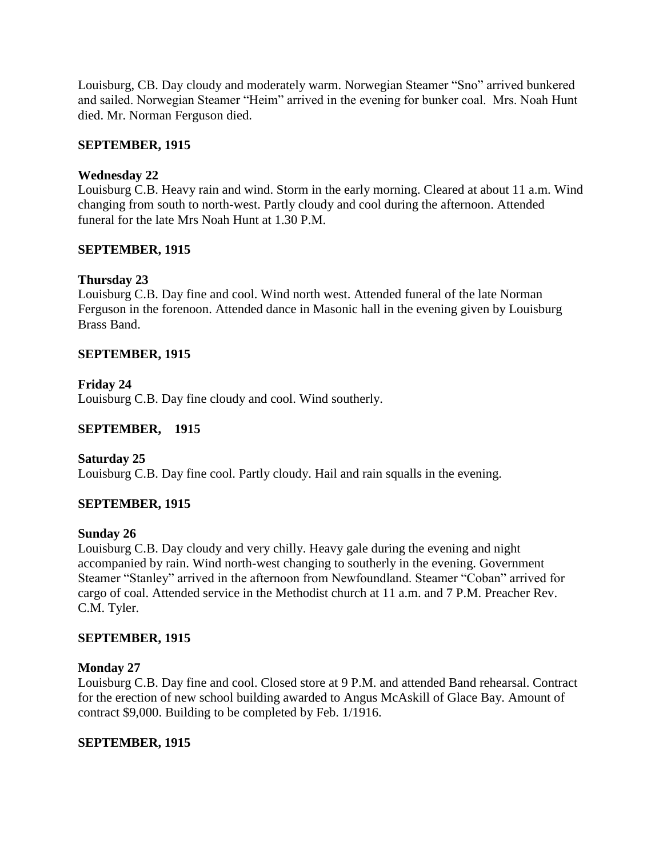Louisburg, CB. Day cloudy and moderately warm. Norwegian Steamer "Sno" arrived bunkered and sailed. Norwegian Steamer "Heim" arrived in the evening for bunker coal. Mrs. Noah Hunt died. Mr. Norman Ferguson died.

### **SEPTEMBER, 1915**

### **Wednesday 22**

Louisburg C.B. Heavy rain and wind. Storm in the early morning. Cleared at about 11 a.m. Wind changing from south to north-west. Partly cloudy and cool during the afternoon. Attended funeral for the late Mrs Noah Hunt at 1.30 P.M.

### **SEPTEMBER, 1915**

## **Thursday 23**

Louisburg C.B. Day fine and cool. Wind north west. Attended funeral of the late Norman Ferguson in the forenoon. Attended dance in Masonic hall in the evening given by Louisburg Brass Band.

### **SEPTEMBER, 1915**

### **Friday 24**

Louisburg C.B. Day fine cloudy and cool. Wind southerly.

### **SEPTEMBER, 1915**

### **Saturday 25**

Louisburg C.B. Day fine cool. Partly cloudy. Hail and rain squalls in the evening.

### **SEPTEMBER, 1915**

### **Sunday 26**

Louisburg C.B. Day cloudy and very chilly. Heavy gale during the evening and night accompanied by rain. Wind north-west changing to southerly in the evening. Government Steamer "Stanley" arrived in the afternoon from Newfoundland. Steamer "Coban" arrived for cargo of coal. Attended service in the Methodist church at 11 a.m. and 7 P.M. Preacher Rev. C.M. Tyler.

### **SEPTEMBER, 1915**

### **Monday 27**

Louisburg C.B. Day fine and cool. Closed store at 9 P.M. and attended Band rehearsal. Contract for the erection of new school building awarded to Angus McAskill of Glace Bay. Amount of contract \$9,000. Building to be completed by Feb. 1/1916.

### **SEPTEMBER, 1915**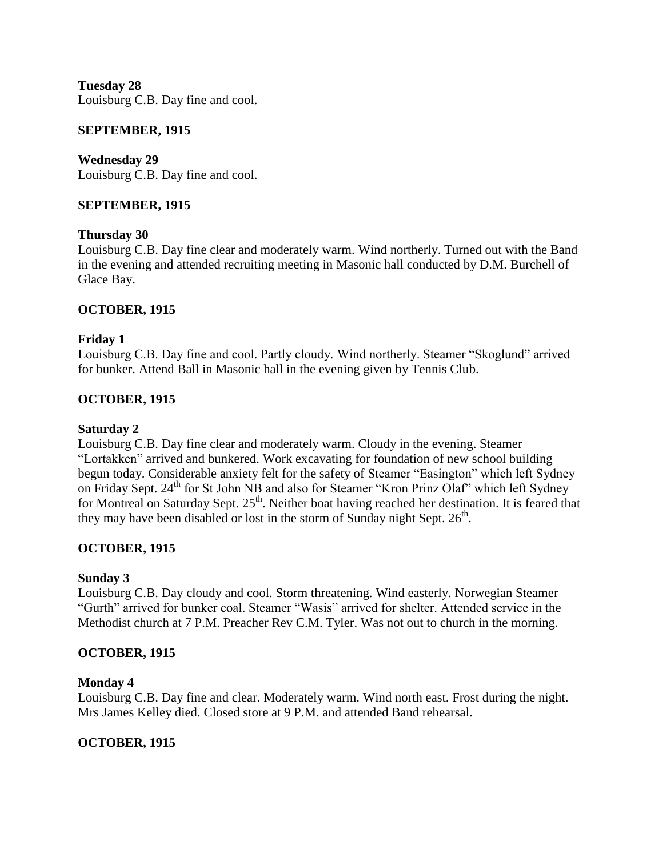**Tuesday 28** Louisburg C.B. Day fine and cool.

#### **SEPTEMBER, 1915**

**Wednesday 29** Louisburg C.B. Day fine and cool.

#### **SEPTEMBER, 1915**

#### **Thursday 30**

Louisburg C.B. Day fine clear and moderately warm. Wind northerly. Turned out with the Band in the evening and attended recruiting meeting in Masonic hall conducted by D.M. Burchell of Glace Bay.

### **OCTOBER, 1915**

#### **Friday 1**

Louisburg C.B. Day fine and cool. Partly cloudy. Wind northerly. Steamer "Skoglund" arrived for bunker. Attend Ball in Masonic hall in the evening given by Tennis Club.

### **OCTOBER, 1915**

#### **Saturday 2**

Louisburg C.B. Day fine clear and moderately warm. Cloudy in the evening. Steamer "Lortakken" arrived and bunkered. Work excavating for foundation of new school building begun today. Considerable anxiety felt for the safety of Steamer "Easington" which left Sydney on Friday Sept. 24<sup>th</sup> for St John NB and also for Steamer "Kron Prinz Olaf" which left Sydney for Montreal on Saturday Sept. 25<sup>th</sup>. Neither boat having reached her destination. It is feared that they may have been disabled or lost in the storm of Sunday night Sept.  $26<sup>th</sup>$ .

### **OCTOBER, 1915**

#### **Sunday 3**

Louisburg C.B. Day cloudy and cool. Storm threatening. Wind easterly. Norwegian Steamer "Gurth" arrived for bunker coal. Steamer "Wasis" arrived for shelter. Attended service in the Methodist church at 7 P.M. Preacher Rev C.M. Tyler. Was not out to church in the morning.

#### **OCTOBER, 1915**

#### **Monday 4**

Louisburg C.B. Day fine and clear. Moderately warm. Wind north east. Frost during the night. Mrs James Kelley died. Closed store at 9 P.M. and attended Band rehearsal.

### **OCTOBER, 1915**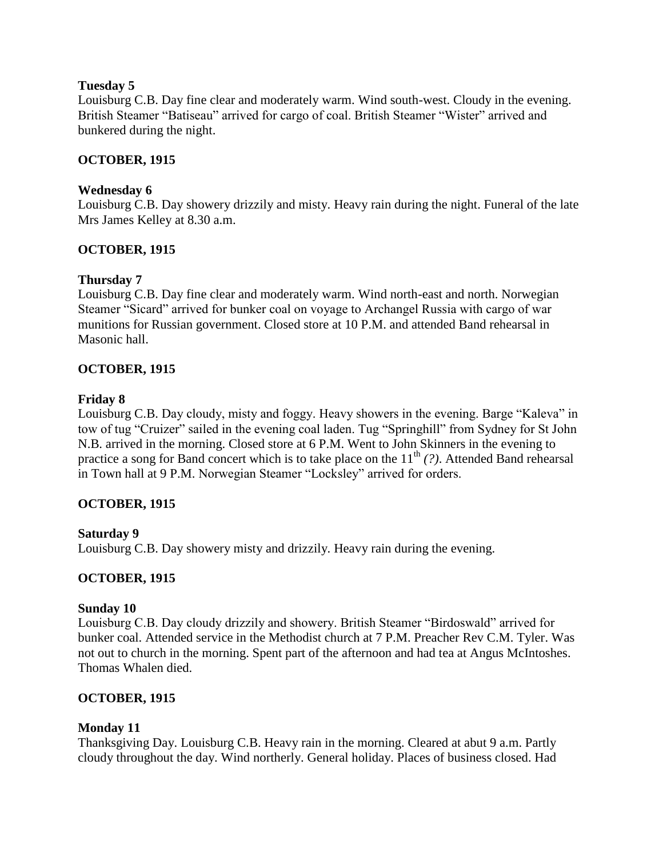### **Tuesday 5**

Louisburg C.B. Day fine clear and moderately warm. Wind south-west. Cloudy in the evening. British Steamer "Batiseau" arrived for cargo of coal. British Steamer "Wister" arrived and bunkered during the night.

### **OCTOBER, 1915**

### **Wednesday 6**

Louisburg C.B. Day showery drizzily and misty. Heavy rain during the night. Funeral of the late Mrs James Kelley at 8.30 a.m.

## **OCTOBER, 1915**

## **Thursday 7**

Louisburg C.B. Day fine clear and moderately warm. Wind north-east and north. Norwegian Steamer "Sicard" arrived for bunker coal on voyage to Archangel Russia with cargo of war munitions for Russian government. Closed store at 10 P.M. and attended Band rehearsal in Masonic hall.

## **OCTOBER, 1915**

### **Friday 8**

Louisburg C.B. Day cloudy, misty and foggy. Heavy showers in the evening. Barge "Kaleva" in tow of tug "Cruizer" sailed in the evening coal laden. Tug "Springhill" from Sydney for St John N.B. arrived in the morning. Closed store at 6 P.M. Went to John Skinners in the evening to practice a song for Band concert which is to take place on the  $11<sup>th</sup>$  *(?)*. Attended Band rehearsal in Town hall at 9 P.M. Norwegian Steamer "Locksley" arrived for orders.

## **OCTOBER, 1915**

## **Saturday 9**

Louisburg C.B. Day showery misty and drizzily. Heavy rain during the evening.

## **OCTOBER, 1915**

### **Sunday 10**

Louisburg C.B. Day cloudy drizzily and showery. British Steamer "Birdoswald" arrived for bunker coal. Attended service in the Methodist church at 7 P.M. Preacher Rev C.M. Tyler. Was not out to church in the morning. Spent part of the afternoon and had tea at Angus McIntoshes. Thomas Whalen died.

## **OCTOBER, 1915**

### **Monday 11**

Thanksgiving Day. Louisburg C.B. Heavy rain in the morning. Cleared at abut 9 a.m. Partly cloudy throughout the day. Wind northerly. General holiday. Places of business closed. Had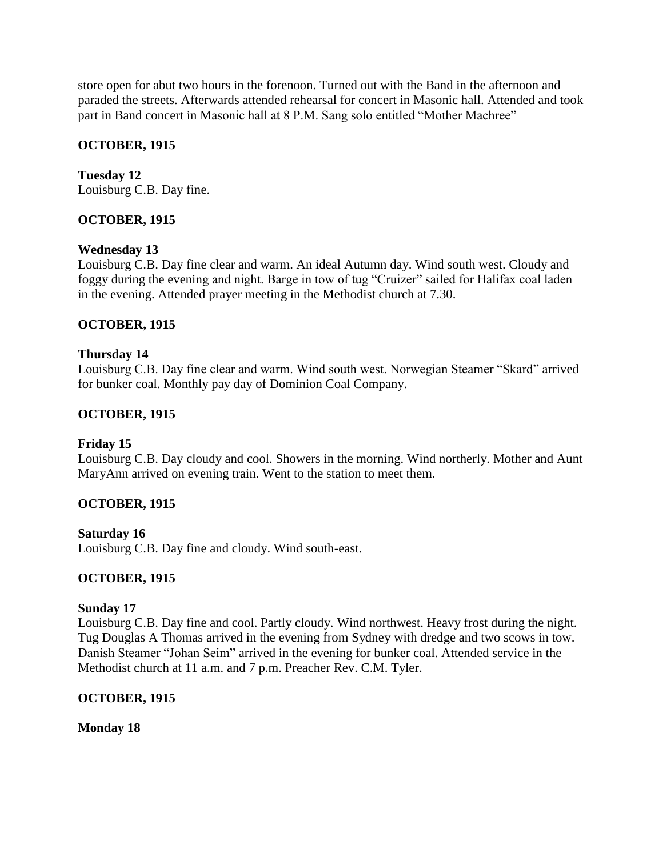store open for abut two hours in the forenoon. Turned out with the Band in the afternoon and paraded the streets. Afterwards attended rehearsal for concert in Masonic hall. Attended and took part in Band concert in Masonic hall at 8 P.M. Sang solo entitled "Mother Machree"

### **OCTOBER, 1915**

**Tuesday 12** Louisburg C.B. Day fine.

## **OCTOBER, 1915**

### **Wednesday 13**

Louisburg C.B. Day fine clear and warm. An ideal Autumn day. Wind south west. Cloudy and foggy during the evening and night. Barge in tow of tug "Cruizer" sailed for Halifax coal laden in the evening. Attended prayer meeting in the Methodist church at 7.30.

### **OCTOBER, 1915**

### **Thursday 14**

Louisburg C.B. Day fine clear and warm. Wind south west. Norwegian Steamer "Skard" arrived for bunker coal. Monthly pay day of Dominion Coal Company.

### **OCTOBER, 1915**

### **Friday 15**

Louisburg C.B. Day cloudy and cool. Showers in the morning. Wind northerly. Mother and Aunt MaryAnn arrived on evening train. Went to the station to meet them.

## **OCTOBER, 1915**

**Saturday 16** Louisburg C.B. Day fine and cloudy. Wind south-east.

### **OCTOBER, 1915**

### **Sunday 17**

Louisburg C.B. Day fine and cool. Partly cloudy. Wind northwest. Heavy frost during the night. Tug Douglas A Thomas arrived in the evening from Sydney with dredge and two scows in tow. Danish Steamer "Johan Seim" arrived in the evening for bunker coal. Attended service in the Methodist church at 11 a.m. and 7 p.m. Preacher Rev. C.M. Tyler.

### **OCTOBER, 1915**

**Monday 18**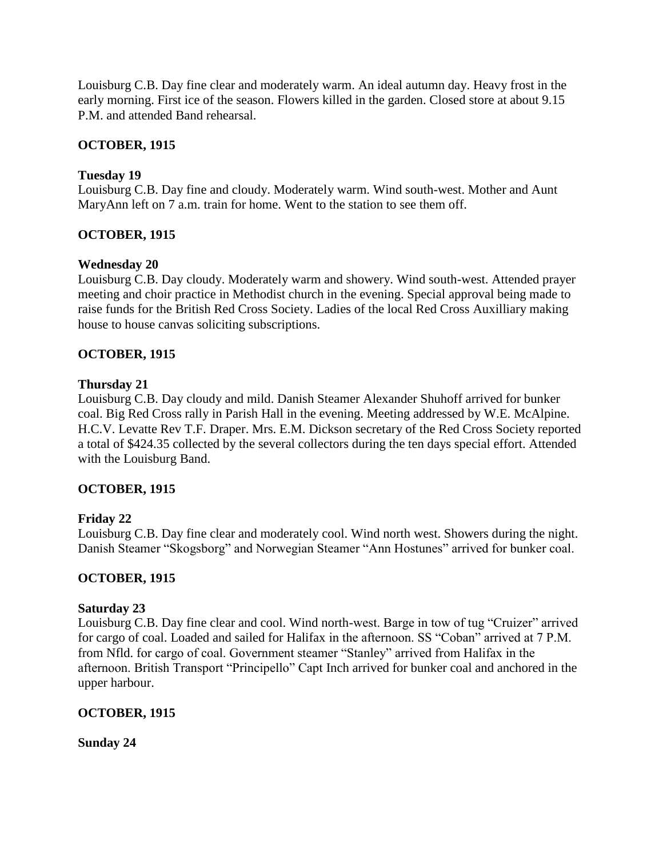Louisburg C.B. Day fine clear and moderately warm. An ideal autumn day. Heavy frost in the early morning. First ice of the season. Flowers killed in the garden. Closed store at about 9.15 P.M. and attended Band rehearsal.

## **OCTOBER, 1915**

### **Tuesday 19**

Louisburg C.B. Day fine and cloudy. Moderately warm. Wind south-west. Mother and Aunt MaryAnn left on 7 a.m. train for home. Went to the station to see them off.

### **OCTOBER, 1915**

### **Wednesday 20**

Louisburg C.B. Day cloudy. Moderately warm and showery. Wind south-west. Attended prayer meeting and choir practice in Methodist church in the evening. Special approval being made to raise funds for the British Red Cross Society. Ladies of the local Red Cross Auxilliary making house to house canvas soliciting subscriptions.

### **OCTOBER, 1915**

### **Thursday 21**

Louisburg C.B. Day cloudy and mild. Danish Steamer Alexander Shuhoff arrived for bunker coal. Big Red Cross rally in Parish Hall in the evening. Meeting addressed by W.E. McAlpine. H.C.V. Levatte Rev T.F. Draper. Mrs. E.M. Dickson secretary of the Red Cross Society reported a total of \$424.35 collected by the several collectors during the ten days special effort. Attended with the Louisburg Band.

### **OCTOBER, 1915**

### **Friday 22**

Louisburg C.B. Day fine clear and moderately cool. Wind north west. Showers during the night. Danish Steamer "Skogsborg" and Norwegian Steamer "Ann Hostunes" arrived for bunker coal.

### **OCTOBER, 1915**

### **Saturday 23**

Louisburg C.B. Day fine clear and cool. Wind north-west. Barge in tow of tug "Cruizer" arrived for cargo of coal. Loaded and sailed for Halifax in the afternoon. SS "Coban" arrived at 7 P.M. from Nfld. for cargo of coal. Government steamer "Stanley" arrived from Halifax in the afternoon. British Transport "Principello" Capt Inch arrived for bunker coal and anchored in the upper harbour.

### **OCTOBER, 1915**

**Sunday 24**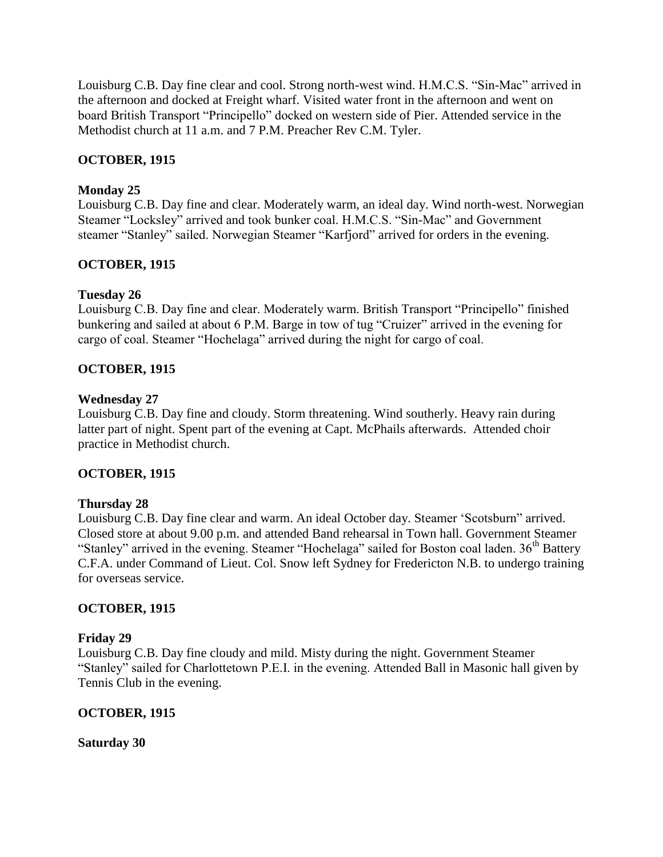Louisburg C.B. Day fine clear and cool. Strong north-west wind. H.M.C.S. "Sin-Mac" arrived in the afternoon and docked at Freight wharf. Visited water front in the afternoon and went on board British Transport "Principello" docked on western side of Pier. Attended service in the Methodist church at 11 a.m. and 7 P.M. Preacher Rev C.M. Tyler.

# **OCTOBER, 1915**

## **Monday 25**

Louisburg C.B. Day fine and clear. Moderately warm, an ideal day. Wind north-west. Norwegian Steamer "Locksley" arrived and took bunker coal. H.M.C.S. "Sin-Mac" and Government steamer "Stanley" sailed. Norwegian Steamer "Karfjord" arrived for orders in the evening.

## **OCTOBER, 1915**

### **Tuesday 26**

Louisburg C.B. Day fine and clear. Moderately warm. British Transport "Principello" finished bunkering and sailed at about 6 P.M. Barge in tow of tug "Cruizer" arrived in the evening for cargo of coal. Steamer "Hochelaga" arrived during the night for cargo of coal.

### **OCTOBER, 1915**

### **Wednesday 27**

Louisburg C.B. Day fine and cloudy. Storm threatening. Wind southerly. Heavy rain during latter part of night. Spent part of the evening at Capt. McPhails afterwards. Attended choir practice in Methodist church.

### **OCTOBER, 1915**

### **Thursday 28**

Louisburg C.B. Day fine clear and warm. An ideal October day. Steamer "Scotsburn" arrived. Closed store at about 9.00 p.m. and attended Band rehearsal in Town hall. Government Steamer "Stanley" arrived in the evening. Steamer "Hochelaga" sailed for Boston coal laden. 36<sup>th</sup> Battery C.F.A. under Command of Lieut. Col. Snow left Sydney for Fredericton N.B. to undergo training for overseas service.

### **OCTOBER, 1915**

### **Friday 29**

Louisburg C.B. Day fine cloudy and mild. Misty during the night. Government Steamer "Stanley" sailed for Charlottetown P.E.I. in the evening. Attended Ball in Masonic hall given by Tennis Club in the evening.

### **OCTOBER, 1915**

**Saturday 30**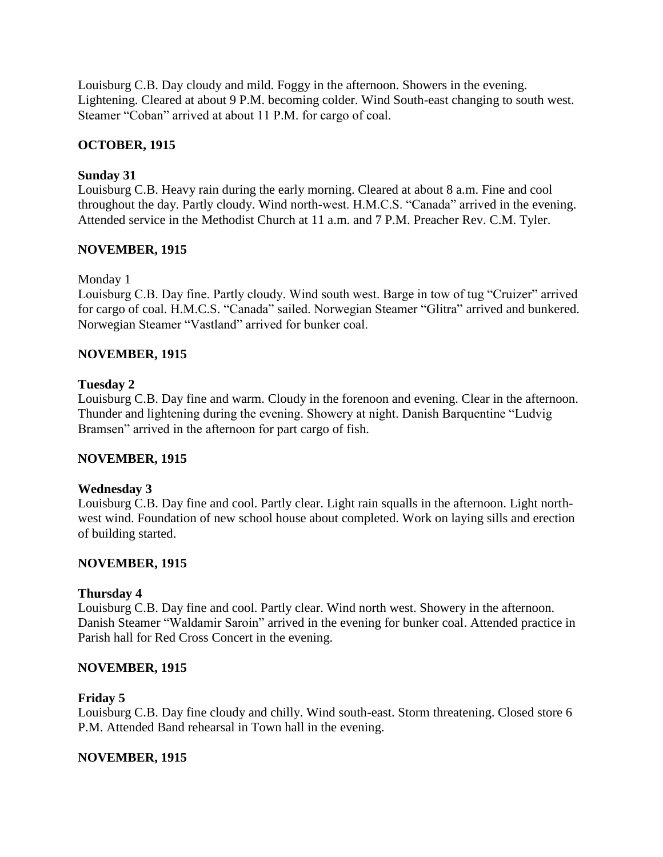Louisburg C.B. Day cloudy and mild. Foggy in the afternoon. Showers in the evening. Lightening. Cleared at about 9 P.M. becoming colder. Wind South-east changing to south west. Steamer "Coban" arrived at about 11 P.M. for cargo of coal.

### **OCTOBER, 1915**

### **Sunday 31**

Louisburg C.B. Heavy rain during the early morning. Cleared at about 8 a.m. Fine and cool throughout the day. Partly cloudy. Wind north-west. H.M.C.S. "Canada" arrived in the evening. Attended service in the Methodist Church at 11 a.m. and 7 P.M. Preacher Rev. C.M. Tyler.

### **NOVEMBER, 1915**

Monday 1

Louisburg C.B. Day fine. Partly cloudy. Wind south west. Barge in tow of tug "Cruizer" arrived for cargo of coal. H.M.C.S. "Canada" sailed. Norwegian Steamer "Glitra" arrived and bunkered. Norwegian Steamer "Vastland" arrived for bunker coal.

### **NOVEMBER, 1915**

### **Tuesday 2**

Louisburg C.B. Day fine and warm. Cloudy in the forenoon and evening. Clear in the afternoon. Thunder and lightening during the evening. Showery at night. Danish Barquentine "Ludvig Bramsen" arrived in the afternoon for part cargo of fish.

### **NOVEMBER, 1915**

### **Wednesday 3**

Louisburg C.B. Day fine and cool. Partly clear. Light rain squalls in the afternoon. Light northwest wind. Foundation of new school house about completed. Work on laying sills and erection of building started.

### **NOVEMBER, 1915**

### **Thursday 4**

Louisburg C.B. Day fine and cool. Partly clear. Wind north west. Showery in the afternoon. Danish Steamer "Waldamir Saroin" arrived in the evening for bunker coal. Attended practice in Parish hall for Red Cross Concert in the evening.

### **NOVEMBER, 1915**

### **Friday 5**

Louisburg C.B. Day fine cloudy and chilly. Wind south-east. Storm threatening. Closed store 6 P.M. Attended Band rehearsal in Town hall in the evening.

### **NOVEMBER, 1915**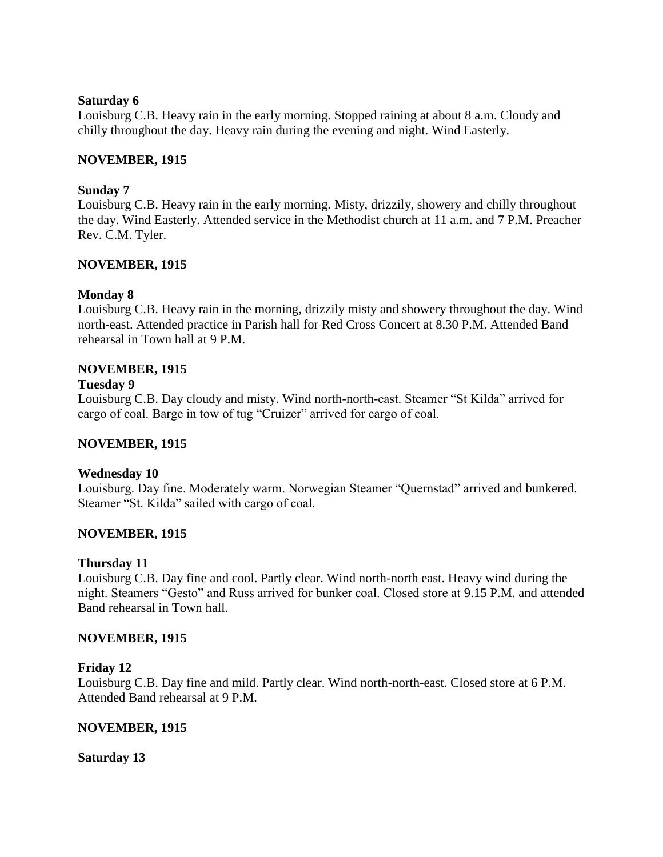#### **Saturday 6**

Louisburg C.B. Heavy rain in the early morning. Stopped raining at about 8 a.m. Cloudy and chilly throughout the day. Heavy rain during the evening and night. Wind Easterly.

### **NOVEMBER, 1915**

### **Sunday 7**

Louisburg C.B. Heavy rain in the early morning. Misty, drizzily, showery and chilly throughout the day. Wind Easterly. Attended service in the Methodist church at 11 a.m. and 7 P.M. Preacher Rev. C.M. Tyler.

### **NOVEMBER, 1915**

### **Monday 8**

Louisburg C.B. Heavy rain in the morning, drizzily misty and showery throughout the day. Wind north-east. Attended practice in Parish hall for Red Cross Concert at 8.30 P.M. Attended Band rehearsal in Town hall at 9 P.M.

### **NOVEMBER, 1915**

### **Tuesday 9**

Louisburg C.B. Day cloudy and misty. Wind north-north-east. Steamer "St Kilda" arrived for cargo of coal. Barge in tow of tug "Cruizer" arrived for cargo of coal.

### **NOVEMBER, 1915**

### **Wednesday 10**

Louisburg. Day fine. Moderately warm. Norwegian Steamer "Quernstad" arrived and bunkered. Steamer "St. Kilda" sailed with cargo of coal.

### **NOVEMBER, 1915**

### **Thursday 11**

Louisburg C.B. Day fine and cool. Partly clear. Wind north-north east. Heavy wind during the night. Steamers "Gesto" and Russ arrived for bunker coal. Closed store at 9.15 P.M. and attended Band rehearsal in Town hall.

### **NOVEMBER, 1915**

### **Friday 12**

Louisburg C.B. Day fine and mild. Partly clear. Wind north-north-east. Closed store at 6 P.M. Attended Band rehearsal at 9 P.M.

### **NOVEMBER, 1915**

### **Saturday 13**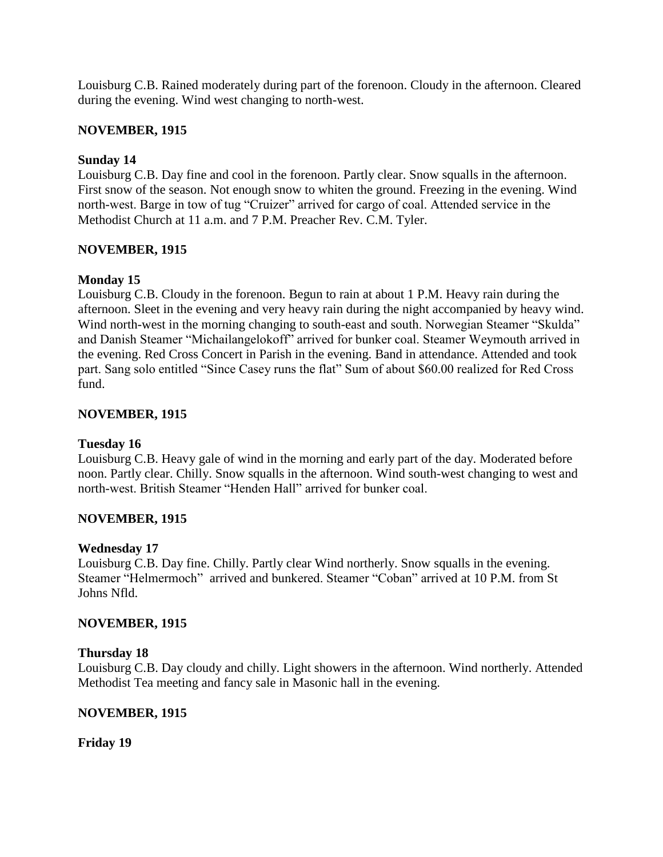Louisburg C.B. Rained moderately during part of the forenoon. Cloudy in the afternoon. Cleared during the evening. Wind west changing to north-west.

### **NOVEMBER, 1915**

### **Sunday 14**

Louisburg C.B. Day fine and cool in the forenoon. Partly clear. Snow squalls in the afternoon. First snow of the season. Not enough snow to whiten the ground. Freezing in the evening. Wind north-west. Barge in tow of tug "Cruizer" arrived for cargo of coal. Attended service in the Methodist Church at 11 a.m. and 7 P.M. Preacher Rev. C.M. Tyler.

### **NOVEMBER, 1915**

## **Monday 15**

Louisburg C.B. Cloudy in the forenoon. Begun to rain at about 1 P.M. Heavy rain during the afternoon. Sleet in the evening and very heavy rain during the night accompanied by heavy wind. Wind north-west in the morning changing to south-east and south. Norwegian Steamer "Skulda" and Danish Steamer "Michailangelokoff" arrived for bunker coal. Steamer Weymouth arrived in the evening. Red Cross Concert in Parish in the evening. Band in attendance. Attended and took part. Sang solo entitled "Since Casey runs the flat" Sum of about \$60.00 realized for Red Cross fund.

### **NOVEMBER, 1915**

### **Tuesday 16**

Louisburg C.B. Heavy gale of wind in the morning and early part of the day. Moderated before noon. Partly clear. Chilly. Snow squalls in the afternoon. Wind south-west changing to west and north-west. British Steamer "Henden Hall" arrived for bunker coal.

### **NOVEMBER, 1915**

### **Wednesday 17**

Louisburg C.B. Day fine. Chilly. Partly clear Wind northerly. Snow squalls in the evening. Steamer "Helmermoch" arrived and bunkered. Steamer "Coban" arrived at 10 P.M. from St Johns Nfld.

### **NOVEMBER, 1915**

### **Thursday 18**

Louisburg C.B. Day cloudy and chilly. Light showers in the afternoon. Wind northerly. Attended Methodist Tea meeting and fancy sale in Masonic hall in the evening.

### **NOVEMBER, 1915**

**Friday 19**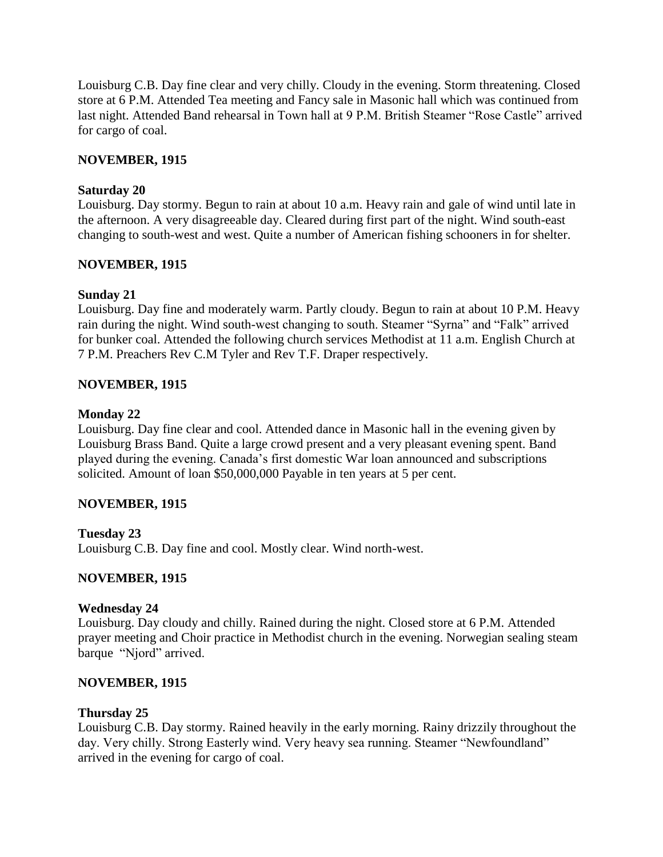Louisburg C.B. Day fine clear and very chilly. Cloudy in the evening. Storm threatening. Closed store at 6 P.M. Attended Tea meeting and Fancy sale in Masonic hall which was continued from last night. Attended Band rehearsal in Town hall at 9 P.M. British Steamer "Rose Castle" arrived for cargo of coal.

### **NOVEMBER, 1915**

### **Saturday 20**

Louisburg. Day stormy. Begun to rain at about 10 a.m. Heavy rain and gale of wind until late in the afternoon. A very disagreeable day. Cleared during first part of the night. Wind south-east changing to south-west and west. Quite a number of American fishing schooners in for shelter.

### **NOVEMBER, 1915**

### **Sunday 21**

Louisburg. Day fine and moderately warm. Partly cloudy. Begun to rain at about 10 P.M. Heavy rain during the night. Wind south-west changing to south. Steamer "Syrna" and "Falk" arrived for bunker coal. Attended the following church services Methodist at 11 a.m. English Church at 7 P.M. Preachers Rev C.M Tyler and Rev T.F. Draper respectively.

## **NOVEMBER, 1915**

### **Monday 22**

Louisburg. Day fine clear and cool. Attended dance in Masonic hall in the evening given by Louisburg Brass Band. Quite a large crowd present and a very pleasant evening spent. Band played during the evening. Canada"s first domestic War loan announced and subscriptions solicited. Amount of loan \$50,000,000 Payable in ten years at 5 per cent.

### **NOVEMBER, 1915**

## **Tuesday 23**

Louisburg C.B. Day fine and cool. Mostly clear. Wind north-west.

### **NOVEMBER, 1915**

### **Wednesday 24**

Louisburg. Day cloudy and chilly. Rained during the night. Closed store at 6 P.M. Attended prayer meeting and Choir practice in Methodist church in the evening. Norwegian sealing steam barque "Njord" arrived.

### **NOVEMBER, 1915**

### **Thursday 25**

Louisburg C.B. Day stormy. Rained heavily in the early morning. Rainy drizzily throughout the day. Very chilly. Strong Easterly wind. Very heavy sea running. Steamer "Newfoundland" arrived in the evening for cargo of coal.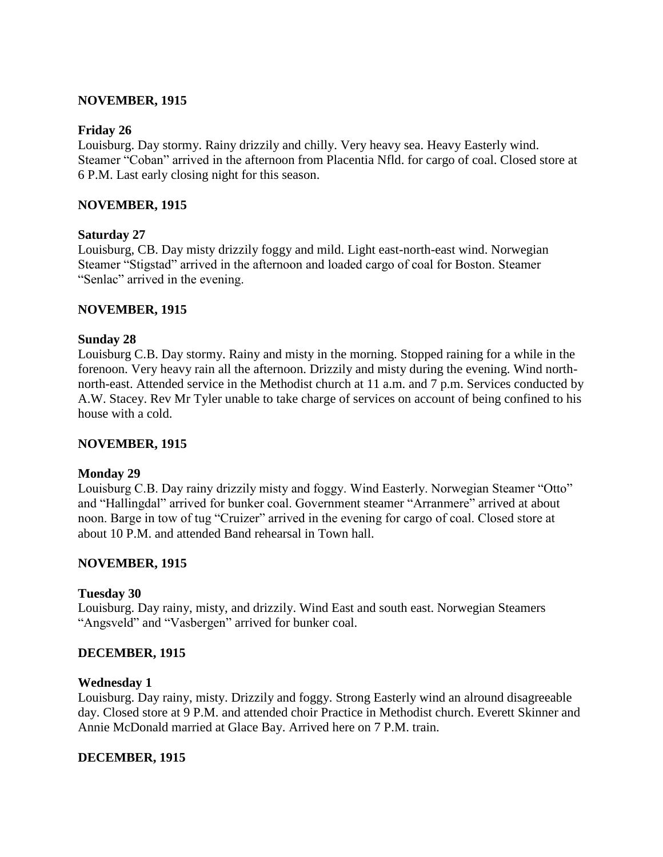### **NOVEMBER, 1915**

#### **Friday 26**

Louisburg. Day stormy. Rainy drizzily and chilly. Very heavy sea. Heavy Easterly wind. Steamer "Coban" arrived in the afternoon from Placentia Nfld. for cargo of coal. Closed store at 6 P.M. Last early closing night for this season.

#### **NOVEMBER, 1915**

#### **Saturday 27**

Louisburg, CB. Day misty drizzily foggy and mild. Light east-north-east wind. Norwegian Steamer "Stigstad" arrived in the afternoon and loaded cargo of coal for Boston. Steamer "Senlac" arrived in the evening.

#### **NOVEMBER, 1915**

#### **Sunday 28**

Louisburg C.B. Day stormy. Rainy and misty in the morning. Stopped raining for a while in the forenoon. Very heavy rain all the afternoon. Drizzily and misty during the evening. Wind northnorth-east. Attended service in the Methodist church at 11 a.m. and 7 p.m. Services conducted by A.W. Stacey. Rev Mr Tyler unable to take charge of services on account of being confined to his house with a cold.

#### **NOVEMBER, 1915**

#### **Monday 29**

Louisburg C.B. Day rainy drizzily misty and foggy. Wind Easterly. Norwegian Steamer "Otto" and "Hallingdal" arrived for bunker coal. Government steamer "Arranmere" arrived at about noon. Barge in tow of tug "Cruizer" arrived in the evening for cargo of coal. Closed store at about 10 P.M. and attended Band rehearsal in Town hall.

#### **NOVEMBER, 1915**

#### **Tuesday 30**

Louisburg. Day rainy, misty, and drizzily. Wind East and south east. Norwegian Steamers "Angsveld" and "Vasbergen" arrived for bunker coal.

#### **DECEMBER, 1915**

#### **Wednesday 1**

Louisburg. Day rainy, misty. Drizzily and foggy. Strong Easterly wind an alround disagreeable day. Closed store at 9 P.M. and attended choir Practice in Methodist church. Everett Skinner and Annie McDonald married at Glace Bay. Arrived here on 7 P.M. train.

#### **DECEMBER, 1915**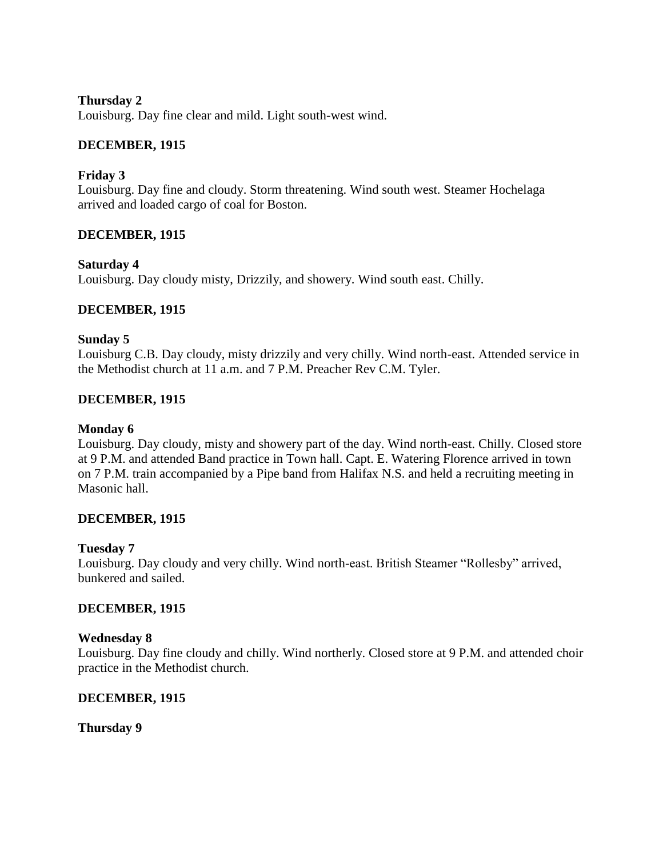### **Thursday 2**

Louisburg. Day fine clear and mild. Light south-west wind.

### **DECEMBER, 1915**

### **Friday 3**

Louisburg. Day fine and cloudy. Storm threatening. Wind south west. Steamer Hochelaga arrived and loaded cargo of coal for Boston.

### **DECEMBER, 1915**

### **Saturday 4**

Louisburg. Day cloudy misty, Drizzily, and showery. Wind south east. Chilly.

### **DECEMBER, 1915**

### **Sunday 5**

Louisburg C.B. Day cloudy, misty drizzily and very chilly. Wind north-east. Attended service in the Methodist church at 11 a.m. and 7 P.M. Preacher Rev C.M. Tyler.

### **DECEMBER, 1915**

### **Monday 6**

Louisburg. Day cloudy, misty and showery part of the day. Wind north-east. Chilly. Closed store at 9 P.M. and attended Band practice in Town hall. Capt. E. Watering Florence arrived in town on 7 P.M. train accompanied by a Pipe band from Halifax N.S. and held a recruiting meeting in Masonic hall.

### **DECEMBER, 1915**

### **Tuesday 7**

Louisburg. Day cloudy and very chilly. Wind north-east. British Steamer "Rollesby" arrived, bunkered and sailed.

### **DECEMBER, 1915**

### **Wednesday 8**

Louisburg. Day fine cloudy and chilly. Wind northerly. Closed store at 9 P.M. and attended choir practice in the Methodist church.

### **DECEMBER, 1915**

**Thursday 9**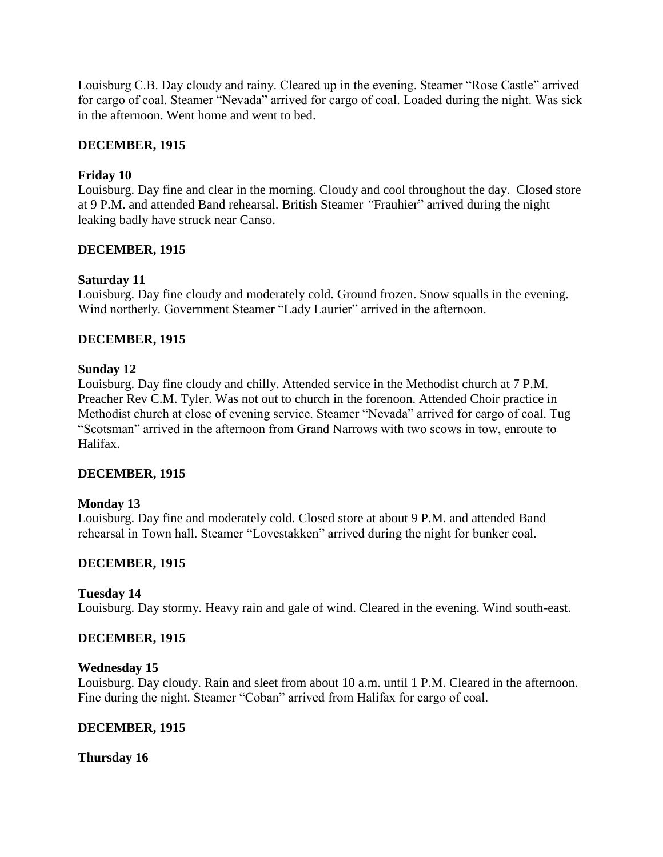Louisburg C.B. Day cloudy and rainy. Cleared up in the evening. Steamer "Rose Castle" arrived for cargo of coal. Steamer "Nevada" arrived for cargo of coal. Loaded during the night. Was sick in the afternoon. Went home and went to bed.

### **DECEMBER, 1915**

### **Friday 10**

Louisburg. Day fine and clear in the morning. Cloudy and cool throughout the day. Closed store at 9 P.M. and attended Band rehearsal. British Steamer *"*Frauhier" arrived during the night leaking badly have struck near Canso.

### **DECEMBER, 1915**

### **Saturday 11**

Louisburg. Day fine cloudy and moderately cold. Ground frozen. Snow squalls in the evening. Wind northerly. Government Steamer "Lady Laurier" arrived in the afternoon.

### **DECEMBER, 1915**

### **Sunday 12**

Louisburg. Day fine cloudy and chilly. Attended service in the Methodist church at 7 P.M. Preacher Rev C.M. Tyler. Was not out to church in the forenoon. Attended Choir practice in Methodist church at close of evening service. Steamer "Nevada" arrived for cargo of coal. Tug "Scotsman" arrived in the afternoon from Grand Narrows with two scows in tow, enroute to Halifax.

### **DECEMBER, 1915**

### **Monday 13**

Louisburg. Day fine and moderately cold. Closed store at about 9 P.M. and attended Band rehearsal in Town hall. Steamer "Lovestakken" arrived during the night for bunker coal.

### **DECEMBER, 1915**

### **Tuesday 14**

Louisburg. Day stormy. Heavy rain and gale of wind. Cleared in the evening. Wind south-east.

### **DECEMBER, 1915**

### **Wednesday 15**

Louisburg. Day cloudy. Rain and sleet from about 10 a.m. until 1 P.M. Cleared in the afternoon. Fine during the night. Steamer "Coban" arrived from Halifax for cargo of coal.

### **DECEMBER, 1915**

### **Thursday 16**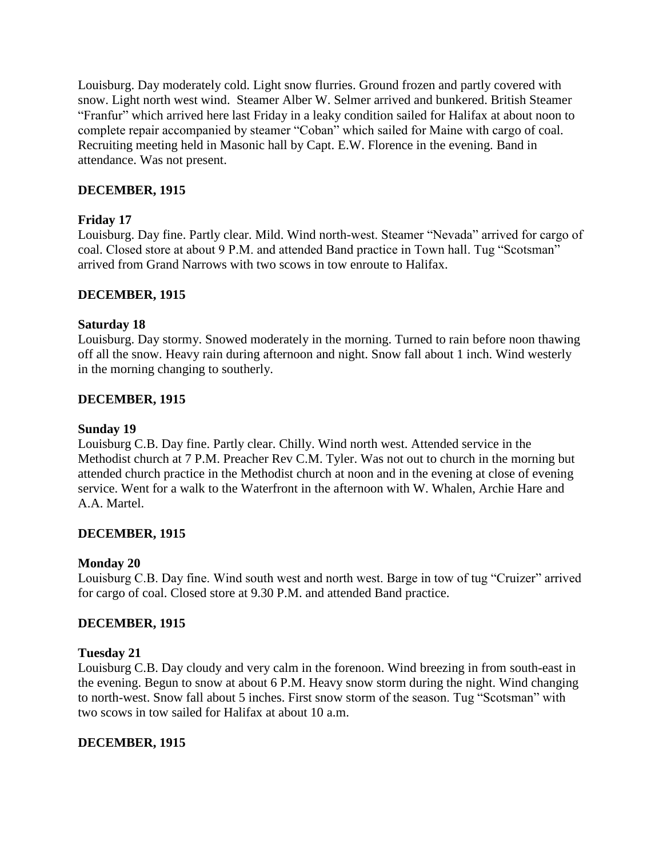Louisburg. Day moderately cold. Light snow flurries. Ground frozen and partly covered with snow. Light north west wind. Steamer Alber W. Selmer arrived and bunkered. British Steamer "Franfur" which arrived here last Friday in a leaky condition sailed for Halifax at about noon to complete repair accompanied by steamer "Coban" which sailed for Maine with cargo of coal. Recruiting meeting held in Masonic hall by Capt. E.W. Florence in the evening. Band in attendance. Was not present.

### **DECEMBER, 1915**

### **Friday 17**

Louisburg. Day fine. Partly clear. Mild. Wind north-west. Steamer "Nevada" arrived for cargo of coal. Closed store at about 9 P.M. and attended Band practice in Town hall. Tug "Scotsman" arrived from Grand Narrows with two scows in tow enroute to Halifax.

### **DECEMBER, 1915**

### **Saturday 18**

Louisburg. Day stormy. Snowed moderately in the morning. Turned to rain before noon thawing off all the snow. Heavy rain during afternoon and night. Snow fall about 1 inch. Wind westerly in the morning changing to southerly.

### **DECEMBER, 1915**

### **Sunday 19**

Louisburg C.B. Day fine. Partly clear. Chilly. Wind north west. Attended service in the Methodist church at 7 P.M. Preacher Rev C.M. Tyler. Was not out to church in the morning but attended church practice in the Methodist church at noon and in the evening at close of evening service. Went for a walk to the Waterfront in the afternoon with W. Whalen, Archie Hare and A.A. Martel.

### **DECEMBER, 1915**

### **Monday 20**

Louisburg C.B. Day fine. Wind south west and north west. Barge in tow of tug "Cruizer" arrived for cargo of coal. Closed store at 9.30 P.M. and attended Band practice.

### **DECEMBER, 1915**

### **Tuesday 21**

Louisburg C.B. Day cloudy and very calm in the forenoon. Wind breezing in from south-east in the evening. Begun to snow at about 6 P.M. Heavy snow storm during the night. Wind changing to north-west. Snow fall about 5 inches. First snow storm of the season. Tug "Scotsman" with two scows in tow sailed for Halifax at about 10 a.m.

### **DECEMBER, 1915**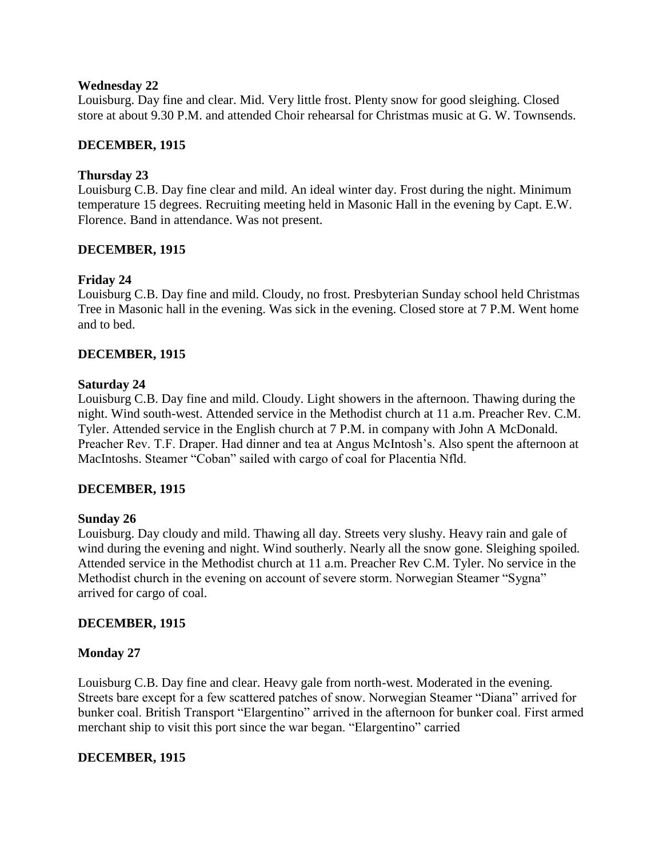#### **Wednesday 22**

Louisburg. Day fine and clear. Mid. Very little frost. Plenty snow for good sleighing. Closed store at about 9.30 P.M. and attended Choir rehearsal for Christmas music at G. W. Townsends.

### **DECEMBER, 1915**

### **Thursday 23**

Louisburg C.B. Day fine clear and mild. An ideal winter day. Frost during the night. Minimum temperature 15 degrees. Recruiting meeting held in Masonic Hall in the evening by Capt. E.W. Florence. Band in attendance. Was not present.

### **DECEMBER, 1915**

### **Friday 24**

Louisburg C.B. Day fine and mild. Cloudy, no frost. Presbyterian Sunday school held Christmas Tree in Masonic hall in the evening. Was sick in the evening. Closed store at 7 P.M. Went home and to bed.

### **DECEMBER, 1915**

### **Saturday 24**

Louisburg C.B. Day fine and mild. Cloudy. Light showers in the afternoon. Thawing during the night. Wind south-west. Attended service in the Methodist church at 11 a.m. Preacher Rev. C.M. Tyler. Attended service in the English church at 7 P.M. in company with John A McDonald. Preacher Rev. T.F. Draper. Had dinner and tea at Angus McIntosh"s. Also spent the afternoon at MacIntoshs. Steamer "Coban" sailed with cargo of coal for Placentia Nfld.

### **DECEMBER, 1915**

### **Sunday 26**

Louisburg. Day cloudy and mild. Thawing all day. Streets very slushy. Heavy rain and gale of wind during the evening and night. Wind southerly. Nearly all the snow gone. Sleighing spoiled*.* Attended service in the Methodist church at 11 a.m. Preacher Rev C.M. Tyler. No service in the Methodist church in the evening on account of severe storm. Norwegian Steamer "Sygna" arrived for cargo of coal.

### **DECEMBER, 1915**

### **Monday 27**

Louisburg C.B. Day fine and clear. Heavy gale from north-west. Moderated in the evening. Streets bare except for a few scattered patches of snow. Norwegian Steamer "Diana" arrived for bunker coal. British Transport "Elargentino" arrived in the afternoon for bunker coal. First armed merchant ship to visit this port since the war began. "Elargentino" carried

### **DECEMBER, 1915**